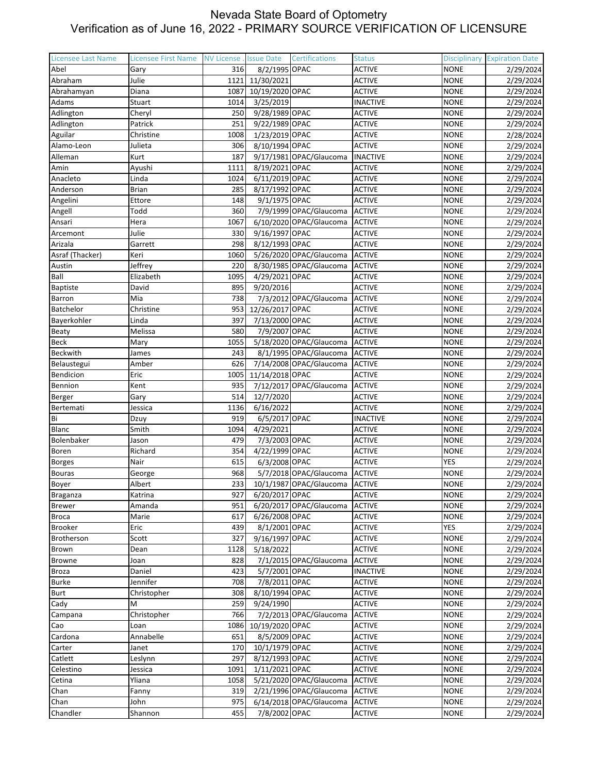| 316<br>8/2/1995 OPAC<br><b>ACTIVE</b><br><b>NONE</b><br>Abel<br>2/29/2024<br>Gary<br>Julie<br>11/30/2021<br><b>NONE</b><br>2/29/2024<br>Abraham<br>1121<br><b>ACTIVE</b><br>10/19/2020 OPAC<br><b>ACTIVE</b><br><b>NONE</b><br>2/29/2024<br>Abrahamyan<br>Diana<br>1087<br><b>NONE</b><br>Stuart<br>1014<br>3/25/2019<br><b>INACTIVE</b><br>2/29/2024<br>Adams<br>250<br>9/28/1989 OPAC<br><b>ACTIVE</b><br>2/29/2024<br>Adlington<br>Cheryl<br><b>NONE</b><br>9/22/1989 OPAC<br>Adlington<br>Patrick<br>251<br><b>ACTIVE</b><br><b>NONE</b><br>2/29/2024<br>1/23/2019 OPAC<br>Aguilar<br>Christine<br>1008<br><b>ACTIVE</b><br><b>NONE</b><br>2/28/2024<br>Alamo-Leon<br>306<br>8/10/1994 OPAC<br><b>ACTIVE</b><br><b>NONE</b><br>Julieta<br>2/29/2024<br>9/17/1981 OPAC/Glaucoma<br><b>INACTIVE</b><br>Alleman<br>Kurt<br>187<br><b>NONE</b><br>2/29/2024<br>Amin<br>8/19/2021 OPAC<br><b>ACTIVE</b><br><b>NONE</b><br>2/29/2024<br>Ayushi<br>1111<br>6/11/2019 OPAC<br><b>ACTIVE</b><br>2/29/2024<br>Anacleto<br>Linda<br>1024<br><b>NONE</b><br><b>ACTIVE</b><br>Anderson<br><b>Brian</b><br>285<br>8/17/1992 OPAC<br><b>NONE</b><br>2/29/2024<br>Angelini<br>148<br>9/1/1975 OPAC<br><b>ACTIVE</b><br><b>NONE</b><br>2/29/2024<br>Ettore<br>7/9/1999 OPAC/Glaucoma<br>Angell<br>Todd<br>360<br><b>ACTIVE</b><br><b>NONE</b><br>2/29/2024<br>1067<br>6/10/2020 OPAC/Glaucoma<br><b>ACTIVE</b><br><b>NONE</b><br>Ansari<br>Hera<br>2/29/2024<br>Julie<br>Arcemont<br>330<br>9/16/1997 OPAC<br><b>ACTIVE</b><br><b>NONE</b><br>2/29/2024<br>8/12/1993 OPAC<br><b>ACTIVE</b><br>Arizala<br>298<br><b>NONE</b><br>Garrett<br>2/29/2024<br>5/26/2020 OPAC/Glaucoma<br><b>ACTIVE</b><br>2/29/2024<br>Asraf (Thacker)<br>Keri<br>1060<br><b>NONE</b><br>8/30/1985 OPAC/Glaucoma<br><b>ACTIVE</b><br>2/29/2024<br>Austin<br>Jeffrey<br>220<br><b>NONE</b><br>Ball<br>4/29/2021 OPAC<br><b>ACTIVE</b><br>2/29/2024<br>Elizabeth<br>1095<br><b>NONE</b><br><b>Baptiste</b><br>David<br>895<br>9/20/2016<br><b>ACTIVE</b><br><b>NONE</b><br>2/29/2024<br>738<br>7/3/2012 OPAC/Glaucoma<br>Barron<br>Mia<br><b>ACTIVE</b><br><b>NONE</b><br>2/29/2024<br>12/26/2017 OPAC<br>Batchelor<br>953<br><b>ACTIVE</b><br><b>NONE</b><br>2/29/2024<br>Christine<br>7/13/2000 OPAC<br>Bayerkohler<br>Linda<br>397<br><b>ACTIVE</b><br><b>NONE</b><br>2/29/2024<br>7/9/2007 OPAC<br><b>ACTIVE</b><br>Melissa<br>580<br><b>NONE</b><br><b>Beaty</b><br>2/29/2024<br>5/18/2020 OPAC/Glaucoma<br><b>ACTIVE</b><br>2/29/2024<br><b>Beck</b><br>1055<br><b>NONE</b><br>Mary<br>8/1/1995 OPAC/Glaucoma<br><b>ACTIVE</b><br>Beckwith<br>243<br><b>NONE</b><br>2/29/2024<br>James<br>7/14/2008 OPAC/Glaucoma<br><b>ACTIVE</b><br>Belaustegui<br>Amber<br>626<br><b>NONE</b><br>2/29/2024<br>Bendicion<br>1005<br>11/14/2018 OPAC<br><b>ACTIVE</b><br><b>NONE</b><br>Eric<br>2/29/2024<br>Bennion<br>7/12/2017 OPAC/Glaucoma<br>935<br><b>ACTIVE</b><br><b>NONE</b><br>2/29/2024<br>Kent<br>514<br>12/7/2020<br><b>ACTIVE</b><br><b>NONE</b><br>2/29/2024<br>Berger<br>Gary<br>1136<br>6/16/2022<br>2/29/2024<br>Jessica<br><b>ACTIVE</b><br><b>NONE</b><br>Bertemati<br>919<br>6/5/2017 OPAC<br>Bi<br><b>INACTIVE</b><br><b>NONE</b><br>2/29/2024<br>Dzuy<br>4/29/2021<br><b>ACTIVE</b><br><b>Blanc</b><br>Smith<br>1094<br><b>NONE</b><br>2/29/2024<br>Bolenbaker<br>7/3/2003 OPAC<br>479<br><b>ACTIVE</b><br><b>NONE</b><br>2/29/2024<br>Jason<br>4/22/1999 OPAC<br>Boren<br>354<br><b>ACTIVE</b><br><b>NONE</b><br>2/29/2024<br>Richard<br><b>YES</b><br>Nair<br>615<br>6/3/2008 OPAC<br><b>ACTIVE</b><br><b>Borges</b><br>2/29/2024<br><b>Bouras</b><br>968<br>5/7/2018 OPAC/Glaucoma<br><b>ACTIVE</b><br><b>NONE</b><br>2/29/2024<br>George<br>233<br>10/1/1987 OPAC/Glaucoma<br>2/29/2024<br>Boyer<br>Albert<br><b>ACTIVE</b><br><b>NONE</b><br><b>NONE</b><br>927<br>6/20/2017 OPAC<br><b>ACTIVE</b><br>2/29/2024<br>Katrina<br>Braganza<br>Amanda<br>951<br>6/20/2017 OPAC/Glaucoma<br><b>ACTIVE</b><br><b>NONE</b><br>2/29/2024<br><b>Brewer</b><br><b>Broca</b><br>Marie<br>6/26/2008 OPAC<br><b>ACTIVE</b><br><b>NONE</b><br>617<br>2/29/2024<br>8/1/2001 OPAC<br>Eric<br><b>ACTIVE</b><br>YES<br>2/29/2024<br>Brooker<br>439<br>9/16/1997 OPAC<br>Brotherson<br>Scott<br>327<br><b>ACTIVE</b><br><b>NONE</b><br>2/29/2024<br>5/18/2022<br><b>ACTIVE</b><br>1128<br><b>NONE</b><br>2/29/2024<br>Brown<br>Dean<br>7/1/2015 OPAC/Glaucoma<br>828<br><b>ACTIVE</b><br><b>NONE</b><br><b>Browne</b><br>2/29/2024<br>Joan<br>423<br>5/7/2001 OPAC<br>2/29/2024<br><b>Broza</b><br>Daniel<br><b>INACTIVE</b><br><b>NONE</b><br>7/8/2011 OPAC<br><b>Burke</b><br>Jennifer<br>708<br><b>ACTIVE</b><br><b>NONE</b><br>2/29/2024<br>8/10/1994 OPAC<br><b>Burt</b><br>Christopher<br>308<br><b>ACTIVE</b><br><b>NONE</b><br>2/29/2024<br>9/24/1990<br><b>ACTIVE</b><br><b>NONE</b><br>Cady<br>M<br>259<br>2/29/2024<br>7/2/2013 OPAC/Glaucoma<br>Christopher<br>766<br><b>ACTIVE</b><br><b>NONE</b><br>2/29/2024<br>Campana<br>10/19/2020 OPAC<br><b>ACTIVE</b><br>1086<br><b>NONE</b><br>2/29/2024<br>Cao<br>Loan<br>8/5/2009 OPAC<br>Annabelle<br>651<br><b>ACTIVE</b><br><b>NONE</b><br>2/29/2024<br>Cardona<br>170<br>10/1/1979 OPAC<br><b>ACTIVE</b><br><b>NONE</b><br>2/29/2024<br>Carter<br>Janet<br>8/12/1993 OPAC<br>Catlett<br>297<br><b>ACTIVE</b><br><b>NONE</b><br>2/29/2024<br>Leslynn<br>1/11/2021 OPAC<br>Celestino<br>Jessica<br>1091<br><b>ACTIVE</b><br><b>NONE</b><br>2/29/2024<br>Yliana<br>5/21/2020 OPAC/Glaucoma<br><b>ACTIVE</b><br>Cetina<br>1058<br><b>NONE</b><br>2/29/2024<br>2/21/1996 OPAC/Glaucoma<br><b>ACTIVE</b><br>Chan<br>319<br><b>NONE</b><br>Fanny | <b>Licensee Last Name</b> | <b>Licensee First Name</b> | NV License. | <b>Issue Date</b> | Certifications | <b>Status</b> | <b>Disciplinary</b> | <b>Expiration Date</b> |
|-----------------------------------------------------------------------------------------------------------------------------------------------------------------------------------------------------------------------------------------------------------------------------------------------------------------------------------------------------------------------------------------------------------------------------------------------------------------------------------------------------------------------------------------------------------------------------------------------------------------------------------------------------------------------------------------------------------------------------------------------------------------------------------------------------------------------------------------------------------------------------------------------------------------------------------------------------------------------------------------------------------------------------------------------------------------------------------------------------------------------------------------------------------------------------------------------------------------------------------------------------------------------------------------------------------------------------------------------------------------------------------------------------------------------------------------------------------------------------------------------------------------------------------------------------------------------------------------------------------------------------------------------------------------------------------------------------------------------------------------------------------------------------------------------------------------------------------------------------------------------------------------------------------------------------------------------------------------------------------------------------------------------------------------------------------------------------------------------------------------------------------------------------------------------------------------------------------------------------------------------------------------------------------------------------------------------------------------------------------------------------------------------------------------------------------------------------------------------------------------------------------------------------------------------------------------------------------------------------------------------------------------------------------------------------------------------------------------------------------------------------------------------------------------------------------------------------------------------------------------------------------------------------------------------------------------------------------------------------------------------------------------------------------------------------------------------------------------------------------------------------------------------------------------------------------------------------------------------------------------------------------------------------------------------------------------------------------------------------------------------------------------------------------------------------------------------------------------------------------------------------------------------------------------------------------------------------------------------------------------------------------------------------------------------------------------------------------------------------------------------------------------------------------------------------------------------------------------------------------------------------------------------------------------------------------------------------------------------------------------------------------------------------------------------------------------------------------------------------------------------------------------------------------------------------------------------------------------------------------------------------------------------------------------------------------------------------------------------------------------------------------------------------------------------------------------------------------------------------------------------------------------------------------------------------------------------------------------------------------------------------------------------------------------------------------------------------------------------------------------------------------------------------------------------------------------------------------------------------------------------------------------------------------------------------------------------------------------------------------------------------------------------------------------------------------------------------------------------------------------------------------------------------------------------------------------------------------------------------------------------------------------------------------------------------------------------------------------------------------------------------------------------------------------------------------------------------------------------------------------------------------------------------------------------------------------------------------------------------------------------------------------------------------------|---------------------------|----------------------------|-------------|-------------------|----------------|---------------|---------------------|------------------------|
|                                                                                                                                                                                                                                                                                                                                                                                                                                                                                                                                                                                                                                                                                                                                                                                                                                                                                                                                                                                                                                                                                                                                                                                                                                                                                                                                                                                                                                                                                                                                                                                                                                                                                                                                                                                                                                                                                                                                                                                                                                                                                                                                                                                                                                                                                                                                                                                                                                                                                                                                                                                                                                                                                                                                                                                                                                                                                                                                                                                                                                                                                                                                                                                                                                                                                                                                                                                                                                                                                                                                                                                                                                                                                                                                                                                                                                                                                                                                                                                                                                                                                                                                                                                                                                                                                                                                                                                                                                                                                                                                                                                                                                                                                                                                                                                                                                                                                                                                                                                                                                                                                                                                                                                                                                                                                                                                                                                                                                                                                                                                                                                                                                                                 |                           |                            |             |                   |                |               |                     |                        |
|                                                                                                                                                                                                                                                                                                                                                                                                                                                                                                                                                                                                                                                                                                                                                                                                                                                                                                                                                                                                                                                                                                                                                                                                                                                                                                                                                                                                                                                                                                                                                                                                                                                                                                                                                                                                                                                                                                                                                                                                                                                                                                                                                                                                                                                                                                                                                                                                                                                                                                                                                                                                                                                                                                                                                                                                                                                                                                                                                                                                                                                                                                                                                                                                                                                                                                                                                                                                                                                                                                                                                                                                                                                                                                                                                                                                                                                                                                                                                                                                                                                                                                                                                                                                                                                                                                                                                                                                                                                                                                                                                                                                                                                                                                                                                                                                                                                                                                                                                                                                                                                                                                                                                                                                                                                                                                                                                                                                                                                                                                                                                                                                                                                                 |                           |                            |             |                   |                |               |                     |                        |
|                                                                                                                                                                                                                                                                                                                                                                                                                                                                                                                                                                                                                                                                                                                                                                                                                                                                                                                                                                                                                                                                                                                                                                                                                                                                                                                                                                                                                                                                                                                                                                                                                                                                                                                                                                                                                                                                                                                                                                                                                                                                                                                                                                                                                                                                                                                                                                                                                                                                                                                                                                                                                                                                                                                                                                                                                                                                                                                                                                                                                                                                                                                                                                                                                                                                                                                                                                                                                                                                                                                                                                                                                                                                                                                                                                                                                                                                                                                                                                                                                                                                                                                                                                                                                                                                                                                                                                                                                                                                                                                                                                                                                                                                                                                                                                                                                                                                                                                                                                                                                                                                                                                                                                                                                                                                                                                                                                                                                                                                                                                                                                                                                                                                 |                           |                            |             |                   |                |               |                     |                        |
|                                                                                                                                                                                                                                                                                                                                                                                                                                                                                                                                                                                                                                                                                                                                                                                                                                                                                                                                                                                                                                                                                                                                                                                                                                                                                                                                                                                                                                                                                                                                                                                                                                                                                                                                                                                                                                                                                                                                                                                                                                                                                                                                                                                                                                                                                                                                                                                                                                                                                                                                                                                                                                                                                                                                                                                                                                                                                                                                                                                                                                                                                                                                                                                                                                                                                                                                                                                                                                                                                                                                                                                                                                                                                                                                                                                                                                                                                                                                                                                                                                                                                                                                                                                                                                                                                                                                                                                                                                                                                                                                                                                                                                                                                                                                                                                                                                                                                                                                                                                                                                                                                                                                                                                                                                                                                                                                                                                                                                                                                                                                                                                                                                                                 |                           |                            |             |                   |                |               |                     |                        |
|                                                                                                                                                                                                                                                                                                                                                                                                                                                                                                                                                                                                                                                                                                                                                                                                                                                                                                                                                                                                                                                                                                                                                                                                                                                                                                                                                                                                                                                                                                                                                                                                                                                                                                                                                                                                                                                                                                                                                                                                                                                                                                                                                                                                                                                                                                                                                                                                                                                                                                                                                                                                                                                                                                                                                                                                                                                                                                                                                                                                                                                                                                                                                                                                                                                                                                                                                                                                                                                                                                                                                                                                                                                                                                                                                                                                                                                                                                                                                                                                                                                                                                                                                                                                                                                                                                                                                                                                                                                                                                                                                                                                                                                                                                                                                                                                                                                                                                                                                                                                                                                                                                                                                                                                                                                                                                                                                                                                                                                                                                                                                                                                                                                                 |                           |                            |             |                   |                |               |                     |                        |
|                                                                                                                                                                                                                                                                                                                                                                                                                                                                                                                                                                                                                                                                                                                                                                                                                                                                                                                                                                                                                                                                                                                                                                                                                                                                                                                                                                                                                                                                                                                                                                                                                                                                                                                                                                                                                                                                                                                                                                                                                                                                                                                                                                                                                                                                                                                                                                                                                                                                                                                                                                                                                                                                                                                                                                                                                                                                                                                                                                                                                                                                                                                                                                                                                                                                                                                                                                                                                                                                                                                                                                                                                                                                                                                                                                                                                                                                                                                                                                                                                                                                                                                                                                                                                                                                                                                                                                                                                                                                                                                                                                                                                                                                                                                                                                                                                                                                                                                                                                                                                                                                                                                                                                                                                                                                                                                                                                                                                                                                                                                                                                                                                                                                 |                           |                            |             |                   |                |               |                     |                        |
|                                                                                                                                                                                                                                                                                                                                                                                                                                                                                                                                                                                                                                                                                                                                                                                                                                                                                                                                                                                                                                                                                                                                                                                                                                                                                                                                                                                                                                                                                                                                                                                                                                                                                                                                                                                                                                                                                                                                                                                                                                                                                                                                                                                                                                                                                                                                                                                                                                                                                                                                                                                                                                                                                                                                                                                                                                                                                                                                                                                                                                                                                                                                                                                                                                                                                                                                                                                                                                                                                                                                                                                                                                                                                                                                                                                                                                                                                                                                                                                                                                                                                                                                                                                                                                                                                                                                                                                                                                                                                                                                                                                                                                                                                                                                                                                                                                                                                                                                                                                                                                                                                                                                                                                                                                                                                                                                                                                                                                                                                                                                                                                                                                                                 |                           |                            |             |                   |                |               |                     |                        |
|                                                                                                                                                                                                                                                                                                                                                                                                                                                                                                                                                                                                                                                                                                                                                                                                                                                                                                                                                                                                                                                                                                                                                                                                                                                                                                                                                                                                                                                                                                                                                                                                                                                                                                                                                                                                                                                                                                                                                                                                                                                                                                                                                                                                                                                                                                                                                                                                                                                                                                                                                                                                                                                                                                                                                                                                                                                                                                                                                                                                                                                                                                                                                                                                                                                                                                                                                                                                                                                                                                                                                                                                                                                                                                                                                                                                                                                                                                                                                                                                                                                                                                                                                                                                                                                                                                                                                                                                                                                                                                                                                                                                                                                                                                                                                                                                                                                                                                                                                                                                                                                                                                                                                                                                                                                                                                                                                                                                                                                                                                                                                                                                                                                                 |                           |                            |             |                   |                |               |                     |                        |
|                                                                                                                                                                                                                                                                                                                                                                                                                                                                                                                                                                                                                                                                                                                                                                                                                                                                                                                                                                                                                                                                                                                                                                                                                                                                                                                                                                                                                                                                                                                                                                                                                                                                                                                                                                                                                                                                                                                                                                                                                                                                                                                                                                                                                                                                                                                                                                                                                                                                                                                                                                                                                                                                                                                                                                                                                                                                                                                                                                                                                                                                                                                                                                                                                                                                                                                                                                                                                                                                                                                                                                                                                                                                                                                                                                                                                                                                                                                                                                                                                                                                                                                                                                                                                                                                                                                                                                                                                                                                                                                                                                                                                                                                                                                                                                                                                                                                                                                                                                                                                                                                                                                                                                                                                                                                                                                                                                                                                                                                                                                                                                                                                                                                 |                           |                            |             |                   |                |               |                     |                        |
|                                                                                                                                                                                                                                                                                                                                                                                                                                                                                                                                                                                                                                                                                                                                                                                                                                                                                                                                                                                                                                                                                                                                                                                                                                                                                                                                                                                                                                                                                                                                                                                                                                                                                                                                                                                                                                                                                                                                                                                                                                                                                                                                                                                                                                                                                                                                                                                                                                                                                                                                                                                                                                                                                                                                                                                                                                                                                                                                                                                                                                                                                                                                                                                                                                                                                                                                                                                                                                                                                                                                                                                                                                                                                                                                                                                                                                                                                                                                                                                                                                                                                                                                                                                                                                                                                                                                                                                                                                                                                                                                                                                                                                                                                                                                                                                                                                                                                                                                                                                                                                                                                                                                                                                                                                                                                                                                                                                                                                                                                                                                                                                                                                                                 |                           |                            |             |                   |                |               |                     |                        |
|                                                                                                                                                                                                                                                                                                                                                                                                                                                                                                                                                                                                                                                                                                                                                                                                                                                                                                                                                                                                                                                                                                                                                                                                                                                                                                                                                                                                                                                                                                                                                                                                                                                                                                                                                                                                                                                                                                                                                                                                                                                                                                                                                                                                                                                                                                                                                                                                                                                                                                                                                                                                                                                                                                                                                                                                                                                                                                                                                                                                                                                                                                                                                                                                                                                                                                                                                                                                                                                                                                                                                                                                                                                                                                                                                                                                                                                                                                                                                                                                                                                                                                                                                                                                                                                                                                                                                                                                                                                                                                                                                                                                                                                                                                                                                                                                                                                                                                                                                                                                                                                                                                                                                                                                                                                                                                                                                                                                                                                                                                                                                                                                                                                                 |                           |                            |             |                   |                |               |                     |                        |
|                                                                                                                                                                                                                                                                                                                                                                                                                                                                                                                                                                                                                                                                                                                                                                                                                                                                                                                                                                                                                                                                                                                                                                                                                                                                                                                                                                                                                                                                                                                                                                                                                                                                                                                                                                                                                                                                                                                                                                                                                                                                                                                                                                                                                                                                                                                                                                                                                                                                                                                                                                                                                                                                                                                                                                                                                                                                                                                                                                                                                                                                                                                                                                                                                                                                                                                                                                                                                                                                                                                                                                                                                                                                                                                                                                                                                                                                                                                                                                                                                                                                                                                                                                                                                                                                                                                                                                                                                                                                                                                                                                                                                                                                                                                                                                                                                                                                                                                                                                                                                                                                                                                                                                                                                                                                                                                                                                                                                                                                                                                                                                                                                                                                 |                           |                            |             |                   |                |               |                     |                        |
|                                                                                                                                                                                                                                                                                                                                                                                                                                                                                                                                                                                                                                                                                                                                                                                                                                                                                                                                                                                                                                                                                                                                                                                                                                                                                                                                                                                                                                                                                                                                                                                                                                                                                                                                                                                                                                                                                                                                                                                                                                                                                                                                                                                                                                                                                                                                                                                                                                                                                                                                                                                                                                                                                                                                                                                                                                                                                                                                                                                                                                                                                                                                                                                                                                                                                                                                                                                                                                                                                                                                                                                                                                                                                                                                                                                                                                                                                                                                                                                                                                                                                                                                                                                                                                                                                                                                                                                                                                                                                                                                                                                                                                                                                                                                                                                                                                                                                                                                                                                                                                                                                                                                                                                                                                                                                                                                                                                                                                                                                                                                                                                                                                                                 |                           |                            |             |                   |                |               |                     |                        |
|                                                                                                                                                                                                                                                                                                                                                                                                                                                                                                                                                                                                                                                                                                                                                                                                                                                                                                                                                                                                                                                                                                                                                                                                                                                                                                                                                                                                                                                                                                                                                                                                                                                                                                                                                                                                                                                                                                                                                                                                                                                                                                                                                                                                                                                                                                                                                                                                                                                                                                                                                                                                                                                                                                                                                                                                                                                                                                                                                                                                                                                                                                                                                                                                                                                                                                                                                                                                                                                                                                                                                                                                                                                                                                                                                                                                                                                                                                                                                                                                                                                                                                                                                                                                                                                                                                                                                                                                                                                                                                                                                                                                                                                                                                                                                                                                                                                                                                                                                                                                                                                                                                                                                                                                                                                                                                                                                                                                                                                                                                                                                                                                                                                                 |                           |                            |             |                   |                |               |                     |                        |
|                                                                                                                                                                                                                                                                                                                                                                                                                                                                                                                                                                                                                                                                                                                                                                                                                                                                                                                                                                                                                                                                                                                                                                                                                                                                                                                                                                                                                                                                                                                                                                                                                                                                                                                                                                                                                                                                                                                                                                                                                                                                                                                                                                                                                                                                                                                                                                                                                                                                                                                                                                                                                                                                                                                                                                                                                                                                                                                                                                                                                                                                                                                                                                                                                                                                                                                                                                                                                                                                                                                                                                                                                                                                                                                                                                                                                                                                                                                                                                                                                                                                                                                                                                                                                                                                                                                                                                                                                                                                                                                                                                                                                                                                                                                                                                                                                                                                                                                                                                                                                                                                                                                                                                                                                                                                                                                                                                                                                                                                                                                                                                                                                                                                 |                           |                            |             |                   |                |               |                     |                        |
|                                                                                                                                                                                                                                                                                                                                                                                                                                                                                                                                                                                                                                                                                                                                                                                                                                                                                                                                                                                                                                                                                                                                                                                                                                                                                                                                                                                                                                                                                                                                                                                                                                                                                                                                                                                                                                                                                                                                                                                                                                                                                                                                                                                                                                                                                                                                                                                                                                                                                                                                                                                                                                                                                                                                                                                                                                                                                                                                                                                                                                                                                                                                                                                                                                                                                                                                                                                                                                                                                                                                                                                                                                                                                                                                                                                                                                                                                                                                                                                                                                                                                                                                                                                                                                                                                                                                                                                                                                                                                                                                                                                                                                                                                                                                                                                                                                                                                                                                                                                                                                                                                                                                                                                                                                                                                                                                                                                                                                                                                                                                                                                                                                                                 |                           |                            |             |                   |                |               |                     |                        |
|                                                                                                                                                                                                                                                                                                                                                                                                                                                                                                                                                                                                                                                                                                                                                                                                                                                                                                                                                                                                                                                                                                                                                                                                                                                                                                                                                                                                                                                                                                                                                                                                                                                                                                                                                                                                                                                                                                                                                                                                                                                                                                                                                                                                                                                                                                                                                                                                                                                                                                                                                                                                                                                                                                                                                                                                                                                                                                                                                                                                                                                                                                                                                                                                                                                                                                                                                                                                                                                                                                                                                                                                                                                                                                                                                                                                                                                                                                                                                                                                                                                                                                                                                                                                                                                                                                                                                                                                                                                                                                                                                                                                                                                                                                                                                                                                                                                                                                                                                                                                                                                                                                                                                                                                                                                                                                                                                                                                                                                                                                                                                                                                                                                                 |                           |                            |             |                   |                |               |                     |                        |
|                                                                                                                                                                                                                                                                                                                                                                                                                                                                                                                                                                                                                                                                                                                                                                                                                                                                                                                                                                                                                                                                                                                                                                                                                                                                                                                                                                                                                                                                                                                                                                                                                                                                                                                                                                                                                                                                                                                                                                                                                                                                                                                                                                                                                                                                                                                                                                                                                                                                                                                                                                                                                                                                                                                                                                                                                                                                                                                                                                                                                                                                                                                                                                                                                                                                                                                                                                                                                                                                                                                                                                                                                                                                                                                                                                                                                                                                                                                                                                                                                                                                                                                                                                                                                                                                                                                                                                                                                                                                                                                                                                                                                                                                                                                                                                                                                                                                                                                                                                                                                                                                                                                                                                                                                                                                                                                                                                                                                                                                                                                                                                                                                                                                 |                           |                            |             |                   |                |               |                     |                        |
|                                                                                                                                                                                                                                                                                                                                                                                                                                                                                                                                                                                                                                                                                                                                                                                                                                                                                                                                                                                                                                                                                                                                                                                                                                                                                                                                                                                                                                                                                                                                                                                                                                                                                                                                                                                                                                                                                                                                                                                                                                                                                                                                                                                                                                                                                                                                                                                                                                                                                                                                                                                                                                                                                                                                                                                                                                                                                                                                                                                                                                                                                                                                                                                                                                                                                                                                                                                                                                                                                                                                                                                                                                                                                                                                                                                                                                                                                                                                                                                                                                                                                                                                                                                                                                                                                                                                                                                                                                                                                                                                                                                                                                                                                                                                                                                                                                                                                                                                                                                                                                                                                                                                                                                                                                                                                                                                                                                                                                                                                                                                                                                                                                                                 |                           |                            |             |                   |                |               |                     |                        |
|                                                                                                                                                                                                                                                                                                                                                                                                                                                                                                                                                                                                                                                                                                                                                                                                                                                                                                                                                                                                                                                                                                                                                                                                                                                                                                                                                                                                                                                                                                                                                                                                                                                                                                                                                                                                                                                                                                                                                                                                                                                                                                                                                                                                                                                                                                                                                                                                                                                                                                                                                                                                                                                                                                                                                                                                                                                                                                                                                                                                                                                                                                                                                                                                                                                                                                                                                                                                                                                                                                                                                                                                                                                                                                                                                                                                                                                                                                                                                                                                                                                                                                                                                                                                                                                                                                                                                                                                                                                                                                                                                                                                                                                                                                                                                                                                                                                                                                                                                                                                                                                                                                                                                                                                                                                                                                                                                                                                                                                                                                                                                                                                                                                                 |                           |                            |             |                   |                |               |                     |                        |
|                                                                                                                                                                                                                                                                                                                                                                                                                                                                                                                                                                                                                                                                                                                                                                                                                                                                                                                                                                                                                                                                                                                                                                                                                                                                                                                                                                                                                                                                                                                                                                                                                                                                                                                                                                                                                                                                                                                                                                                                                                                                                                                                                                                                                                                                                                                                                                                                                                                                                                                                                                                                                                                                                                                                                                                                                                                                                                                                                                                                                                                                                                                                                                                                                                                                                                                                                                                                                                                                                                                                                                                                                                                                                                                                                                                                                                                                                                                                                                                                                                                                                                                                                                                                                                                                                                                                                                                                                                                                                                                                                                                                                                                                                                                                                                                                                                                                                                                                                                                                                                                                                                                                                                                                                                                                                                                                                                                                                                                                                                                                                                                                                                                                 |                           |                            |             |                   |                |               |                     |                        |
|                                                                                                                                                                                                                                                                                                                                                                                                                                                                                                                                                                                                                                                                                                                                                                                                                                                                                                                                                                                                                                                                                                                                                                                                                                                                                                                                                                                                                                                                                                                                                                                                                                                                                                                                                                                                                                                                                                                                                                                                                                                                                                                                                                                                                                                                                                                                                                                                                                                                                                                                                                                                                                                                                                                                                                                                                                                                                                                                                                                                                                                                                                                                                                                                                                                                                                                                                                                                                                                                                                                                                                                                                                                                                                                                                                                                                                                                                                                                                                                                                                                                                                                                                                                                                                                                                                                                                                                                                                                                                                                                                                                                                                                                                                                                                                                                                                                                                                                                                                                                                                                                                                                                                                                                                                                                                                                                                                                                                                                                                                                                                                                                                                                                 |                           |                            |             |                   |                |               |                     |                        |
|                                                                                                                                                                                                                                                                                                                                                                                                                                                                                                                                                                                                                                                                                                                                                                                                                                                                                                                                                                                                                                                                                                                                                                                                                                                                                                                                                                                                                                                                                                                                                                                                                                                                                                                                                                                                                                                                                                                                                                                                                                                                                                                                                                                                                                                                                                                                                                                                                                                                                                                                                                                                                                                                                                                                                                                                                                                                                                                                                                                                                                                                                                                                                                                                                                                                                                                                                                                                                                                                                                                                                                                                                                                                                                                                                                                                                                                                                                                                                                                                                                                                                                                                                                                                                                                                                                                                                                                                                                                                                                                                                                                                                                                                                                                                                                                                                                                                                                                                                                                                                                                                                                                                                                                                                                                                                                                                                                                                                                                                                                                                                                                                                                                                 |                           |                            |             |                   |                |               |                     |                        |
|                                                                                                                                                                                                                                                                                                                                                                                                                                                                                                                                                                                                                                                                                                                                                                                                                                                                                                                                                                                                                                                                                                                                                                                                                                                                                                                                                                                                                                                                                                                                                                                                                                                                                                                                                                                                                                                                                                                                                                                                                                                                                                                                                                                                                                                                                                                                                                                                                                                                                                                                                                                                                                                                                                                                                                                                                                                                                                                                                                                                                                                                                                                                                                                                                                                                                                                                                                                                                                                                                                                                                                                                                                                                                                                                                                                                                                                                                                                                                                                                                                                                                                                                                                                                                                                                                                                                                                                                                                                                                                                                                                                                                                                                                                                                                                                                                                                                                                                                                                                                                                                                                                                                                                                                                                                                                                                                                                                                                                                                                                                                                                                                                                                                 |                           |                            |             |                   |                |               |                     |                        |
|                                                                                                                                                                                                                                                                                                                                                                                                                                                                                                                                                                                                                                                                                                                                                                                                                                                                                                                                                                                                                                                                                                                                                                                                                                                                                                                                                                                                                                                                                                                                                                                                                                                                                                                                                                                                                                                                                                                                                                                                                                                                                                                                                                                                                                                                                                                                                                                                                                                                                                                                                                                                                                                                                                                                                                                                                                                                                                                                                                                                                                                                                                                                                                                                                                                                                                                                                                                                                                                                                                                                                                                                                                                                                                                                                                                                                                                                                                                                                                                                                                                                                                                                                                                                                                                                                                                                                                                                                                                                                                                                                                                                                                                                                                                                                                                                                                                                                                                                                                                                                                                                                                                                                                                                                                                                                                                                                                                                                                                                                                                                                                                                                                                                 |                           |                            |             |                   |                |               |                     |                        |
|                                                                                                                                                                                                                                                                                                                                                                                                                                                                                                                                                                                                                                                                                                                                                                                                                                                                                                                                                                                                                                                                                                                                                                                                                                                                                                                                                                                                                                                                                                                                                                                                                                                                                                                                                                                                                                                                                                                                                                                                                                                                                                                                                                                                                                                                                                                                                                                                                                                                                                                                                                                                                                                                                                                                                                                                                                                                                                                                                                                                                                                                                                                                                                                                                                                                                                                                                                                                                                                                                                                                                                                                                                                                                                                                                                                                                                                                                                                                                                                                                                                                                                                                                                                                                                                                                                                                                                                                                                                                                                                                                                                                                                                                                                                                                                                                                                                                                                                                                                                                                                                                                                                                                                                                                                                                                                                                                                                                                                                                                                                                                                                                                                                                 |                           |                            |             |                   |                |               |                     |                        |
|                                                                                                                                                                                                                                                                                                                                                                                                                                                                                                                                                                                                                                                                                                                                                                                                                                                                                                                                                                                                                                                                                                                                                                                                                                                                                                                                                                                                                                                                                                                                                                                                                                                                                                                                                                                                                                                                                                                                                                                                                                                                                                                                                                                                                                                                                                                                                                                                                                                                                                                                                                                                                                                                                                                                                                                                                                                                                                                                                                                                                                                                                                                                                                                                                                                                                                                                                                                                                                                                                                                                                                                                                                                                                                                                                                                                                                                                                                                                                                                                                                                                                                                                                                                                                                                                                                                                                                                                                                                                                                                                                                                                                                                                                                                                                                                                                                                                                                                                                                                                                                                                                                                                                                                                                                                                                                                                                                                                                                                                                                                                                                                                                                                                 |                           |                            |             |                   |                |               |                     |                        |
|                                                                                                                                                                                                                                                                                                                                                                                                                                                                                                                                                                                                                                                                                                                                                                                                                                                                                                                                                                                                                                                                                                                                                                                                                                                                                                                                                                                                                                                                                                                                                                                                                                                                                                                                                                                                                                                                                                                                                                                                                                                                                                                                                                                                                                                                                                                                                                                                                                                                                                                                                                                                                                                                                                                                                                                                                                                                                                                                                                                                                                                                                                                                                                                                                                                                                                                                                                                                                                                                                                                                                                                                                                                                                                                                                                                                                                                                                                                                                                                                                                                                                                                                                                                                                                                                                                                                                                                                                                                                                                                                                                                                                                                                                                                                                                                                                                                                                                                                                                                                                                                                                                                                                                                                                                                                                                                                                                                                                                                                                                                                                                                                                                                                 |                           |                            |             |                   |                |               |                     |                        |
|                                                                                                                                                                                                                                                                                                                                                                                                                                                                                                                                                                                                                                                                                                                                                                                                                                                                                                                                                                                                                                                                                                                                                                                                                                                                                                                                                                                                                                                                                                                                                                                                                                                                                                                                                                                                                                                                                                                                                                                                                                                                                                                                                                                                                                                                                                                                                                                                                                                                                                                                                                                                                                                                                                                                                                                                                                                                                                                                                                                                                                                                                                                                                                                                                                                                                                                                                                                                                                                                                                                                                                                                                                                                                                                                                                                                                                                                                                                                                                                                                                                                                                                                                                                                                                                                                                                                                                                                                                                                                                                                                                                                                                                                                                                                                                                                                                                                                                                                                                                                                                                                                                                                                                                                                                                                                                                                                                                                                                                                                                                                                                                                                                                                 |                           |                            |             |                   |                |               |                     |                        |
|                                                                                                                                                                                                                                                                                                                                                                                                                                                                                                                                                                                                                                                                                                                                                                                                                                                                                                                                                                                                                                                                                                                                                                                                                                                                                                                                                                                                                                                                                                                                                                                                                                                                                                                                                                                                                                                                                                                                                                                                                                                                                                                                                                                                                                                                                                                                                                                                                                                                                                                                                                                                                                                                                                                                                                                                                                                                                                                                                                                                                                                                                                                                                                                                                                                                                                                                                                                                                                                                                                                                                                                                                                                                                                                                                                                                                                                                                                                                                                                                                                                                                                                                                                                                                                                                                                                                                                                                                                                                                                                                                                                                                                                                                                                                                                                                                                                                                                                                                                                                                                                                                                                                                                                                                                                                                                                                                                                                                                                                                                                                                                                                                                                                 |                           |                            |             |                   |                |               |                     |                        |
|                                                                                                                                                                                                                                                                                                                                                                                                                                                                                                                                                                                                                                                                                                                                                                                                                                                                                                                                                                                                                                                                                                                                                                                                                                                                                                                                                                                                                                                                                                                                                                                                                                                                                                                                                                                                                                                                                                                                                                                                                                                                                                                                                                                                                                                                                                                                                                                                                                                                                                                                                                                                                                                                                                                                                                                                                                                                                                                                                                                                                                                                                                                                                                                                                                                                                                                                                                                                                                                                                                                                                                                                                                                                                                                                                                                                                                                                                                                                                                                                                                                                                                                                                                                                                                                                                                                                                                                                                                                                                                                                                                                                                                                                                                                                                                                                                                                                                                                                                                                                                                                                                                                                                                                                                                                                                                                                                                                                                                                                                                                                                                                                                                                                 |                           |                            |             |                   |                |               |                     |                        |
|                                                                                                                                                                                                                                                                                                                                                                                                                                                                                                                                                                                                                                                                                                                                                                                                                                                                                                                                                                                                                                                                                                                                                                                                                                                                                                                                                                                                                                                                                                                                                                                                                                                                                                                                                                                                                                                                                                                                                                                                                                                                                                                                                                                                                                                                                                                                                                                                                                                                                                                                                                                                                                                                                                                                                                                                                                                                                                                                                                                                                                                                                                                                                                                                                                                                                                                                                                                                                                                                                                                                                                                                                                                                                                                                                                                                                                                                                                                                                                                                                                                                                                                                                                                                                                                                                                                                                                                                                                                                                                                                                                                                                                                                                                                                                                                                                                                                                                                                                                                                                                                                                                                                                                                                                                                                                                                                                                                                                                                                                                                                                                                                                                                                 |                           |                            |             |                   |                |               |                     |                        |
|                                                                                                                                                                                                                                                                                                                                                                                                                                                                                                                                                                                                                                                                                                                                                                                                                                                                                                                                                                                                                                                                                                                                                                                                                                                                                                                                                                                                                                                                                                                                                                                                                                                                                                                                                                                                                                                                                                                                                                                                                                                                                                                                                                                                                                                                                                                                                                                                                                                                                                                                                                                                                                                                                                                                                                                                                                                                                                                                                                                                                                                                                                                                                                                                                                                                                                                                                                                                                                                                                                                                                                                                                                                                                                                                                                                                                                                                                                                                                                                                                                                                                                                                                                                                                                                                                                                                                                                                                                                                                                                                                                                                                                                                                                                                                                                                                                                                                                                                                                                                                                                                                                                                                                                                                                                                                                                                                                                                                                                                                                                                                                                                                                                                 |                           |                            |             |                   |                |               |                     |                        |
|                                                                                                                                                                                                                                                                                                                                                                                                                                                                                                                                                                                                                                                                                                                                                                                                                                                                                                                                                                                                                                                                                                                                                                                                                                                                                                                                                                                                                                                                                                                                                                                                                                                                                                                                                                                                                                                                                                                                                                                                                                                                                                                                                                                                                                                                                                                                                                                                                                                                                                                                                                                                                                                                                                                                                                                                                                                                                                                                                                                                                                                                                                                                                                                                                                                                                                                                                                                                                                                                                                                                                                                                                                                                                                                                                                                                                                                                                                                                                                                                                                                                                                                                                                                                                                                                                                                                                                                                                                                                                                                                                                                                                                                                                                                                                                                                                                                                                                                                                                                                                                                                                                                                                                                                                                                                                                                                                                                                                                                                                                                                                                                                                                                                 |                           |                            |             |                   |                |               |                     |                        |
|                                                                                                                                                                                                                                                                                                                                                                                                                                                                                                                                                                                                                                                                                                                                                                                                                                                                                                                                                                                                                                                                                                                                                                                                                                                                                                                                                                                                                                                                                                                                                                                                                                                                                                                                                                                                                                                                                                                                                                                                                                                                                                                                                                                                                                                                                                                                                                                                                                                                                                                                                                                                                                                                                                                                                                                                                                                                                                                                                                                                                                                                                                                                                                                                                                                                                                                                                                                                                                                                                                                                                                                                                                                                                                                                                                                                                                                                                                                                                                                                                                                                                                                                                                                                                                                                                                                                                                                                                                                                                                                                                                                                                                                                                                                                                                                                                                                                                                                                                                                                                                                                                                                                                                                                                                                                                                                                                                                                                                                                                                                                                                                                                                                                 |                           |                            |             |                   |                |               |                     |                        |
|                                                                                                                                                                                                                                                                                                                                                                                                                                                                                                                                                                                                                                                                                                                                                                                                                                                                                                                                                                                                                                                                                                                                                                                                                                                                                                                                                                                                                                                                                                                                                                                                                                                                                                                                                                                                                                                                                                                                                                                                                                                                                                                                                                                                                                                                                                                                                                                                                                                                                                                                                                                                                                                                                                                                                                                                                                                                                                                                                                                                                                                                                                                                                                                                                                                                                                                                                                                                                                                                                                                                                                                                                                                                                                                                                                                                                                                                                                                                                                                                                                                                                                                                                                                                                                                                                                                                                                                                                                                                                                                                                                                                                                                                                                                                                                                                                                                                                                                                                                                                                                                                                                                                                                                                                                                                                                                                                                                                                                                                                                                                                                                                                                                                 |                           |                            |             |                   |                |               |                     |                        |
|                                                                                                                                                                                                                                                                                                                                                                                                                                                                                                                                                                                                                                                                                                                                                                                                                                                                                                                                                                                                                                                                                                                                                                                                                                                                                                                                                                                                                                                                                                                                                                                                                                                                                                                                                                                                                                                                                                                                                                                                                                                                                                                                                                                                                                                                                                                                                                                                                                                                                                                                                                                                                                                                                                                                                                                                                                                                                                                                                                                                                                                                                                                                                                                                                                                                                                                                                                                                                                                                                                                                                                                                                                                                                                                                                                                                                                                                                                                                                                                                                                                                                                                                                                                                                                                                                                                                                                                                                                                                                                                                                                                                                                                                                                                                                                                                                                                                                                                                                                                                                                                                                                                                                                                                                                                                                                                                                                                                                                                                                                                                                                                                                                                                 |                           |                            |             |                   |                |               |                     |                        |
|                                                                                                                                                                                                                                                                                                                                                                                                                                                                                                                                                                                                                                                                                                                                                                                                                                                                                                                                                                                                                                                                                                                                                                                                                                                                                                                                                                                                                                                                                                                                                                                                                                                                                                                                                                                                                                                                                                                                                                                                                                                                                                                                                                                                                                                                                                                                                                                                                                                                                                                                                                                                                                                                                                                                                                                                                                                                                                                                                                                                                                                                                                                                                                                                                                                                                                                                                                                                                                                                                                                                                                                                                                                                                                                                                                                                                                                                                                                                                                                                                                                                                                                                                                                                                                                                                                                                                                                                                                                                                                                                                                                                                                                                                                                                                                                                                                                                                                                                                                                                                                                                                                                                                                                                                                                                                                                                                                                                                                                                                                                                                                                                                                                                 |                           |                            |             |                   |                |               |                     |                        |
|                                                                                                                                                                                                                                                                                                                                                                                                                                                                                                                                                                                                                                                                                                                                                                                                                                                                                                                                                                                                                                                                                                                                                                                                                                                                                                                                                                                                                                                                                                                                                                                                                                                                                                                                                                                                                                                                                                                                                                                                                                                                                                                                                                                                                                                                                                                                                                                                                                                                                                                                                                                                                                                                                                                                                                                                                                                                                                                                                                                                                                                                                                                                                                                                                                                                                                                                                                                                                                                                                                                                                                                                                                                                                                                                                                                                                                                                                                                                                                                                                                                                                                                                                                                                                                                                                                                                                                                                                                                                                                                                                                                                                                                                                                                                                                                                                                                                                                                                                                                                                                                                                                                                                                                                                                                                                                                                                                                                                                                                                                                                                                                                                                                                 |                           |                            |             |                   |                |               |                     |                        |
|                                                                                                                                                                                                                                                                                                                                                                                                                                                                                                                                                                                                                                                                                                                                                                                                                                                                                                                                                                                                                                                                                                                                                                                                                                                                                                                                                                                                                                                                                                                                                                                                                                                                                                                                                                                                                                                                                                                                                                                                                                                                                                                                                                                                                                                                                                                                                                                                                                                                                                                                                                                                                                                                                                                                                                                                                                                                                                                                                                                                                                                                                                                                                                                                                                                                                                                                                                                                                                                                                                                                                                                                                                                                                                                                                                                                                                                                                                                                                                                                                                                                                                                                                                                                                                                                                                                                                                                                                                                                                                                                                                                                                                                                                                                                                                                                                                                                                                                                                                                                                                                                                                                                                                                                                                                                                                                                                                                                                                                                                                                                                                                                                                                                 |                           |                            |             |                   |                |               |                     |                        |
|                                                                                                                                                                                                                                                                                                                                                                                                                                                                                                                                                                                                                                                                                                                                                                                                                                                                                                                                                                                                                                                                                                                                                                                                                                                                                                                                                                                                                                                                                                                                                                                                                                                                                                                                                                                                                                                                                                                                                                                                                                                                                                                                                                                                                                                                                                                                                                                                                                                                                                                                                                                                                                                                                                                                                                                                                                                                                                                                                                                                                                                                                                                                                                                                                                                                                                                                                                                                                                                                                                                                                                                                                                                                                                                                                                                                                                                                                                                                                                                                                                                                                                                                                                                                                                                                                                                                                                                                                                                                                                                                                                                                                                                                                                                                                                                                                                                                                                                                                                                                                                                                                                                                                                                                                                                                                                                                                                                                                                                                                                                                                                                                                                                                 |                           |                            |             |                   |                |               |                     |                        |
|                                                                                                                                                                                                                                                                                                                                                                                                                                                                                                                                                                                                                                                                                                                                                                                                                                                                                                                                                                                                                                                                                                                                                                                                                                                                                                                                                                                                                                                                                                                                                                                                                                                                                                                                                                                                                                                                                                                                                                                                                                                                                                                                                                                                                                                                                                                                                                                                                                                                                                                                                                                                                                                                                                                                                                                                                                                                                                                                                                                                                                                                                                                                                                                                                                                                                                                                                                                                                                                                                                                                                                                                                                                                                                                                                                                                                                                                                                                                                                                                                                                                                                                                                                                                                                                                                                                                                                                                                                                                                                                                                                                                                                                                                                                                                                                                                                                                                                                                                                                                                                                                                                                                                                                                                                                                                                                                                                                                                                                                                                                                                                                                                                                                 |                           |                            |             |                   |                |               |                     |                        |
|                                                                                                                                                                                                                                                                                                                                                                                                                                                                                                                                                                                                                                                                                                                                                                                                                                                                                                                                                                                                                                                                                                                                                                                                                                                                                                                                                                                                                                                                                                                                                                                                                                                                                                                                                                                                                                                                                                                                                                                                                                                                                                                                                                                                                                                                                                                                                                                                                                                                                                                                                                                                                                                                                                                                                                                                                                                                                                                                                                                                                                                                                                                                                                                                                                                                                                                                                                                                                                                                                                                                                                                                                                                                                                                                                                                                                                                                                                                                                                                                                                                                                                                                                                                                                                                                                                                                                                                                                                                                                                                                                                                                                                                                                                                                                                                                                                                                                                                                                                                                                                                                                                                                                                                                                                                                                                                                                                                                                                                                                                                                                                                                                                                                 |                           |                            |             |                   |                |               |                     |                        |
|                                                                                                                                                                                                                                                                                                                                                                                                                                                                                                                                                                                                                                                                                                                                                                                                                                                                                                                                                                                                                                                                                                                                                                                                                                                                                                                                                                                                                                                                                                                                                                                                                                                                                                                                                                                                                                                                                                                                                                                                                                                                                                                                                                                                                                                                                                                                                                                                                                                                                                                                                                                                                                                                                                                                                                                                                                                                                                                                                                                                                                                                                                                                                                                                                                                                                                                                                                                                                                                                                                                                                                                                                                                                                                                                                                                                                                                                                                                                                                                                                                                                                                                                                                                                                                                                                                                                                                                                                                                                                                                                                                                                                                                                                                                                                                                                                                                                                                                                                                                                                                                                                                                                                                                                                                                                                                                                                                                                                                                                                                                                                                                                                                                                 |                           |                            |             |                   |                |               |                     |                        |
|                                                                                                                                                                                                                                                                                                                                                                                                                                                                                                                                                                                                                                                                                                                                                                                                                                                                                                                                                                                                                                                                                                                                                                                                                                                                                                                                                                                                                                                                                                                                                                                                                                                                                                                                                                                                                                                                                                                                                                                                                                                                                                                                                                                                                                                                                                                                                                                                                                                                                                                                                                                                                                                                                                                                                                                                                                                                                                                                                                                                                                                                                                                                                                                                                                                                                                                                                                                                                                                                                                                                                                                                                                                                                                                                                                                                                                                                                                                                                                                                                                                                                                                                                                                                                                                                                                                                                                                                                                                                                                                                                                                                                                                                                                                                                                                                                                                                                                                                                                                                                                                                                                                                                                                                                                                                                                                                                                                                                                                                                                                                                                                                                                                                 |                           |                            |             |                   |                |               |                     |                        |
|                                                                                                                                                                                                                                                                                                                                                                                                                                                                                                                                                                                                                                                                                                                                                                                                                                                                                                                                                                                                                                                                                                                                                                                                                                                                                                                                                                                                                                                                                                                                                                                                                                                                                                                                                                                                                                                                                                                                                                                                                                                                                                                                                                                                                                                                                                                                                                                                                                                                                                                                                                                                                                                                                                                                                                                                                                                                                                                                                                                                                                                                                                                                                                                                                                                                                                                                                                                                                                                                                                                                                                                                                                                                                                                                                                                                                                                                                                                                                                                                                                                                                                                                                                                                                                                                                                                                                                                                                                                                                                                                                                                                                                                                                                                                                                                                                                                                                                                                                                                                                                                                                                                                                                                                                                                                                                                                                                                                                                                                                                                                                                                                                                                                 |                           |                            |             |                   |                |               |                     |                        |
|                                                                                                                                                                                                                                                                                                                                                                                                                                                                                                                                                                                                                                                                                                                                                                                                                                                                                                                                                                                                                                                                                                                                                                                                                                                                                                                                                                                                                                                                                                                                                                                                                                                                                                                                                                                                                                                                                                                                                                                                                                                                                                                                                                                                                                                                                                                                                                                                                                                                                                                                                                                                                                                                                                                                                                                                                                                                                                                                                                                                                                                                                                                                                                                                                                                                                                                                                                                                                                                                                                                                                                                                                                                                                                                                                                                                                                                                                                                                                                                                                                                                                                                                                                                                                                                                                                                                                                                                                                                                                                                                                                                                                                                                                                                                                                                                                                                                                                                                                                                                                                                                                                                                                                                                                                                                                                                                                                                                                                                                                                                                                                                                                                                                 |                           |                            |             |                   |                |               |                     |                        |
|                                                                                                                                                                                                                                                                                                                                                                                                                                                                                                                                                                                                                                                                                                                                                                                                                                                                                                                                                                                                                                                                                                                                                                                                                                                                                                                                                                                                                                                                                                                                                                                                                                                                                                                                                                                                                                                                                                                                                                                                                                                                                                                                                                                                                                                                                                                                                                                                                                                                                                                                                                                                                                                                                                                                                                                                                                                                                                                                                                                                                                                                                                                                                                                                                                                                                                                                                                                                                                                                                                                                                                                                                                                                                                                                                                                                                                                                                                                                                                                                                                                                                                                                                                                                                                                                                                                                                                                                                                                                                                                                                                                                                                                                                                                                                                                                                                                                                                                                                                                                                                                                                                                                                                                                                                                                                                                                                                                                                                                                                                                                                                                                                                                                 |                           |                            |             |                   |                |               |                     |                        |
|                                                                                                                                                                                                                                                                                                                                                                                                                                                                                                                                                                                                                                                                                                                                                                                                                                                                                                                                                                                                                                                                                                                                                                                                                                                                                                                                                                                                                                                                                                                                                                                                                                                                                                                                                                                                                                                                                                                                                                                                                                                                                                                                                                                                                                                                                                                                                                                                                                                                                                                                                                                                                                                                                                                                                                                                                                                                                                                                                                                                                                                                                                                                                                                                                                                                                                                                                                                                                                                                                                                                                                                                                                                                                                                                                                                                                                                                                                                                                                                                                                                                                                                                                                                                                                                                                                                                                                                                                                                                                                                                                                                                                                                                                                                                                                                                                                                                                                                                                                                                                                                                                                                                                                                                                                                                                                                                                                                                                                                                                                                                                                                                                                                                 |                           |                            |             |                   |                |               |                     |                        |
|                                                                                                                                                                                                                                                                                                                                                                                                                                                                                                                                                                                                                                                                                                                                                                                                                                                                                                                                                                                                                                                                                                                                                                                                                                                                                                                                                                                                                                                                                                                                                                                                                                                                                                                                                                                                                                                                                                                                                                                                                                                                                                                                                                                                                                                                                                                                                                                                                                                                                                                                                                                                                                                                                                                                                                                                                                                                                                                                                                                                                                                                                                                                                                                                                                                                                                                                                                                                                                                                                                                                                                                                                                                                                                                                                                                                                                                                                                                                                                                                                                                                                                                                                                                                                                                                                                                                                                                                                                                                                                                                                                                                                                                                                                                                                                                                                                                                                                                                                                                                                                                                                                                                                                                                                                                                                                                                                                                                                                                                                                                                                                                                                                                                 |                           |                            |             |                   |                |               |                     |                        |
|                                                                                                                                                                                                                                                                                                                                                                                                                                                                                                                                                                                                                                                                                                                                                                                                                                                                                                                                                                                                                                                                                                                                                                                                                                                                                                                                                                                                                                                                                                                                                                                                                                                                                                                                                                                                                                                                                                                                                                                                                                                                                                                                                                                                                                                                                                                                                                                                                                                                                                                                                                                                                                                                                                                                                                                                                                                                                                                                                                                                                                                                                                                                                                                                                                                                                                                                                                                                                                                                                                                                                                                                                                                                                                                                                                                                                                                                                                                                                                                                                                                                                                                                                                                                                                                                                                                                                                                                                                                                                                                                                                                                                                                                                                                                                                                                                                                                                                                                                                                                                                                                                                                                                                                                                                                                                                                                                                                                                                                                                                                                                                                                                                                                 |                           |                            |             |                   |                |               |                     |                        |
|                                                                                                                                                                                                                                                                                                                                                                                                                                                                                                                                                                                                                                                                                                                                                                                                                                                                                                                                                                                                                                                                                                                                                                                                                                                                                                                                                                                                                                                                                                                                                                                                                                                                                                                                                                                                                                                                                                                                                                                                                                                                                                                                                                                                                                                                                                                                                                                                                                                                                                                                                                                                                                                                                                                                                                                                                                                                                                                                                                                                                                                                                                                                                                                                                                                                                                                                                                                                                                                                                                                                                                                                                                                                                                                                                                                                                                                                                                                                                                                                                                                                                                                                                                                                                                                                                                                                                                                                                                                                                                                                                                                                                                                                                                                                                                                                                                                                                                                                                                                                                                                                                                                                                                                                                                                                                                                                                                                                                                                                                                                                                                                                                                                                 |                           |                            |             |                   |                |               |                     |                        |
|                                                                                                                                                                                                                                                                                                                                                                                                                                                                                                                                                                                                                                                                                                                                                                                                                                                                                                                                                                                                                                                                                                                                                                                                                                                                                                                                                                                                                                                                                                                                                                                                                                                                                                                                                                                                                                                                                                                                                                                                                                                                                                                                                                                                                                                                                                                                                                                                                                                                                                                                                                                                                                                                                                                                                                                                                                                                                                                                                                                                                                                                                                                                                                                                                                                                                                                                                                                                                                                                                                                                                                                                                                                                                                                                                                                                                                                                                                                                                                                                                                                                                                                                                                                                                                                                                                                                                                                                                                                                                                                                                                                                                                                                                                                                                                                                                                                                                                                                                                                                                                                                                                                                                                                                                                                                                                                                                                                                                                                                                                                                                                                                                                                                 |                           |                            |             |                   |                |               |                     |                        |
|                                                                                                                                                                                                                                                                                                                                                                                                                                                                                                                                                                                                                                                                                                                                                                                                                                                                                                                                                                                                                                                                                                                                                                                                                                                                                                                                                                                                                                                                                                                                                                                                                                                                                                                                                                                                                                                                                                                                                                                                                                                                                                                                                                                                                                                                                                                                                                                                                                                                                                                                                                                                                                                                                                                                                                                                                                                                                                                                                                                                                                                                                                                                                                                                                                                                                                                                                                                                                                                                                                                                                                                                                                                                                                                                                                                                                                                                                                                                                                                                                                                                                                                                                                                                                                                                                                                                                                                                                                                                                                                                                                                                                                                                                                                                                                                                                                                                                                                                                                                                                                                                                                                                                                                                                                                                                                                                                                                                                                                                                                                                                                                                                                                                 |                           |                            |             |                   |                |               |                     |                        |
|                                                                                                                                                                                                                                                                                                                                                                                                                                                                                                                                                                                                                                                                                                                                                                                                                                                                                                                                                                                                                                                                                                                                                                                                                                                                                                                                                                                                                                                                                                                                                                                                                                                                                                                                                                                                                                                                                                                                                                                                                                                                                                                                                                                                                                                                                                                                                                                                                                                                                                                                                                                                                                                                                                                                                                                                                                                                                                                                                                                                                                                                                                                                                                                                                                                                                                                                                                                                                                                                                                                                                                                                                                                                                                                                                                                                                                                                                                                                                                                                                                                                                                                                                                                                                                                                                                                                                                                                                                                                                                                                                                                                                                                                                                                                                                                                                                                                                                                                                                                                                                                                                                                                                                                                                                                                                                                                                                                                                                                                                                                                                                                                                                                                 |                           |                            |             |                   |                |               |                     |                        |
|                                                                                                                                                                                                                                                                                                                                                                                                                                                                                                                                                                                                                                                                                                                                                                                                                                                                                                                                                                                                                                                                                                                                                                                                                                                                                                                                                                                                                                                                                                                                                                                                                                                                                                                                                                                                                                                                                                                                                                                                                                                                                                                                                                                                                                                                                                                                                                                                                                                                                                                                                                                                                                                                                                                                                                                                                                                                                                                                                                                                                                                                                                                                                                                                                                                                                                                                                                                                                                                                                                                                                                                                                                                                                                                                                                                                                                                                                                                                                                                                                                                                                                                                                                                                                                                                                                                                                                                                                                                                                                                                                                                                                                                                                                                                                                                                                                                                                                                                                                                                                                                                                                                                                                                                                                                                                                                                                                                                                                                                                                                                                                                                                                                                 |                           |                            |             |                   |                |               |                     |                        |
|                                                                                                                                                                                                                                                                                                                                                                                                                                                                                                                                                                                                                                                                                                                                                                                                                                                                                                                                                                                                                                                                                                                                                                                                                                                                                                                                                                                                                                                                                                                                                                                                                                                                                                                                                                                                                                                                                                                                                                                                                                                                                                                                                                                                                                                                                                                                                                                                                                                                                                                                                                                                                                                                                                                                                                                                                                                                                                                                                                                                                                                                                                                                                                                                                                                                                                                                                                                                                                                                                                                                                                                                                                                                                                                                                                                                                                                                                                                                                                                                                                                                                                                                                                                                                                                                                                                                                                                                                                                                                                                                                                                                                                                                                                                                                                                                                                                                                                                                                                                                                                                                                                                                                                                                                                                                                                                                                                                                                                                                                                                                                                                                                                                                 |                           |                            |             |                   |                |               |                     |                        |
|                                                                                                                                                                                                                                                                                                                                                                                                                                                                                                                                                                                                                                                                                                                                                                                                                                                                                                                                                                                                                                                                                                                                                                                                                                                                                                                                                                                                                                                                                                                                                                                                                                                                                                                                                                                                                                                                                                                                                                                                                                                                                                                                                                                                                                                                                                                                                                                                                                                                                                                                                                                                                                                                                                                                                                                                                                                                                                                                                                                                                                                                                                                                                                                                                                                                                                                                                                                                                                                                                                                                                                                                                                                                                                                                                                                                                                                                                                                                                                                                                                                                                                                                                                                                                                                                                                                                                                                                                                                                                                                                                                                                                                                                                                                                                                                                                                                                                                                                                                                                                                                                                                                                                                                                                                                                                                                                                                                                                                                                                                                                                                                                                                                                 |                           |                            |             |                   |                |               |                     |                        |
|                                                                                                                                                                                                                                                                                                                                                                                                                                                                                                                                                                                                                                                                                                                                                                                                                                                                                                                                                                                                                                                                                                                                                                                                                                                                                                                                                                                                                                                                                                                                                                                                                                                                                                                                                                                                                                                                                                                                                                                                                                                                                                                                                                                                                                                                                                                                                                                                                                                                                                                                                                                                                                                                                                                                                                                                                                                                                                                                                                                                                                                                                                                                                                                                                                                                                                                                                                                                                                                                                                                                                                                                                                                                                                                                                                                                                                                                                                                                                                                                                                                                                                                                                                                                                                                                                                                                                                                                                                                                                                                                                                                                                                                                                                                                                                                                                                                                                                                                                                                                                                                                                                                                                                                                                                                                                                                                                                                                                                                                                                                                                                                                                                                                 |                           |                            |             |                   |                |               |                     |                        |
|                                                                                                                                                                                                                                                                                                                                                                                                                                                                                                                                                                                                                                                                                                                                                                                                                                                                                                                                                                                                                                                                                                                                                                                                                                                                                                                                                                                                                                                                                                                                                                                                                                                                                                                                                                                                                                                                                                                                                                                                                                                                                                                                                                                                                                                                                                                                                                                                                                                                                                                                                                                                                                                                                                                                                                                                                                                                                                                                                                                                                                                                                                                                                                                                                                                                                                                                                                                                                                                                                                                                                                                                                                                                                                                                                                                                                                                                                                                                                                                                                                                                                                                                                                                                                                                                                                                                                                                                                                                                                                                                                                                                                                                                                                                                                                                                                                                                                                                                                                                                                                                                                                                                                                                                                                                                                                                                                                                                                                                                                                                                                                                                                                                                 |                           |                            |             |                   |                |               |                     | 2/29/2024              |
| 6/14/2018 OPAC/Glaucoma<br>John<br>975<br><b>ACTIVE</b><br><b>NONE</b><br>2/29/2024<br>Chan                                                                                                                                                                                                                                                                                                                                                                                                                                                                                                                                                                                                                                                                                                                                                                                                                                                                                                                                                                                                                                                                                                                                                                                                                                                                                                                                                                                                                                                                                                                                                                                                                                                                                                                                                                                                                                                                                                                                                                                                                                                                                                                                                                                                                                                                                                                                                                                                                                                                                                                                                                                                                                                                                                                                                                                                                                                                                                                                                                                                                                                                                                                                                                                                                                                                                                                                                                                                                                                                                                                                                                                                                                                                                                                                                                                                                                                                                                                                                                                                                                                                                                                                                                                                                                                                                                                                                                                                                                                                                                                                                                                                                                                                                                                                                                                                                                                                                                                                                                                                                                                                                                                                                                                                                                                                                                                                                                                                                                                                                                                                                                     |                           |                            |             |                   |                |               |                     |                        |
| Chandler<br>Shannon<br>455<br>7/8/2002 OPAC<br><b>ACTIVE</b><br><b>NONE</b><br>2/29/2024                                                                                                                                                                                                                                                                                                                                                                                                                                                                                                                                                                                                                                                                                                                                                                                                                                                                                                                                                                                                                                                                                                                                                                                                                                                                                                                                                                                                                                                                                                                                                                                                                                                                                                                                                                                                                                                                                                                                                                                                                                                                                                                                                                                                                                                                                                                                                                                                                                                                                                                                                                                                                                                                                                                                                                                                                                                                                                                                                                                                                                                                                                                                                                                                                                                                                                                                                                                                                                                                                                                                                                                                                                                                                                                                                                                                                                                                                                                                                                                                                                                                                                                                                                                                                                                                                                                                                                                                                                                                                                                                                                                                                                                                                                                                                                                                                                                                                                                                                                                                                                                                                                                                                                                                                                                                                                                                                                                                                                                                                                                                                                        |                           |                            |             |                   |                |               |                     |                        |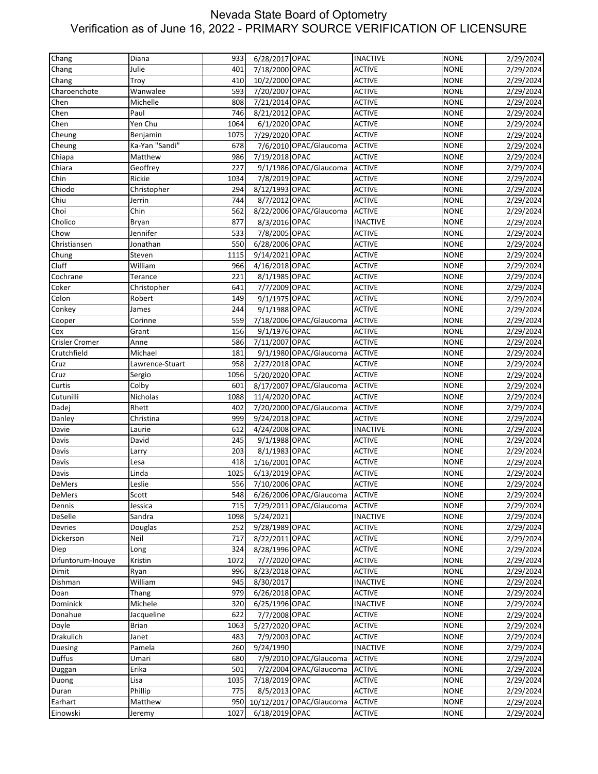| 2/29/2024 |
|-----------|
| 2/29/2024 |
| 2/29/2024 |
| 2/29/2024 |
| 2/29/2024 |
| 2/29/2024 |
| 2/29/2024 |
| 2/29/2024 |
| 2/29/2024 |
| 2/29/2024 |
|           |
| 2/29/2024 |
| 2/29/2024 |
| 2/29/2024 |
| 2/29/2024 |
| 2/29/2024 |
| 2/29/2024 |
| 2/29/2024 |
| 2/29/2024 |
| 2/29/2024 |
| 2/29/2024 |
|           |
| 2/29/2024 |
| 2/29/2024 |
| 2/29/2024 |
| 2/29/2024 |
| 2/29/2024 |
| 2/29/2024 |
| 2/29/2024 |
| 2/29/2024 |
| 2/29/2024 |
|           |
| 2/29/2024 |
| 2/29/2024 |
| 2/29/2024 |
| 2/29/2024 |
| 2/29/2024 |
| 2/29/2024 |
| 2/29/2024 |
| 2/29/2024 |
| 2/29/2024 |
| 2/29/2024 |
| 2/29/2024 |
| 2/29/2024 |
|           |
| 2/29/2024 |
| 2/29/2024 |
| 2/29/2024 |
| 2/29/2024 |
| 2/29/2024 |
| 2/29/2024 |
| 2/29/2024 |
| 2/29/2024 |
| 2/29/2024 |
| 2/29/2024 |
| 2/29/2024 |
| 2/29/2024 |
| 2/29/2024 |
|           |
| 2/29/2024 |
| 2/29/2024 |
| 2/29/2024 |
| 2/29/2024 |
| 2/29/2024 |
| 2/29/2024 |
| 2/29/2024 |
|           |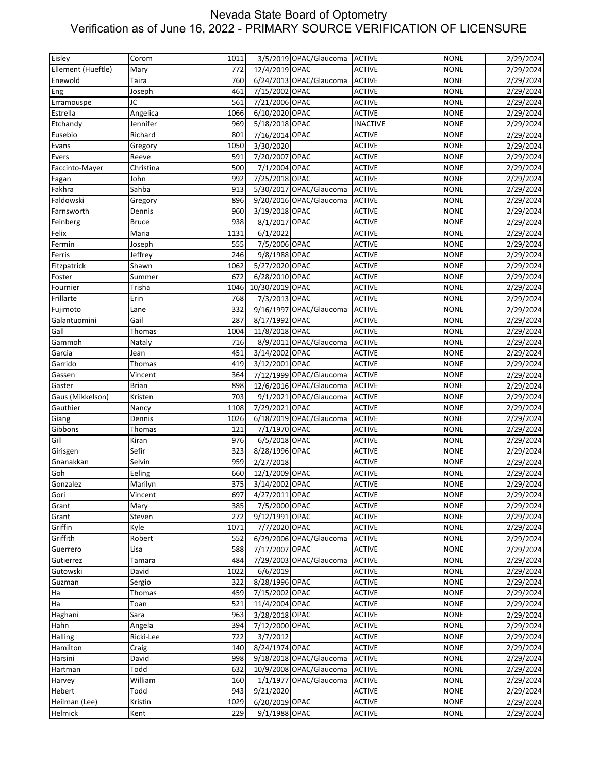| Eisley             | Corom        | 1011        |                           | 3/5/2019 OPAC/Glaucoma  | <b>ACTIVE</b>                  | <b>NONE</b>                | 2/29/2024 |
|--------------------|--------------|-------------|---------------------------|-------------------------|--------------------------------|----------------------------|-----------|
| Ellement (Hueftle) | Mary         | 772         | 12/4/2019 OPAC            |                         | <b>ACTIVE</b>                  | <b>NONE</b>                | 2/29/2024 |
| Enewold            | Taira        | 760         |                           | 6/24/2013 OPAC/Glaucoma | <b>ACTIVE</b>                  | <b>NONE</b>                | 2/29/2024 |
| Eng                | Joseph       | 461         | 7/15/2002 OPAC            |                         | <b>ACTIVE</b>                  | <b>NONE</b>                | 2/29/2024 |
| Erramouspe         | JC           | 561         | 7/21/2006 OPAC            |                         | <b>ACTIVE</b>                  | <b>NONE</b>                | 2/29/2024 |
| Estrella           | Angelica     | 1066        | 6/10/2020 OPAC            |                         | <b>ACTIVE</b>                  | <b>NONE</b>                | 2/29/2024 |
| Etchandy           | Jennifer     | 969         | 5/18/2018 OPAC            |                         | <b>INACTIVE</b>                | <b>NONE</b>                | 2/29/2024 |
| Eusebio            | Richard      | 801         | 7/16/2014 OPAC            |                         | <b>ACTIVE</b>                  | <b>NONE</b>                | 2/29/2024 |
| Evans              | Gregory      | 1050        | 3/30/2020                 |                         | <b>ACTIVE</b>                  | <b>NONE</b>                | 2/29/2024 |
| Evers              | Reeve        | 591         | 7/20/2007 OPAC            |                         | <b>ACTIVE</b>                  | <b>NONE</b>                | 2/29/2024 |
| Faccinto-Mayer     | Christina    | 500         | 7/1/2004 OPAC             |                         | <b>ACTIVE</b>                  | <b>NONE</b>                | 2/29/2024 |
| Fagan              | John         | 992         | 7/25/2018 OPAC            |                         | <b>ACTIVE</b>                  | <b>NONE</b>                | 2/29/2024 |
| Fakhra             | Sahba        | 913         |                           | 5/30/2017 OPAC/Glaucoma | <b>ACTIVE</b>                  | <b>NONE</b>                | 2/29/2024 |
| Faldowski          | Gregory      | 896         |                           | 9/20/2016 OPAC/Glaucoma | <b>ACTIVE</b>                  | <b>NONE</b>                | 2/29/2024 |
| Farnsworth         | Dennis       | 960         | 3/19/2018 OPAC            |                         | <b>ACTIVE</b>                  | <b>NONE</b>                | 2/29/2024 |
|                    |              | 938         | 8/1/2017 OPAC             |                         | <b>ACTIVE</b>                  | <b>NONE</b>                |           |
| Feinberg           | <b>Bruce</b> |             |                           |                         |                                |                            | 2/29/2024 |
| Felix              | Maria        | 1131<br>555 | 6/1/2022<br>7/5/2006 OPAC |                         | <b>ACTIVE</b><br><b>ACTIVE</b> | <b>NONE</b><br><b>NONE</b> | 2/29/2024 |
| Fermin             | Joseph       | 246         |                           |                         |                                | <b>NONE</b>                | 2/29/2024 |
| Ferris             | Jeffrey      |             | 9/8/1988 OPAC             |                         | <b>ACTIVE</b>                  |                            | 2/29/2024 |
| Fitzpatrick        | Shawn        | 1062        | 5/27/2020 OPAC            |                         | <b>ACTIVE</b>                  | <b>NONE</b>                | 2/29/2024 |
| Foster             | Summer       | 672         | 6/28/2010 OPAC            |                         | <b>ACTIVE</b>                  | <b>NONE</b>                | 2/29/2024 |
| Fournier           | Trisha       | 1046        | 10/30/2019 OPAC           |                         | <b>ACTIVE</b>                  | <b>NONE</b>                | 2/29/2024 |
| Frillarte          | Erin         | 768         | 7/3/2013 OPAC             |                         | <b>ACTIVE</b>                  | <b>NONE</b>                | 2/29/2024 |
| Fujimoto           | Lane         | 332         |                           | 9/16/1997 OPAC/Glaucoma | <b>ACTIVE</b>                  | <b>NONE</b>                | 2/29/2024 |
| Galantuomini       | Gail         | 287         | 8/17/1992 OPAC            |                         | <b>ACTIVE</b>                  | <b>NONE</b>                | 2/29/2024 |
| Gall               | Thomas       | 1004        | 11/8/2018 OPAC            |                         | <b>ACTIVE</b>                  | <b>NONE</b>                | 2/29/2024 |
| Gammoh             | Nataly       | 716         |                           | 8/9/2011 OPAC/Glaucoma  | <b>ACTIVE</b>                  | <b>NONE</b>                | 2/29/2024 |
| Garcia             | Jean         | 451         | 3/14/2002 OPAC            |                         | <b>ACTIVE</b>                  | <b>NONE</b>                | 2/29/2024 |
| Garrido            | Thomas       | 419         | 3/12/2001 OPAC            |                         | <b>ACTIVE</b>                  | <b>NONE</b>                | 2/29/2024 |
| Gassen             | Vincent      | 364         |                           | 7/12/1999 OPAC/Glaucoma | <b>ACTIVE</b>                  | <b>NONE</b>                | 2/29/2024 |
| Gaster             | <b>Brian</b> | 898         |                           | 12/6/2016 OPAC/Glaucoma | <b>ACTIVE</b>                  | <b>NONE</b>                | 2/29/2024 |
| Gaus (Mikkelson)   | Kristen      | 703         |                           | 9/1/2021 OPAC/Glaucoma  | <b>ACTIVE</b>                  | <b>NONE</b>                | 2/29/2024 |
| Gauthier           | Nancy        | 1108        | 7/29/2021 OPAC            |                         | <b>ACTIVE</b>                  | <b>NONE</b>                | 2/29/2024 |
| Giang              | Dennis       | 1026        |                           | 6/18/2019 OPAC/Glaucoma | <b>ACTIVE</b>                  | <b>NONE</b>                | 2/29/2024 |
| Gibbons            | Thomas       | 121         | 7/1/1970 OPAC             |                         | <b>ACTIVE</b>                  | <b>NONE</b>                | 2/29/2024 |
| Gill               | Kiran        | 976         | 6/5/2018 OPAC             |                         | <b>ACTIVE</b>                  | <b>NONE</b>                | 2/29/2024 |
| Girisgen           | Sefir        | 323         | 8/28/1996 OPAC            |                         | <b>ACTIVE</b>                  | <b>NONE</b>                | 2/29/2024 |
| Gnanakkan          | Selvin       | 959         | 2/27/2018                 |                         | <b>ACTIVE</b>                  | <b>NONE</b>                | 2/29/2024 |
| Goh                | Eeling       | 660         | 12/1/2009 OPAC            |                         | <b>ACTIVE</b>                  | <b>NONE</b>                | 2/29/2024 |
| Gonzalez           | Marilyn      | 375         | 3/14/2002 OPAC            |                         | <b>ACTIVE</b>                  | <b>NONE</b>                | 2/29/2024 |
| Gori               | Vincent      | 697         | 4/27/2011 OPAC            |                         | <b>ACTIVE</b>                  | <b>NONE</b>                | 2/29/2024 |
| Grant              | Mary         | 385         | 7/5/2000 OPAC             |                         | <b>ACTIVE</b>                  | <b>NONE</b>                | 2/29/2024 |
| Grant              | Steven       | 272         | 9/12/1991 OPAC            |                         | <b>ACTIVE</b>                  | <b>NONE</b>                | 2/29/2024 |
| Griffin            | Kyle         | 1071        | 7/7/2020 OPAC             |                         | <b>ACTIVE</b>                  | <b>NONE</b>                | 2/29/2024 |
| Griffith           | Robert       | 552         |                           | 6/29/2006 OPAC/Glaucoma | <b>ACTIVE</b>                  | <b>NONE</b>                | 2/29/2024 |
| Guerrero           | Lisa         | 588         | 7/17/2007 OPAC            |                         | <b>ACTIVE</b>                  | <b>NONE</b>                | 2/29/2024 |
| Gutierrez          | Tamara       | 484         |                           | 7/29/2003 OPAC/Glaucoma | <b>ACTIVE</b>                  | <b>NONE</b>                | 2/29/2024 |
| Gutowski           | David        | 1022        | 6/6/2019                  |                         | <b>ACTIVE</b>                  | <b>NONE</b>                | 2/29/2024 |
| Guzman             | Sergio       | 322         | 8/28/1996 OPAC            |                         | <b>ACTIVE</b>                  | <b>NONE</b>                | 2/29/2024 |
| Ha                 | Thomas       | 459         | 7/15/2002 OPAC            |                         | <b>ACTIVE</b>                  | <b>NONE</b>                | 2/29/2024 |
| Ha                 | Toan         | 521         | 11/4/2004 OPAC            |                         | <b>ACTIVE</b>                  | <b>NONE</b>                | 2/29/2024 |
| Haghani            | Sara         | 963         | 3/28/2018 OPAC            |                         | <b>ACTIVE</b>                  | <b>NONE</b>                | 2/29/2024 |
| Hahn               | Angela       | 394         | 7/12/2000 OPAC            |                         | <b>ACTIVE</b>                  | <b>NONE</b>                | 2/29/2024 |
| Halling            | Ricki-Lee    | 722         | 3/7/2012                  |                         | <b>ACTIVE</b>                  | <b>NONE</b>                | 2/29/2024 |
| Hamilton           | Craig        | 140         | 8/24/1974 OPAC            |                         | <b>ACTIVE</b>                  | <b>NONE</b>                | 2/29/2024 |
| Harsini            | David        | 998         |                           | 9/18/2018 OPAC/Glaucoma | <b>ACTIVE</b>                  | <b>NONE</b>                | 2/29/2024 |
| Hartman            | Todd         | 632         |                           | 10/9/2008 OPAC/Glaucoma | <b>ACTIVE</b>                  | <b>NONE</b>                | 2/29/2024 |
| Harvey             | William      | 160         |                           | 1/1/1977 OPAC/Glaucoma  | <b>ACTIVE</b>                  | <b>NONE</b>                | 2/29/2024 |
| Hebert             | Todd         | 943         | 9/21/2020                 |                         | <b>ACTIVE</b>                  | <b>NONE</b>                | 2/29/2024 |
| Heilman (Lee)      | Kristin      | 1029        | 6/20/2019 OPAC            |                         | <b>ACTIVE</b>                  | <b>NONE</b>                | 2/29/2024 |
| Helmick            | Kent         | 229         | 9/1/1988 OPAC             |                         | <b>ACTIVE</b>                  | <b>NONE</b>                | 2/29/2024 |
|                    |              |             |                           |                         |                                |                            |           |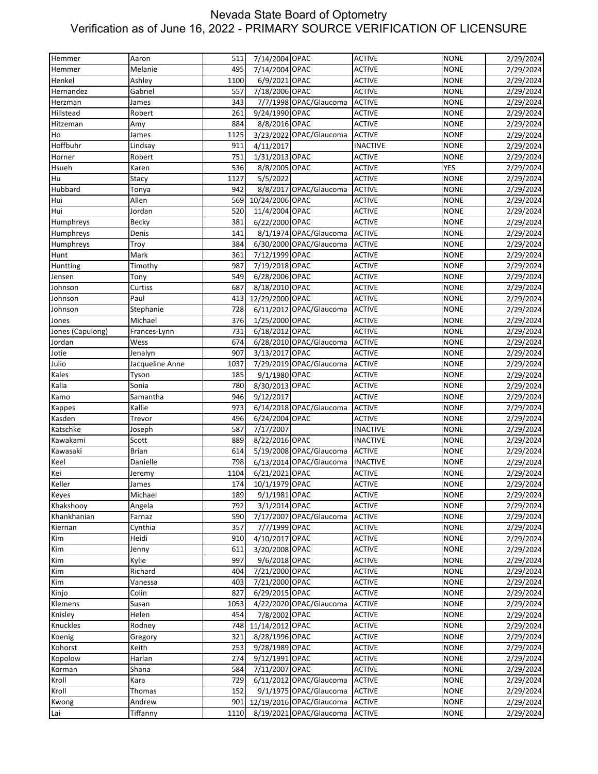| 7/14/2004 OPAC<br>Melanie<br>495<br><b>ACTIVE</b><br><b>NONE</b><br>2/29/2024<br>Hemmer<br>6/9/2021 OPAC<br>Henkel<br>Ashley<br>1100<br><b>ACTIVE</b><br><b>NONE</b><br>2/29/2024<br>7/18/2006 OPAC<br>557<br><b>ACTIVE</b><br><b>NONE</b><br>2/29/2024<br>Gabriel<br>Hernandez<br>7/7/1998 OPAC/Glaucoma<br><b>ACTIVE</b><br>James<br>343<br><b>NONE</b><br>2/29/2024<br>Herzman<br>9/24/1990 OPAC<br><b>ACTIVE</b><br>2/29/2024<br>Hillstead<br>261<br><b>NONE</b><br>Robert<br>8/8/2016 OPAC<br><b>ACTIVE</b><br>Hitzeman<br>884<br><b>NONE</b><br>2/29/2024<br>Amy<br>1125<br>3/23/2022 OPAC/Glaucoma<br><b>ACTIVE</b><br><b>NONE</b><br>2/29/2024<br>Ho<br>James<br>Hoffbuhr<br>911<br><b>INACTIVE</b><br><b>NONE</b><br>Lindsay<br>4/11/2017<br>2/29/2024<br>1/31/2013 OPAC<br>751<br><b>ACTIVE</b><br><b>NONE</b><br>2/29/2024<br>Horner<br>Robert<br>Hsueh<br>536<br>8/8/2005 OPAC<br><b>YES</b><br><b>ACTIVE</b><br>2/29/2024<br>Karen<br>1127<br>5/5/2022<br>Hu<br>Stacy<br><b>ACTIVE</b><br><b>NONE</b><br>2/29/2024<br>8/8/2017 OPAC/Glaucoma<br><b>ACTIVE</b><br><b>NONE</b><br>942<br>2/29/2024<br>Tonya<br><b>ACTIVE</b><br>Hui<br>Allen<br>569<br>10/24/2006 OPAC<br><b>NONE</b><br>2/29/2024<br>11/4/2004 OPAC<br>Hui<br>Jordan<br>520<br><b>ACTIVE</b><br><b>NONE</b><br>2/29/2024<br>6/22/2000 OPAC<br>Humphreys<br><b>ACTIVE</b><br><b>NONE</b><br>Becky<br>381<br>2/29/2024<br>8/1/1974 OPAC/Glaucoma<br>141<br><b>ACTIVE</b><br><b>NONE</b><br>Humphreys<br>Denis<br>2/29/2024<br>384<br>6/30/2000 OPAC/Glaucoma<br><b>ACTIVE</b><br><b>NONE</b><br>Humphreys<br>Troy<br>2/29/2024<br>Mark<br>7/12/1999 OPAC<br>361<br><b>ACTIVE</b><br><b>NONE</b><br>2/29/2024<br>Hunt<br>7/19/2018 OPAC<br><b>ACTIVE</b><br><b>NONE</b><br>2/29/2024<br>987<br>Huntting<br>Timothy<br>6/28/2006 OPAC<br><b>ACTIVE</b><br>Jensen<br>549<br><b>NONE</b><br>2/29/2024<br>Tony<br>Johnson<br>Curtiss<br>687<br>8/18/2010 OPAC<br><b>ACTIVE</b><br><b>NONE</b><br>2/29/2024<br>Johnson<br>Paul<br>413<br>12/29/2000 OPAC<br><b>ACTIVE</b><br><b>NONE</b><br>2/29/2024<br>728<br>6/11/2012 OPAC/Glaucoma<br><b>ACTIVE</b><br><b>NONE</b><br>Johnson<br>Stephanie<br>2/29/2024<br>Michael<br>376<br>1/25/2000 OPAC<br><b>ACTIVE</b><br><b>NONE</b><br>2/29/2024<br>Jones<br>6/18/2012 OPAC<br>731<br><b>ACTIVE</b><br><b>NONE</b><br>Frances-Lynn<br>2/29/2024<br>6/28/2010 OPAC/Glaucoma<br><b>ACTIVE</b><br>2/29/2024<br>Jordan<br>Wess<br>674<br><b>NONE</b><br>3/13/2017 OPAC<br><b>ACTIVE</b><br>Jotie<br>Jenalyn<br>907<br><b>NONE</b><br>2/29/2024<br>7/29/2019 OPAC/Glaucoma<br>Julio<br>Jacqueline Anne<br>1037<br><b>ACTIVE</b><br><b>NONE</b><br>2/29/2024<br>Kales<br>185<br>9/1/1980 OPAC<br><b>ACTIVE</b><br><b>NONE</b><br>Tyson<br>2/29/2024<br>8/30/2013 OPAC<br>Kalia<br>Sonia<br>780<br><b>ACTIVE</b><br><b>NONE</b><br>2/29/2024<br>9/12/2017<br>Samantha<br>946<br><b>ACTIVE</b><br><b>NONE</b><br>2/29/2024<br>Kamo<br>6/14/2018 OPAC/Glaucoma<br>Kallie<br>973<br><b>ACTIVE</b><br><b>NONE</b><br>2/29/2024<br>Kappes<br><b>ACTIVE</b><br><b>NONE</b><br>Kasden<br>Trevor<br>496<br>6/24/2004 OPAC<br>2/29/2024<br>Katschke<br>7/17/2007<br><b>INACTIVE</b><br>587<br><b>NONE</b><br>2/29/2024<br>Joseph<br>8/22/2016 OPAC<br><b>INACTIVE</b><br>2/29/2024<br>Kawakami<br>Scott<br>889<br><b>NONE</b><br>5/19/2008 OPAC/Glaucoma<br><b>ACTIVE</b><br>Kawasaki<br><b>Brian</b><br>614<br><b>NONE</b><br>2/29/2024<br>Danielle<br>798<br>6/13/2014 OPAC/Glaucoma<br><b>INACTIVE</b><br><b>NONE</b><br>Keel<br>2/29/2024<br>Kei<br>1104<br>6/21/2021 OPAC<br><b>ACTIVE</b><br><b>NONE</b><br>2/29/2024<br>Jeremy<br>Keller<br>174<br>10/1/1979 OPAC<br>2/29/2024<br><b>ACTIVE</b><br><b>NONE</b><br>James<br>9/1/1981 OPAC<br><b>NONE</b><br>Michael<br>189<br><b>ACTIVE</b><br>3/1/2014 OPAC<br><b>ACTIVE</b><br><b>NONE</b><br>2/29/2024<br>Angela<br>792<br><b>ACTIVE</b><br>Farnaz<br>590<br>7/17/2007 OPAC/Glaucoma<br><b>NONE</b><br>2/29/2024<br>7/7/1999 OPAC<br>Cynthia<br>357<br><b>ACTIVE</b><br><b>NONE</b><br>4/10/2017 OPAC<br>Heidi<br><b>ACTIVE</b><br><b>NONE</b><br>910<br>611<br>3/20/2008 OPAC<br><b>ACTIVE</b><br><b>NONE</b><br>2/29/2024<br>Jenny<br>Kim<br>Kylie<br>997<br>9/6/2018 OPAC<br><b>ACTIVE</b><br><b>NONE</b><br>2/29/2024<br>Kim<br>7/21/2000 OPAC<br>Richard<br><b>ACTIVE</b><br><b>NONE</b><br>2/29/2024<br>404<br>7/21/2000 OPAC<br>Kim<br>403<br><b>ACTIVE</b><br><b>NONE</b><br>2/29/2024<br>Vanessa<br>6/29/2015 OPAC<br>Kinjo<br>Colin<br>827<br><b>ACTIVE</b><br><b>NONE</b><br>2/29/2024<br>Klemens<br>1053<br>4/22/2020 OPAC/Glaucoma<br><b>ACTIVE</b><br><b>NONE</b><br>Susan<br>2/29/2024<br>7/8/2002 OPAC<br><b>ACTIVE</b><br><b>NONE</b><br>2/29/2024<br>Knisley<br>Helen<br>454<br>Knuckles<br>11/14/2012 OPAC<br>Rodney<br>748<br><b>ACTIVE</b><br><b>NONE</b><br>2/29/2024<br>8/28/1996 OPAC<br><b>ACTIVE</b><br><b>NONE</b><br>Koenig<br>321<br>2/29/2024<br>Gregory<br>9/28/1989 OPAC<br><b>ACTIVE</b><br>Kohorst<br>Keith<br>253<br><b>NONE</b><br>2/29/2024<br>9/12/1991 OPAC<br><b>ACTIVE</b><br><b>NONE</b><br>2/29/2024<br>Harlan<br>274<br>7/11/2007 OPAC<br><b>ACTIVE</b><br>Shana<br>584<br><b>NONE</b><br>2/29/2024<br>6/11/2012 OPAC/Glaucoma<br><b>ACTIVE</b><br>729<br><b>NONE</b><br>2/29/2024<br>Kara<br>9/1/1975 OPAC/Glaucoma<br><b>ACTIVE</b><br>Thomas<br>152<br><b>NONE</b><br>12/19/2016 OPAC/Glaucoma<br>Andrew<br><b>ACTIVE</b><br><b>NONE</b><br>901<br>Tiffanny<br>8/19/2021 OPAC/Glaucoma<br>1110<br><b>ACTIVE</b><br><b>NONE</b><br>2/29/2024 | Hemmer           | Aaron | 511 | 7/14/2004 OPAC | <b>ACTIVE</b> | <b>NONE</b> | 2/29/2024 |
|------------------------------------------------------------------------------------------------------------------------------------------------------------------------------------------------------------------------------------------------------------------------------------------------------------------------------------------------------------------------------------------------------------------------------------------------------------------------------------------------------------------------------------------------------------------------------------------------------------------------------------------------------------------------------------------------------------------------------------------------------------------------------------------------------------------------------------------------------------------------------------------------------------------------------------------------------------------------------------------------------------------------------------------------------------------------------------------------------------------------------------------------------------------------------------------------------------------------------------------------------------------------------------------------------------------------------------------------------------------------------------------------------------------------------------------------------------------------------------------------------------------------------------------------------------------------------------------------------------------------------------------------------------------------------------------------------------------------------------------------------------------------------------------------------------------------------------------------------------------------------------------------------------------------------------------------------------------------------------------------------------------------------------------------------------------------------------------------------------------------------------------------------------------------------------------------------------------------------------------------------------------------------------------------------------------------------------------------------------------------------------------------------------------------------------------------------------------------------------------------------------------------------------------------------------------------------------------------------------------------------------------------------------------------------------------------------------------------------------------------------------------------------------------------------------------------------------------------------------------------------------------------------------------------------------------------------------------------------------------------------------------------------------------------------------------------------------------------------------------------------------------------------------------------------------------------------------------------------------------------------------------------------------------------------------------------------------------------------------------------------------------------------------------------------------------------------------------------------------------------------------------------------------------------------------------------------------------------------------------------------------------------------------------------------------------------------------------------------------------------------------------------------------------------------------------------------------------------------------------------------------------------------------------------------------------------------------------------------------------------------------------------------------------------------------------------------------------------------------------------------------------------------------------------------------------------------------------------------------------------------------------------------------------------------------------------------------------------------------------------------------------------------------------------------------------------------------------------------------------------------------------------------------------------------------------------------------------------------------------------------------------------------------------------------------------------------------------------------------------------------------------------------------------------------------------------------------------------------------------------------------------------------------------------------------------------------------------------------------------------------------------------------------------------------------------------------------------------------------------------------------------------------------------------------------------------------------------------------------------------------------------------------------------------------------------------------------------------------------------------------------------------------------------------------------------------------------------------------------------------------------------------------------------------------|------------------|-------|-----|----------------|---------------|-------------|-----------|
|                                                                                                                                                                                                                                                                                                                                                                                                                                                                                                                                                                                                                                                                                                                                                                                                                                                                                                                                                                                                                                                                                                                                                                                                                                                                                                                                                                                                                                                                                                                                                                                                                                                                                                                                                                                                                                                                                                                                                                                                                                                                                                                                                                                                                                                                                                                                                                                                                                                                                                                                                                                                                                                                                                                                                                                                                                                                                                                                                                                                                                                                                                                                                                                                                                                                                                                                                                                                                                                                                                                                                                                                                                                                                                                                                                                                                                                                                                                                                                                                                                                                                                                                                                                                                                                                                                                                                                                                                                                                                                                                                                                                                                                                                                                                                                                                                                                                                                                                                                                                                                                                                                                                                                                                                                                                                                                                                                                                                                                                                                                                                      |                  |       |     |                |               |             |           |
|                                                                                                                                                                                                                                                                                                                                                                                                                                                                                                                                                                                                                                                                                                                                                                                                                                                                                                                                                                                                                                                                                                                                                                                                                                                                                                                                                                                                                                                                                                                                                                                                                                                                                                                                                                                                                                                                                                                                                                                                                                                                                                                                                                                                                                                                                                                                                                                                                                                                                                                                                                                                                                                                                                                                                                                                                                                                                                                                                                                                                                                                                                                                                                                                                                                                                                                                                                                                                                                                                                                                                                                                                                                                                                                                                                                                                                                                                                                                                                                                                                                                                                                                                                                                                                                                                                                                                                                                                                                                                                                                                                                                                                                                                                                                                                                                                                                                                                                                                                                                                                                                                                                                                                                                                                                                                                                                                                                                                                                                                                                                                      |                  |       |     |                |               |             |           |
|                                                                                                                                                                                                                                                                                                                                                                                                                                                                                                                                                                                                                                                                                                                                                                                                                                                                                                                                                                                                                                                                                                                                                                                                                                                                                                                                                                                                                                                                                                                                                                                                                                                                                                                                                                                                                                                                                                                                                                                                                                                                                                                                                                                                                                                                                                                                                                                                                                                                                                                                                                                                                                                                                                                                                                                                                                                                                                                                                                                                                                                                                                                                                                                                                                                                                                                                                                                                                                                                                                                                                                                                                                                                                                                                                                                                                                                                                                                                                                                                                                                                                                                                                                                                                                                                                                                                                                                                                                                                                                                                                                                                                                                                                                                                                                                                                                                                                                                                                                                                                                                                                                                                                                                                                                                                                                                                                                                                                                                                                                                                                      |                  |       |     |                |               |             |           |
|                                                                                                                                                                                                                                                                                                                                                                                                                                                                                                                                                                                                                                                                                                                                                                                                                                                                                                                                                                                                                                                                                                                                                                                                                                                                                                                                                                                                                                                                                                                                                                                                                                                                                                                                                                                                                                                                                                                                                                                                                                                                                                                                                                                                                                                                                                                                                                                                                                                                                                                                                                                                                                                                                                                                                                                                                                                                                                                                                                                                                                                                                                                                                                                                                                                                                                                                                                                                                                                                                                                                                                                                                                                                                                                                                                                                                                                                                                                                                                                                                                                                                                                                                                                                                                                                                                                                                                                                                                                                                                                                                                                                                                                                                                                                                                                                                                                                                                                                                                                                                                                                                                                                                                                                                                                                                                                                                                                                                                                                                                                                                      |                  |       |     |                |               |             |           |
|                                                                                                                                                                                                                                                                                                                                                                                                                                                                                                                                                                                                                                                                                                                                                                                                                                                                                                                                                                                                                                                                                                                                                                                                                                                                                                                                                                                                                                                                                                                                                                                                                                                                                                                                                                                                                                                                                                                                                                                                                                                                                                                                                                                                                                                                                                                                                                                                                                                                                                                                                                                                                                                                                                                                                                                                                                                                                                                                                                                                                                                                                                                                                                                                                                                                                                                                                                                                                                                                                                                                                                                                                                                                                                                                                                                                                                                                                                                                                                                                                                                                                                                                                                                                                                                                                                                                                                                                                                                                                                                                                                                                                                                                                                                                                                                                                                                                                                                                                                                                                                                                                                                                                                                                                                                                                                                                                                                                                                                                                                                                                      |                  |       |     |                |               |             |           |
|                                                                                                                                                                                                                                                                                                                                                                                                                                                                                                                                                                                                                                                                                                                                                                                                                                                                                                                                                                                                                                                                                                                                                                                                                                                                                                                                                                                                                                                                                                                                                                                                                                                                                                                                                                                                                                                                                                                                                                                                                                                                                                                                                                                                                                                                                                                                                                                                                                                                                                                                                                                                                                                                                                                                                                                                                                                                                                                                                                                                                                                                                                                                                                                                                                                                                                                                                                                                                                                                                                                                                                                                                                                                                                                                                                                                                                                                                                                                                                                                                                                                                                                                                                                                                                                                                                                                                                                                                                                                                                                                                                                                                                                                                                                                                                                                                                                                                                                                                                                                                                                                                                                                                                                                                                                                                                                                                                                                                                                                                                                                                      |                  |       |     |                |               |             |           |
|                                                                                                                                                                                                                                                                                                                                                                                                                                                                                                                                                                                                                                                                                                                                                                                                                                                                                                                                                                                                                                                                                                                                                                                                                                                                                                                                                                                                                                                                                                                                                                                                                                                                                                                                                                                                                                                                                                                                                                                                                                                                                                                                                                                                                                                                                                                                                                                                                                                                                                                                                                                                                                                                                                                                                                                                                                                                                                                                                                                                                                                                                                                                                                                                                                                                                                                                                                                                                                                                                                                                                                                                                                                                                                                                                                                                                                                                                                                                                                                                                                                                                                                                                                                                                                                                                                                                                                                                                                                                                                                                                                                                                                                                                                                                                                                                                                                                                                                                                                                                                                                                                                                                                                                                                                                                                                                                                                                                                                                                                                                                                      |                  |       |     |                |               |             |           |
|                                                                                                                                                                                                                                                                                                                                                                                                                                                                                                                                                                                                                                                                                                                                                                                                                                                                                                                                                                                                                                                                                                                                                                                                                                                                                                                                                                                                                                                                                                                                                                                                                                                                                                                                                                                                                                                                                                                                                                                                                                                                                                                                                                                                                                                                                                                                                                                                                                                                                                                                                                                                                                                                                                                                                                                                                                                                                                                                                                                                                                                                                                                                                                                                                                                                                                                                                                                                                                                                                                                                                                                                                                                                                                                                                                                                                                                                                                                                                                                                                                                                                                                                                                                                                                                                                                                                                                                                                                                                                                                                                                                                                                                                                                                                                                                                                                                                                                                                                                                                                                                                                                                                                                                                                                                                                                                                                                                                                                                                                                                                                      |                  |       |     |                |               |             |           |
|                                                                                                                                                                                                                                                                                                                                                                                                                                                                                                                                                                                                                                                                                                                                                                                                                                                                                                                                                                                                                                                                                                                                                                                                                                                                                                                                                                                                                                                                                                                                                                                                                                                                                                                                                                                                                                                                                                                                                                                                                                                                                                                                                                                                                                                                                                                                                                                                                                                                                                                                                                                                                                                                                                                                                                                                                                                                                                                                                                                                                                                                                                                                                                                                                                                                                                                                                                                                                                                                                                                                                                                                                                                                                                                                                                                                                                                                                                                                                                                                                                                                                                                                                                                                                                                                                                                                                                                                                                                                                                                                                                                                                                                                                                                                                                                                                                                                                                                                                                                                                                                                                                                                                                                                                                                                                                                                                                                                                                                                                                                                                      |                  |       |     |                |               |             |           |
|                                                                                                                                                                                                                                                                                                                                                                                                                                                                                                                                                                                                                                                                                                                                                                                                                                                                                                                                                                                                                                                                                                                                                                                                                                                                                                                                                                                                                                                                                                                                                                                                                                                                                                                                                                                                                                                                                                                                                                                                                                                                                                                                                                                                                                                                                                                                                                                                                                                                                                                                                                                                                                                                                                                                                                                                                                                                                                                                                                                                                                                                                                                                                                                                                                                                                                                                                                                                                                                                                                                                                                                                                                                                                                                                                                                                                                                                                                                                                                                                                                                                                                                                                                                                                                                                                                                                                                                                                                                                                                                                                                                                                                                                                                                                                                                                                                                                                                                                                                                                                                                                                                                                                                                                                                                                                                                                                                                                                                                                                                                                                      |                  |       |     |                |               |             |           |
|                                                                                                                                                                                                                                                                                                                                                                                                                                                                                                                                                                                                                                                                                                                                                                                                                                                                                                                                                                                                                                                                                                                                                                                                                                                                                                                                                                                                                                                                                                                                                                                                                                                                                                                                                                                                                                                                                                                                                                                                                                                                                                                                                                                                                                                                                                                                                                                                                                                                                                                                                                                                                                                                                                                                                                                                                                                                                                                                                                                                                                                                                                                                                                                                                                                                                                                                                                                                                                                                                                                                                                                                                                                                                                                                                                                                                                                                                                                                                                                                                                                                                                                                                                                                                                                                                                                                                                                                                                                                                                                                                                                                                                                                                                                                                                                                                                                                                                                                                                                                                                                                                                                                                                                                                                                                                                                                                                                                                                                                                                                                                      |                  |       |     |                |               |             |           |
|                                                                                                                                                                                                                                                                                                                                                                                                                                                                                                                                                                                                                                                                                                                                                                                                                                                                                                                                                                                                                                                                                                                                                                                                                                                                                                                                                                                                                                                                                                                                                                                                                                                                                                                                                                                                                                                                                                                                                                                                                                                                                                                                                                                                                                                                                                                                                                                                                                                                                                                                                                                                                                                                                                                                                                                                                                                                                                                                                                                                                                                                                                                                                                                                                                                                                                                                                                                                                                                                                                                                                                                                                                                                                                                                                                                                                                                                                                                                                                                                                                                                                                                                                                                                                                                                                                                                                                                                                                                                                                                                                                                                                                                                                                                                                                                                                                                                                                                                                                                                                                                                                                                                                                                                                                                                                                                                                                                                                                                                                                                                                      |                  |       |     |                |               |             |           |
|                                                                                                                                                                                                                                                                                                                                                                                                                                                                                                                                                                                                                                                                                                                                                                                                                                                                                                                                                                                                                                                                                                                                                                                                                                                                                                                                                                                                                                                                                                                                                                                                                                                                                                                                                                                                                                                                                                                                                                                                                                                                                                                                                                                                                                                                                                                                                                                                                                                                                                                                                                                                                                                                                                                                                                                                                                                                                                                                                                                                                                                                                                                                                                                                                                                                                                                                                                                                                                                                                                                                                                                                                                                                                                                                                                                                                                                                                                                                                                                                                                                                                                                                                                                                                                                                                                                                                                                                                                                                                                                                                                                                                                                                                                                                                                                                                                                                                                                                                                                                                                                                                                                                                                                                                                                                                                                                                                                                                                                                                                                                                      | Hubbard          |       |     |                |               |             |           |
|                                                                                                                                                                                                                                                                                                                                                                                                                                                                                                                                                                                                                                                                                                                                                                                                                                                                                                                                                                                                                                                                                                                                                                                                                                                                                                                                                                                                                                                                                                                                                                                                                                                                                                                                                                                                                                                                                                                                                                                                                                                                                                                                                                                                                                                                                                                                                                                                                                                                                                                                                                                                                                                                                                                                                                                                                                                                                                                                                                                                                                                                                                                                                                                                                                                                                                                                                                                                                                                                                                                                                                                                                                                                                                                                                                                                                                                                                                                                                                                                                                                                                                                                                                                                                                                                                                                                                                                                                                                                                                                                                                                                                                                                                                                                                                                                                                                                                                                                                                                                                                                                                                                                                                                                                                                                                                                                                                                                                                                                                                                                                      |                  |       |     |                |               |             |           |
|                                                                                                                                                                                                                                                                                                                                                                                                                                                                                                                                                                                                                                                                                                                                                                                                                                                                                                                                                                                                                                                                                                                                                                                                                                                                                                                                                                                                                                                                                                                                                                                                                                                                                                                                                                                                                                                                                                                                                                                                                                                                                                                                                                                                                                                                                                                                                                                                                                                                                                                                                                                                                                                                                                                                                                                                                                                                                                                                                                                                                                                                                                                                                                                                                                                                                                                                                                                                                                                                                                                                                                                                                                                                                                                                                                                                                                                                                                                                                                                                                                                                                                                                                                                                                                                                                                                                                                                                                                                                                                                                                                                                                                                                                                                                                                                                                                                                                                                                                                                                                                                                                                                                                                                                                                                                                                                                                                                                                                                                                                                                                      |                  |       |     |                |               |             |           |
|                                                                                                                                                                                                                                                                                                                                                                                                                                                                                                                                                                                                                                                                                                                                                                                                                                                                                                                                                                                                                                                                                                                                                                                                                                                                                                                                                                                                                                                                                                                                                                                                                                                                                                                                                                                                                                                                                                                                                                                                                                                                                                                                                                                                                                                                                                                                                                                                                                                                                                                                                                                                                                                                                                                                                                                                                                                                                                                                                                                                                                                                                                                                                                                                                                                                                                                                                                                                                                                                                                                                                                                                                                                                                                                                                                                                                                                                                                                                                                                                                                                                                                                                                                                                                                                                                                                                                                                                                                                                                                                                                                                                                                                                                                                                                                                                                                                                                                                                                                                                                                                                                                                                                                                                                                                                                                                                                                                                                                                                                                                                                      |                  |       |     |                |               |             |           |
|                                                                                                                                                                                                                                                                                                                                                                                                                                                                                                                                                                                                                                                                                                                                                                                                                                                                                                                                                                                                                                                                                                                                                                                                                                                                                                                                                                                                                                                                                                                                                                                                                                                                                                                                                                                                                                                                                                                                                                                                                                                                                                                                                                                                                                                                                                                                                                                                                                                                                                                                                                                                                                                                                                                                                                                                                                                                                                                                                                                                                                                                                                                                                                                                                                                                                                                                                                                                                                                                                                                                                                                                                                                                                                                                                                                                                                                                                                                                                                                                                                                                                                                                                                                                                                                                                                                                                                                                                                                                                                                                                                                                                                                                                                                                                                                                                                                                                                                                                                                                                                                                                                                                                                                                                                                                                                                                                                                                                                                                                                                                                      |                  |       |     |                |               |             |           |
|                                                                                                                                                                                                                                                                                                                                                                                                                                                                                                                                                                                                                                                                                                                                                                                                                                                                                                                                                                                                                                                                                                                                                                                                                                                                                                                                                                                                                                                                                                                                                                                                                                                                                                                                                                                                                                                                                                                                                                                                                                                                                                                                                                                                                                                                                                                                                                                                                                                                                                                                                                                                                                                                                                                                                                                                                                                                                                                                                                                                                                                                                                                                                                                                                                                                                                                                                                                                                                                                                                                                                                                                                                                                                                                                                                                                                                                                                                                                                                                                                                                                                                                                                                                                                                                                                                                                                                                                                                                                                                                                                                                                                                                                                                                                                                                                                                                                                                                                                                                                                                                                                                                                                                                                                                                                                                                                                                                                                                                                                                                                                      |                  |       |     |                |               |             |           |
|                                                                                                                                                                                                                                                                                                                                                                                                                                                                                                                                                                                                                                                                                                                                                                                                                                                                                                                                                                                                                                                                                                                                                                                                                                                                                                                                                                                                                                                                                                                                                                                                                                                                                                                                                                                                                                                                                                                                                                                                                                                                                                                                                                                                                                                                                                                                                                                                                                                                                                                                                                                                                                                                                                                                                                                                                                                                                                                                                                                                                                                                                                                                                                                                                                                                                                                                                                                                                                                                                                                                                                                                                                                                                                                                                                                                                                                                                                                                                                                                                                                                                                                                                                                                                                                                                                                                                                                                                                                                                                                                                                                                                                                                                                                                                                                                                                                                                                                                                                                                                                                                                                                                                                                                                                                                                                                                                                                                                                                                                                                                                      |                  |       |     |                |               |             |           |
|                                                                                                                                                                                                                                                                                                                                                                                                                                                                                                                                                                                                                                                                                                                                                                                                                                                                                                                                                                                                                                                                                                                                                                                                                                                                                                                                                                                                                                                                                                                                                                                                                                                                                                                                                                                                                                                                                                                                                                                                                                                                                                                                                                                                                                                                                                                                                                                                                                                                                                                                                                                                                                                                                                                                                                                                                                                                                                                                                                                                                                                                                                                                                                                                                                                                                                                                                                                                                                                                                                                                                                                                                                                                                                                                                                                                                                                                                                                                                                                                                                                                                                                                                                                                                                                                                                                                                                                                                                                                                                                                                                                                                                                                                                                                                                                                                                                                                                                                                                                                                                                                                                                                                                                                                                                                                                                                                                                                                                                                                                                                                      |                  |       |     |                |               |             |           |
|                                                                                                                                                                                                                                                                                                                                                                                                                                                                                                                                                                                                                                                                                                                                                                                                                                                                                                                                                                                                                                                                                                                                                                                                                                                                                                                                                                                                                                                                                                                                                                                                                                                                                                                                                                                                                                                                                                                                                                                                                                                                                                                                                                                                                                                                                                                                                                                                                                                                                                                                                                                                                                                                                                                                                                                                                                                                                                                                                                                                                                                                                                                                                                                                                                                                                                                                                                                                                                                                                                                                                                                                                                                                                                                                                                                                                                                                                                                                                                                                                                                                                                                                                                                                                                                                                                                                                                                                                                                                                                                                                                                                                                                                                                                                                                                                                                                                                                                                                                                                                                                                                                                                                                                                                                                                                                                                                                                                                                                                                                                                                      |                  |       |     |                |               |             |           |
|                                                                                                                                                                                                                                                                                                                                                                                                                                                                                                                                                                                                                                                                                                                                                                                                                                                                                                                                                                                                                                                                                                                                                                                                                                                                                                                                                                                                                                                                                                                                                                                                                                                                                                                                                                                                                                                                                                                                                                                                                                                                                                                                                                                                                                                                                                                                                                                                                                                                                                                                                                                                                                                                                                                                                                                                                                                                                                                                                                                                                                                                                                                                                                                                                                                                                                                                                                                                                                                                                                                                                                                                                                                                                                                                                                                                                                                                                                                                                                                                                                                                                                                                                                                                                                                                                                                                                                                                                                                                                                                                                                                                                                                                                                                                                                                                                                                                                                                                                                                                                                                                                                                                                                                                                                                                                                                                                                                                                                                                                                                                                      |                  |       |     |                |               |             |           |
|                                                                                                                                                                                                                                                                                                                                                                                                                                                                                                                                                                                                                                                                                                                                                                                                                                                                                                                                                                                                                                                                                                                                                                                                                                                                                                                                                                                                                                                                                                                                                                                                                                                                                                                                                                                                                                                                                                                                                                                                                                                                                                                                                                                                                                                                                                                                                                                                                                                                                                                                                                                                                                                                                                                                                                                                                                                                                                                                                                                                                                                                                                                                                                                                                                                                                                                                                                                                                                                                                                                                                                                                                                                                                                                                                                                                                                                                                                                                                                                                                                                                                                                                                                                                                                                                                                                                                                                                                                                                                                                                                                                                                                                                                                                                                                                                                                                                                                                                                                                                                                                                                                                                                                                                                                                                                                                                                                                                                                                                                                                                                      |                  |       |     |                |               |             |           |
|                                                                                                                                                                                                                                                                                                                                                                                                                                                                                                                                                                                                                                                                                                                                                                                                                                                                                                                                                                                                                                                                                                                                                                                                                                                                                                                                                                                                                                                                                                                                                                                                                                                                                                                                                                                                                                                                                                                                                                                                                                                                                                                                                                                                                                                                                                                                                                                                                                                                                                                                                                                                                                                                                                                                                                                                                                                                                                                                                                                                                                                                                                                                                                                                                                                                                                                                                                                                                                                                                                                                                                                                                                                                                                                                                                                                                                                                                                                                                                                                                                                                                                                                                                                                                                                                                                                                                                                                                                                                                                                                                                                                                                                                                                                                                                                                                                                                                                                                                                                                                                                                                                                                                                                                                                                                                                                                                                                                                                                                                                                                                      |                  |       |     |                |               |             |           |
|                                                                                                                                                                                                                                                                                                                                                                                                                                                                                                                                                                                                                                                                                                                                                                                                                                                                                                                                                                                                                                                                                                                                                                                                                                                                                                                                                                                                                                                                                                                                                                                                                                                                                                                                                                                                                                                                                                                                                                                                                                                                                                                                                                                                                                                                                                                                                                                                                                                                                                                                                                                                                                                                                                                                                                                                                                                                                                                                                                                                                                                                                                                                                                                                                                                                                                                                                                                                                                                                                                                                                                                                                                                                                                                                                                                                                                                                                                                                                                                                                                                                                                                                                                                                                                                                                                                                                                                                                                                                                                                                                                                                                                                                                                                                                                                                                                                                                                                                                                                                                                                                                                                                                                                                                                                                                                                                                                                                                                                                                                                                                      |                  |       |     |                |               |             |           |
|                                                                                                                                                                                                                                                                                                                                                                                                                                                                                                                                                                                                                                                                                                                                                                                                                                                                                                                                                                                                                                                                                                                                                                                                                                                                                                                                                                                                                                                                                                                                                                                                                                                                                                                                                                                                                                                                                                                                                                                                                                                                                                                                                                                                                                                                                                                                                                                                                                                                                                                                                                                                                                                                                                                                                                                                                                                                                                                                                                                                                                                                                                                                                                                                                                                                                                                                                                                                                                                                                                                                                                                                                                                                                                                                                                                                                                                                                                                                                                                                                                                                                                                                                                                                                                                                                                                                                                                                                                                                                                                                                                                                                                                                                                                                                                                                                                                                                                                                                                                                                                                                                                                                                                                                                                                                                                                                                                                                                                                                                                                                                      |                  |       |     |                |               |             |           |
|                                                                                                                                                                                                                                                                                                                                                                                                                                                                                                                                                                                                                                                                                                                                                                                                                                                                                                                                                                                                                                                                                                                                                                                                                                                                                                                                                                                                                                                                                                                                                                                                                                                                                                                                                                                                                                                                                                                                                                                                                                                                                                                                                                                                                                                                                                                                                                                                                                                                                                                                                                                                                                                                                                                                                                                                                                                                                                                                                                                                                                                                                                                                                                                                                                                                                                                                                                                                                                                                                                                                                                                                                                                                                                                                                                                                                                                                                                                                                                                                                                                                                                                                                                                                                                                                                                                                                                                                                                                                                                                                                                                                                                                                                                                                                                                                                                                                                                                                                                                                                                                                                                                                                                                                                                                                                                                                                                                                                                                                                                                                                      | Jones (Capulong) |       |     |                |               |             |           |
|                                                                                                                                                                                                                                                                                                                                                                                                                                                                                                                                                                                                                                                                                                                                                                                                                                                                                                                                                                                                                                                                                                                                                                                                                                                                                                                                                                                                                                                                                                                                                                                                                                                                                                                                                                                                                                                                                                                                                                                                                                                                                                                                                                                                                                                                                                                                                                                                                                                                                                                                                                                                                                                                                                                                                                                                                                                                                                                                                                                                                                                                                                                                                                                                                                                                                                                                                                                                                                                                                                                                                                                                                                                                                                                                                                                                                                                                                                                                                                                                                                                                                                                                                                                                                                                                                                                                                                                                                                                                                                                                                                                                                                                                                                                                                                                                                                                                                                                                                                                                                                                                                                                                                                                                                                                                                                                                                                                                                                                                                                                                                      |                  |       |     |                |               |             |           |
|                                                                                                                                                                                                                                                                                                                                                                                                                                                                                                                                                                                                                                                                                                                                                                                                                                                                                                                                                                                                                                                                                                                                                                                                                                                                                                                                                                                                                                                                                                                                                                                                                                                                                                                                                                                                                                                                                                                                                                                                                                                                                                                                                                                                                                                                                                                                                                                                                                                                                                                                                                                                                                                                                                                                                                                                                                                                                                                                                                                                                                                                                                                                                                                                                                                                                                                                                                                                                                                                                                                                                                                                                                                                                                                                                                                                                                                                                                                                                                                                                                                                                                                                                                                                                                                                                                                                                                                                                                                                                                                                                                                                                                                                                                                                                                                                                                                                                                                                                                                                                                                                                                                                                                                                                                                                                                                                                                                                                                                                                                                                                      |                  |       |     |                |               |             |           |
|                                                                                                                                                                                                                                                                                                                                                                                                                                                                                                                                                                                                                                                                                                                                                                                                                                                                                                                                                                                                                                                                                                                                                                                                                                                                                                                                                                                                                                                                                                                                                                                                                                                                                                                                                                                                                                                                                                                                                                                                                                                                                                                                                                                                                                                                                                                                                                                                                                                                                                                                                                                                                                                                                                                                                                                                                                                                                                                                                                                                                                                                                                                                                                                                                                                                                                                                                                                                                                                                                                                                                                                                                                                                                                                                                                                                                                                                                                                                                                                                                                                                                                                                                                                                                                                                                                                                                                                                                                                                                                                                                                                                                                                                                                                                                                                                                                                                                                                                                                                                                                                                                                                                                                                                                                                                                                                                                                                                                                                                                                                                                      |                  |       |     |                |               |             |           |
|                                                                                                                                                                                                                                                                                                                                                                                                                                                                                                                                                                                                                                                                                                                                                                                                                                                                                                                                                                                                                                                                                                                                                                                                                                                                                                                                                                                                                                                                                                                                                                                                                                                                                                                                                                                                                                                                                                                                                                                                                                                                                                                                                                                                                                                                                                                                                                                                                                                                                                                                                                                                                                                                                                                                                                                                                                                                                                                                                                                                                                                                                                                                                                                                                                                                                                                                                                                                                                                                                                                                                                                                                                                                                                                                                                                                                                                                                                                                                                                                                                                                                                                                                                                                                                                                                                                                                                                                                                                                                                                                                                                                                                                                                                                                                                                                                                                                                                                                                                                                                                                                                                                                                                                                                                                                                                                                                                                                                                                                                                                                                      |                  |       |     |                |               |             |           |
|                                                                                                                                                                                                                                                                                                                                                                                                                                                                                                                                                                                                                                                                                                                                                                                                                                                                                                                                                                                                                                                                                                                                                                                                                                                                                                                                                                                                                                                                                                                                                                                                                                                                                                                                                                                                                                                                                                                                                                                                                                                                                                                                                                                                                                                                                                                                                                                                                                                                                                                                                                                                                                                                                                                                                                                                                                                                                                                                                                                                                                                                                                                                                                                                                                                                                                                                                                                                                                                                                                                                                                                                                                                                                                                                                                                                                                                                                                                                                                                                                                                                                                                                                                                                                                                                                                                                                                                                                                                                                                                                                                                                                                                                                                                                                                                                                                                                                                                                                                                                                                                                                                                                                                                                                                                                                                                                                                                                                                                                                                                                                      |                  |       |     |                |               |             |           |
|                                                                                                                                                                                                                                                                                                                                                                                                                                                                                                                                                                                                                                                                                                                                                                                                                                                                                                                                                                                                                                                                                                                                                                                                                                                                                                                                                                                                                                                                                                                                                                                                                                                                                                                                                                                                                                                                                                                                                                                                                                                                                                                                                                                                                                                                                                                                                                                                                                                                                                                                                                                                                                                                                                                                                                                                                                                                                                                                                                                                                                                                                                                                                                                                                                                                                                                                                                                                                                                                                                                                                                                                                                                                                                                                                                                                                                                                                                                                                                                                                                                                                                                                                                                                                                                                                                                                                                                                                                                                                                                                                                                                                                                                                                                                                                                                                                                                                                                                                                                                                                                                                                                                                                                                                                                                                                                                                                                                                                                                                                                                                      |                  |       |     |                |               |             |           |
|                                                                                                                                                                                                                                                                                                                                                                                                                                                                                                                                                                                                                                                                                                                                                                                                                                                                                                                                                                                                                                                                                                                                                                                                                                                                                                                                                                                                                                                                                                                                                                                                                                                                                                                                                                                                                                                                                                                                                                                                                                                                                                                                                                                                                                                                                                                                                                                                                                                                                                                                                                                                                                                                                                                                                                                                                                                                                                                                                                                                                                                                                                                                                                                                                                                                                                                                                                                                                                                                                                                                                                                                                                                                                                                                                                                                                                                                                                                                                                                                                                                                                                                                                                                                                                                                                                                                                                                                                                                                                                                                                                                                                                                                                                                                                                                                                                                                                                                                                                                                                                                                                                                                                                                                                                                                                                                                                                                                                                                                                                                                                      |                  |       |     |                |               |             |           |
|                                                                                                                                                                                                                                                                                                                                                                                                                                                                                                                                                                                                                                                                                                                                                                                                                                                                                                                                                                                                                                                                                                                                                                                                                                                                                                                                                                                                                                                                                                                                                                                                                                                                                                                                                                                                                                                                                                                                                                                                                                                                                                                                                                                                                                                                                                                                                                                                                                                                                                                                                                                                                                                                                                                                                                                                                                                                                                                                                                                                                                                                                                                                                                                                                                                                                                                                                                                                                                                                                                                                                                                                                                                                                                                                                                                                                                                                                                                                                                                                                                                                                                                                                                                                                                                                                                                                                                                                                                                                                                                                                                                                                                                                                                                                                                                                                                                                                                                                                                                                                                                                                                                                                                                                                                                                                                                                                                                                                                                                                                                                                      |                  |       |     |                |               |             |           |
|                                                                                                                                                                                                                                                                                                                                                                                                                                                                                                                                                                                                                                                                                                                                                                                                                                                                                                                                                                                                                                                                                                                                                                                                                                                                                                                                                                                                                                                                                                                                                                                                                                                                                                                                                                                                                                                                                                                                                                                                                                                                                                                                                                                                                                                                                                                                                                                                                                                                                                                                                                                                                                                                                                                                                                                                                                                                                                                                                                                                                                                                                                                                                                                                                                                                                                                                                                                                                                                                                                                                                                                                                                                                                                                                                                                                                                                                                                                                                                                                                                                                                                                                                                                                                                                                                                                                                                                                                                                                                                                                                                                                                                                                                                                                                                                                                                                                                                                                                                                                                                                                                                                                                                                                                                                                                                                                                                                                                                                                                                                                                      |                  |       |     |                |               |             |           |
|                                                                                                                                                                                                                                                                                                                                                                                                                                                                                                                                                                                                                                                                                                                                                                                                                                                                                                                                                                                                                                                                                                                                                                                                                                                                                                                                                                                                                                                                                                                                                                                                                                                                                                                                                                                                                                                                                                                                                                                                                                                                                                                                                                                                                                                                                                                                                                                                                                                                                                                                                                                                                                                                                                                                                                                                                                                                                                                                                                                                                                                                                                                                                                                                                                                                                                                                                                                                                                                                                                                                                                                                                                                                                                                                                                                                                                                                                                                                                                                                                                                                                                                                                                                                                                                                                                                                                                                                                                                                                                                                                                                                                                                                                                                                                                                                                                                                                                                                                                                                                                                                                                                                                                                                                                                                                                                                                                                                                                                                                                                                                      |                  |       |     |                |               |             |           |
|                                                                                                                                                                                                                                                                                                                                                                                                                                                                                                                                                                                                                                                                                                                                                                                                                                                                                                                                                                                                                                                                                                                                                                                                                                                                                                                                                                                                                                                                                                                                                                                                                                                                                                                                                                                                                                                                                                                                                                                                                                                                                                                                                                                                                                                                                                                                                                                                                                                                                                                                                                                                                                                                                                                                                                                                                                                                                                                                                                                                                                                                                                                                                                                                                                                                                                                                                                                                                                                                                                                                                                                                                                                                                                                                                                                                                                                                                                                                                                                                                                                                                                                                                                                                                                                                                                                                                                                                                                                                                                                                                                                                                                                                                                                                                                                                                                                                                                                                                                                                                                                                                                                                                                                                                                                                                                                                                                                                                                                                                                                                                      |                  |       |     |                |               |             |           |
|                                                                                                                                                                                                                                                                                                                                                                                                                                                                                                                                                                                                                                                                                                                                                                                                                                                                                                                                                                                                                                                                                                                                                                                                                                                                                                                                                                                                                                                                                                                                                                                                                                                                                                                                                                                                                                                                                                                                                                                                                                                                                                                                                                                                                                                                                                                                                                                                                                                                                                                                                                                                                                                                                                                                                                                                                                                                                                                                                                                                                                                                                                                                                                                                                                                                                                                                                                                                                                                                                                                                                                                                                                                                                                                                                                                                                                                                                                                                                                                                                                                                                                                                                                                                                                                                                                                                                                                                                                                                                                                                                                                                                                                                                                                                                                                                                                                                                                                                                                                                                                                                                                                                                                                                                                                                                                                                                                                                                                                                                                                                                      |                  |       |     |                |               |             |           |
|                                                                                                                                                                                                                                                                                                                                                                                                                                                                                                                                                                                                                                                                                                                                                                                                                                                                                                                                                                                                                                                                                                                                                                                                                                                                                                                                                                                                                                                                                                                                                                                                                                                                                                                                                                                                                                                                                                                                                                                                                                                                                                                                                                                                                                                                                                                                                                                                                                                                                                                                                                                                                                                                                                                                                                                                                                                                                                                                                                                                                                                                                                                                                                                                                                                                                                                                                                                                                                                                                                                                                                                                                                                                                                                                                                                                                                                                                                                                                                                                                                                                                                                                                                                                                                                                                                                                                                                                                                                                                                                                                                                                                                                                                                                                                                                                                                                                                                                                                                                                                                                                                                                                                                                                                                                                                                                                                                                                                                                                                                                                                      |                  |       |     |                |               |             |           |
|                                                                                                                                                                                                                                                                                                                                                                                                                                                                                                                                                                                                                                                                                                                                                                                                                                                                                                                                                                                                                                                                                                                                                                                                                                                                                                                                                                                                                                                                                                                                                                                                                                                                                                                                                                                                                                                                                                                                                                                                                                                                                                                                                                                                                                                                                                                                                                                                                                                                                                                                                                                                                                                                                                                                                                                                                                                                                                                                                                                                                                                                                                                                                                                                                                                                                                                                                                                                                                                                                                                                                                                                                                                                                                                                                                                                                                                                                                                                                                                                                                                                                                                                                                                                                                                                                                                                                                                                                                                                                                                                                                                                                                                                                                                                                                                                                                                                                                                                                                                                                                                                                                                                                                                                                                                                                                                                                                                                                                                                                                                                                      |                  |       |     |                |               |             |           |
|                                                                                                                                                                                                                                                                                                                                                                                                                                                                                                                                                                                                                                                                                                                                                                                                                                                                                                                                                                                                                                                                                                                                                                                                                                                                                                                                                                                                                                                                                                                                                                                                                                                                                                                                                                                                                                                                                                                                                                                                                                                                                                                                                                                                                                                                                                                                                                                                                                                                                                                                                                                                                                                                                                                                                                                                                                                                                                                                                                                                                                                                                                                                                                                                                                                                                                                                                                                                                                                                                                                                                                                                                                                                                                                                                                                                                                                                                                                                                                                                                                                                                                                                                                                                                                                                                                                                                                                                                                                                                                                                                                                                                                                                                                                                                                                                                                                                                                                                                                                                                                                                                                                                                                                                                                                                                                                                                                                                                                                                                                                                                      |                  |       |     |                |               |             |           |
|                                                                                                                                                                                                                                                                                                                                                                                                                                                                                                                                                                                                                                                                                                                                                                                                                                                                                                                                                                                                                                                                                                                                                                                                                                                                                                                                                                                                                                                                                                                                                                                                                                                                                                                                                                                                                                                                                                                                                                                                                                                                                                                                                                                                                                                                                                                                                                                                                                                                                                                                                                                                                                                                                                                                                                                                                                                                                                                                                                                                                                                                                                                                                                                                                                                                                                                                                                                                                                                                                                                                                                                                                                                                                                                                                                                                                                                                                                                                                                                                                                                                                                                                                                                                                                                                                                                                                                                                                                                                                                                                                                                                                                                                                                                                                                                                                                                                                                                                                                                                                                                                                                                                                                                                                                                                                                                                                                                                                                                                                                                                                      | Keyes            |       |     |                |               |             | 2/29/2024 |
|                                                                                                                                                                                                                                                                                                                                                                                                                                                                                                                                                                                                                                                                                                                                                                                                                                                                                                                                                                                                                                                                                                                                                                                                                                                                                                                                                                                                                                                                                                                                                                                                                                                                                                                                                                                                                                                                                                                                                                                                                                                                                                                                                                                                                                                                                                                                                                                                                                                                                                                                                                                                                                                                                                                                                                                                                                                                                                                                                                                                                                                                                                                                                                                                                                                                                                                                                                                                                                                                                                                                                                                                                                                                                                                                                                                                                                                                                                                                                                                                                                                                                                                                                                                                                                                                                                                                                                                                                                                                                                                                                                                                                                                                                                                                                                                                                                                                                                                                                                                                                                                                                                                                                                                                                                                                                                                                                                                                                                                                                                                                                      | Khakshooy        |       |     |                |               |             |           |
|                                                                                                                                                                                                                                                                                                                                                                                                                                                                                                                                                                                                                                                                                                                                                                                                                                                                                                                                                                                                                                                                                                                                                                                                                                                                                                                                                                                                                                                                                                                                                                                                                                                                                                                                                                                                                                                                                                                                                                                                                                                                                                                                                                                                                                                                                                                                                                                                                                                                                                                                                                                                                                                                                                                                                                                                                                                                                                                                                                                                                                                                                                                                                                                                                                                                                                                                                                                                                                                                                                                                                                                                                                                                                                                                                                                                                                                                                                                                                                                                                                                                                                                                                                                                                                                                                                                                                                                                                                                                                                                                                                                                                                                                                                                                                                                                                                                                                                                                                                                                                                                                                                                                                                                                                                                                                                                                                                                                                                                                                                                                                      | Khankhanian      |       |     |                |               |             |           |
|                                                                                                                                                                                                                                                                                                                                                                                                                                                                                                                                                                                                                                                                                                                                                                                                                                                                                                                                                                                                                                                                                                                                                                                                                                                                                                                                                                                                                                                                                                                                                                                                                                                                                                                                                                                                                                                                                                                                                                                                                                                                                                                                                                                                                                                                                                                                                                                                                                                                                                                                                                                                                                                                                                                                                                                                                                                                                                                                                                                                                                                                                                                                                                                                                                                                                                                                                                                                                                                                                                                                                                                                                                                                                                                                                                                                                                                                                                                                                                                                                                                                                                                                                                                                                                                                                                                                                                                                                                                                                                                                                                                                                                                                                                                                                                                                                                                                                                                                                                                                                                                                                                                                                                                                                                                                                                                                                                                                                                                                                                                                                      | Kiernan          |       |     |                |               |             | 2/29/2024 |
|                                                                                                                                                                                                                                                                                                                                                                                                                                                                                                                                                                                                                                                                                                                                                                                                                                                                                                                                                                                                                                                                                                                                                                                                                                                                                                                                                                                                                                                                                                                                                                                                                                                                                                                                                                                                                                                                                                                                                                                                                                                                                                                                                                                                                                                                                                                                                                                                                                                                                                                                                                                                                                                                                                                                                                                                                                                                                                                                                                                                                                                                                                                                                                                                                                                                                                                                                                                                                                                                                                                                                                                                                                                                                                                                                                                                                                                                                                                                                                                                                                                                                                                                                                                                                                                                                                                                                                                                                                                                                                                                                                                                                                                                                                                                                                                                                                                                                                                                                                                                                                                                                                                                                                                                                                                                                                                                                                                                                                                                                                                                                      | Kim              |       |     |                |               |             | 2/29/2024 |
|                                                                                                                                                                                                                                                                                                                                                                                                                                                                                                                                                                                                                                                                                                                                                                                                                                                                                                                                                                                                                                                                                                                                                                                                                                                                                                                                                                                                                                                                                                                                                                                                                                                                                                                                                                                                                                                                                                                                                                                                                                                                                                                                                                                                                                                                                                                                                                                                                                                                                                                                                                                                                                                                                                                                                                                                                                                                                                                                                                                                                                                                                                                                                                                                                                                                                                                                                                                                                                                                                                                                                                                                                                                                                                                                                                                                                                                                                                                                                                                                                                                                                                                                                                                                                                                                                                                                                                                                                                                                                                                                                                                                                                                                                                                                                                                                                                                                                                                                                                                                                                                                                                                                                                                                                                                                                                                                                                                                                                                                                                                                                      | Kim              |       |     |                |               |             |           |
|                                                                                                                                                                                                                                                                                                                                                                                                                                                                                                                                                                                                                                                                                                                                                                                                                                                                                                                                                                                                                                                                                                                                                                                                                                                                                                                                                                                                                                                                                                                                                                                                                                                                                                                                                                                                                                                                                                                                                                                                                                                                                                                                                                                                                                                                                                                                                                                                                                                                                                                                                                                                                                                                                                                                                                                                                                                                                                                                                                                                                                                                                                                                                                                                                                                                                                                                                                                                                                                                                                                                                                                                                                                                                                                                                                                                                                                                                                                                                                                                                                                                                                                                                                                                                                                                                                                                                                                                                                                                                                                                                                                                                                                                                                                                                                                                                                                                                                                                                                                                                                                                                                                                                                                                                                                                                                                                                                                                                                                                                                                                                      |                  |       |     |                |               |             |           |
|                                                                                                                                                                                                                                                                                                                                                                                                                                                                                                                                                                                                                                                                                                                                                                                                                                                                                                                                                                                                                                                                                                                                                                                                                                                                                                                                                                                                                                                                                                                                                                                                                                                                                                                                                                                                                                                                                                                                                                                                                                                                                                                                                                                                                                                                                                                                                                                                                                                                                                                                                                                                                                                                                                                                                                                                                                                                                                                                                                                                                                                                                                                                                                                                                                                                                                                                                                                                                                                                                                                                                                                                                                                                                                                                                                                                                                                                                                                                                                                                                                                                                                                                                                                                                                                                                                                                                                                                                                                                                                                                                                                                                                                                                                                                                                                                                                                                                                                                                                                                                                                                                                                                                                                                                                                                                                                                                                                                                                                                                                                                                      |                  |       |     |                |               |             |           |
|                                                                                                                                                                                                                                                                                                                                                                                                                                                                                                                                                                                                                                                                                                                                                                                                                                                                                                                                                                                                                                                                                                                                                                                                                                                                                                                                                                                                                                                                                                                                                                                                                                                                                                                                                                                                                                                                                                                                                                                                                                                                                                                                                                                                                                                                                                                                                                                                                                                                                                                                                                                                                                                                                                                                                                                                                                                                                                                                                                                                                                                                                                                                                                                                                                                                                                                                                                                                                                                                                                                                                                                                                                                                                                                                                                                                                                                                                                                                                                                                                                                                                                                                                                                                                                                                                                                                                                                                                                                                                                                                                                                                                                                                                                                                                                                                                                                                                                                                                                                                                                                                                                                                                                                                                                                                                                                                                                                                                                                                                                                                                      |                  |       |     |                |               |             |           |
|                                                                                                                                                                                                                                                                                                                                                                                                                                                                                                                                                                                                                                                                                                                                                                                                                                                                                                                                                                                                                                                                                                                                                                                                                                                                                                                                                                                                                                                                                                                                                                                                                                                                                                                                                                                                                                                                                                                                                                                                                                                                                                                                                                                                                                                                                                                                                                                                                                                                                                                                                                                                                                                                                                                                                                                                                                                                                                                                                                                                                                                                                                                                                                                                                                                                                                                                                                                                                                                                                                                                                                                                                                                                                                                                                                                                                                                                                                                                                                                                                                                                                                                                                                                                                                                                                                                                                                                                                                                                                                                                                                                                                                                                                                                                                                                                                                                                                                                                                                                                                                                                                                                                                                                                                                                                                                                                                                                                                                                                                                                                                      |                  |       |     |                |               |             |           |
|                                                                                                                                                                                                                                                                                                                                                                                                                                                                                                                                                                                                                                                                                                                                                                                                                                                                                                                                                                                                                                                                                                                                                                                                                                                                                                                                                                                                                                                                                                                                                                                                                                                                                                                                                                                                                                                                                                                                                                                                                                                                                                                                                                                                                                                                                                                                                                                                                                                                                                                                                                                                                                                                                                                                                                                                                                                                                                                                                                                                                                                                                                                                                                                                                                                                                                                                                                                                                                                                                                                                                                                                                                                                                                                                                                                                                                                                                                                                                                                                                                                                                                                                                                                                                                                                                                                                                                                                                                                                                                                                                                                                                                                                                                                                                                                                                                                                                                                                                                                                                                                                                                                                                                                                                                                                                                                                                                                                                                                                                                                                                      |                  |       |     |                |               |             |           |
|                                                                                                                                                                                                                                                                                                                                                                                                                                                                                                                                                                                                                                                                                                                                                                                                                                                                                                                                                                                                                                                                                                                                                                                                                                                                                                                                                                                                                                                                                                                                                                                                                                                                                                                                                                                                                                                                                                                                                                                                                                                                                                                                                                                                                                                                                                                                                                                                                                                                                                                                                                                                                                                                                                                                                                                                                                                                                                                                                                                                                                                                                                                                                                                                                                                                                                                                                                                                                                                                                                                                                                                                                                                                                                                                                                                                                                                                                                                                                                                                                                                                                                                                                                                                                                                                                                                                                                                                                                                                                                                                                                                                                                                                                                                                                                                                                                                                                                                                                                                                                                                                                                                                                                                                                                                                                                                                                                                                                                                                                                                                                      |                  |       |     |                |               |             |           |
|                                                                                                                                                                                                                                                                                                                                                                                                                                                                                                                                                                                                                                                                                                                                                                                                                                                                                                                                                                                                                                                                                                                                                                                                                                                                                                                                                                                                                                                                                                                                                                                                                                                                                                                                                                                                                                                                                                                                                                                                                                                                                                                                                                                                                                                                                                                                                                                                                                                                                                                                                                                                                                                                                                                                                                                                                                                                                                                                                                                                                                                                                                                                                                                                                                                                                                                                                                                                                                                                                                                                                                                                                                                                                                                                                                                                                                                                                                                                                                                                                                                                                                                                                                                                                                                                                                                                                                                                                                                                                                                                                                                                                                                                                                                                                                                                                                                                                                                                                                                                                                                                                                                                                                                                                                                                                                                                                                                                                                                                                                                                                      |                  |       |     |                |               |             |           |
|                                                                                                                                                                                                                                                                                                                                                                                                                                                                                                                                                                                                                                                                                                                                                                                                                                                                                                                                                                                                                                                                                                                                                                                                                                                                                                                                                                                                                                                                                                                                                                                                                                                                                                                                                                                                                                                                                                                                                                                                                                                                                                                                                                                                                                                                                                                                                                                                                                                                                                                                                                                                                                                                                                                                                                                                                                                                                                                                                                                                                                                                                                                                                                                                                                                                                                                                                                                                                                                                                                                                                                                                                                                                                                                                                                                                                                                                                                                                                                                                                                                                                                                                                                                                                                                                                                                                                                                                                                                                                                                                                                                                                                                                                                                                                                                                                                                                                                                                                                                                                                                                                                                                                                                                                                                                                                                                                                                                                                                                                                                                                      |                  |       |     |                |               |             |           |
|                                                                                                                                                                                                                                                                                                                                                                                                                                                                                                                                                                                                                                                                                                                                                                                                                                                                                                                                                                                                                                                                                                                                                                                                                                                                                                                                                                                                                                                                                                                                                                                                                                                                                                                                                                                                                                                                                                                                                                                                                                                                                                                                                                                                                                                                                                                                                                                                                                                                                                                                                                                                                                                                                                                                                                                                                                                                                                                                                                                                                                                                                                                                                                                                                                                                                                                                                                                                                                                                                                                                                                                                                                                                                                                                                                                                                                                                                                                                                                                                                                                                                                                                                                                                                                                                                                                                                                                                                                                                                                                                                                                                                                                                                                                                                                                                                                                                                                                                                                                                                                                                                                                                                                                                                                                                                                                                                                                                                                                                                                                                                      |                  |       |     |                |               |             |           |
|                                                                                                                                                                                                                                                                                                                                                                                                                                                                                                                                                                                                                                                                                                                                                                                                                                                                                                                                                                                                                                                                                                                                                                                                                                                                                                                                                                                                                                                                                                                                                                                                                                                                                                                                                                                                                                                                                                                                                                                                                                                                                                                                                                                                                                                                                                                                                                                                                                                                                                                                                                                                                                                                                                                                                                                                                                                                                                                                                                                                                                                                                                                                                                                                                                                                                                                                                                                                                                                                                                                                                                                                                                                                                                                                                                                                                                                                                                                                                                                                                                                                                                                                                                                                                                                                                                                                                                                                                                                                                                                                                                                                                                                                                                                                                                                                                                                                                                                                                                                                                                                                                                                                                                                                                                                                                                                                                                                                                                                                                                                                                      |                  |       |     |                |               |             |           |
|                                                                                                                                                                                                                                                                                                                                                                                                                                                                                                                                                                                                                                                                                                                                                                                                                                                                                                                                                                                                                                                                                                                                                                                                                                                                                                                                                                                                                                                                                                                                                                                                                                                                                                                                                                                                                                                                                                                                                                                                                                                                                                                                                                                                                                                                                                                                                                                                                                                                                                                                                                                                                                                                                                                                                                                                                                                                                                                                                                                                                                                                                                                                                                                                                                                                                                                                                                                                                                                                                                                                                                                                                                                                                                                                                                                                                                                                                                                                                                                                                                                                                                                                                                                                                                                                                                                                                                                                                                                                                                                                                                                                                                                                                                                                                                                                                                                                                                                                                                                                                                                                                                                                                                                                                                                                                                                                                                                                                                                                                                                                                      | Kopolow          |       |     |                |               |             |           |
|                                                                                                                                                                                                                                                                                                                                                                                                                                                                                                                                                                                                                                                                                                                                                                                                                                                                                                                                                                                                                                                                                                                                                                                                                                                                                                                                                                                                                                                                                                                                                                                                                                                                                                                                                                                                                                                                                                                                                                                                                                                                                                                                                                                                                                                                                                                                                                                                                                                                                                                                                                                                                                                                                                                                                                                                                                                                                                                                                                                                                                                                                                                                                                                                                                                                                                                                                                                                                                                                                                                                                                                                                                                                                                                                                                                                                                                                                                                                                                                                                                                                                                                                                                                                                                                                                                                                                                                                                                                                                                                                                                                                                                                                                                                                                                                                                                                                                                                                                                                                                                                                                                                                                                                                                                                                                                                                                                                                                                                                                                                                                      | Korman           |       |     |                |               |             |           |
|                                                                                                                                                                                                                                                                                                                                                                                                                                                                                                                                                                                                                                                                                                                                                                                                                                                                                                                                                                                                                                                                                                                                                                                                                                                                                                                                                                                                                                                                                                                                                                                                                                                                                                                                                                                                                                                                                                                                                                                                                                                                                                                                                                                                                                                                                                                                                                                                                                                                                                                                                                                                                                                                                                                                                                                                                                                                                                                                                                                                                                                                                                                                                                                                                                                                                                                                                                                                                                                                                                                                                                                                                                                                                                                                                                                                                                                                                                                                                                                                                                                                                                                                                                                                                                                                                                                                                                                                                                                                                                                                                                                                                                                                                                                                                                                                                                                                                                                                                                                                                                                                                                                                                                                                                                                                                                                                                                                                                                                                                                                                                      | Kroll            |       |     |                |               |             |           |
|                                                                                                                                                                                                                                                                                                                                                                                                                                                                                                                                                                                                                                                                                                                                                                                                                                                                                                                                                                                                                                                                                                                                                                                                                                                                                                                                                                                                                                                                                                                                                                                                                                                                                                                                                                                                                                                                                                                                                                                                                                                                                                                                                                                                                                                                                                                                                                                                                                                                                                                                                                                                                                                                                                                                                                                                                                                                                                                                                                                                                                                                                                                                                                                                                                                                                                                                                                                                                                                                                                                                                                                                                                                                                                                                                                                                                                                                                                                                                                                                                                                                                                                                                                                                                                                                                                                                                                                                                                                                                                                                                                                                                                                                                                                                                                                                                                                                                                                                                                                                                                                                                                                                                                                                                                                                                                                                                                                                                                                                                                                                                      | Kroll            |       |     |                |               |             | 2/29/2024 |
|                                                                                                                                                                                                                                                                                                                                                                                                                                                                                                                                                                                                                                                                                                                                                                                                                                                                                                                                                                                                                                                                                                                                                                                                                                                                                                                                                                                                                                                                                                                                                                                                                                                                                                                                                                                                                                                                                                                                                                                                                                                                                                                                                                                                                                                                                                                                                                                                                                                                                                                                                                                                                                                                                                                                                                                                                                                                                                                                                                                                                                                                                                                                                                                                                                                                                                                                                                                                                                                                                                                                                                                                                                                                                                                                                                                                                                                                                                                                                                                                                                                                                                                                                                                                                                                                                                                                                                                                                                                                                                                                                                                                                                                                                                                                                                                                                                                                                                                                                                                                                                                                                                                                                                                                                                                                                                                                                                                                                                                                                                                                                      | Kwong            |       |     |                |               |             | 2/29/2024 |
|                                                                                                                                                                                                                                                                                                                                                                                                                                                                                                                                                                                                                                                                                                                                                                                                                                                                                                                                                                                                                                                                                                                                                                                                                                                                                                                                                                                                                                                                                                                                                                                                                                                                                                                                                                                                                                                                                                                                                                                                                                                                                                                                                                                                                                                                                                                                                                                                                                                                                                                                                                                                                                                                                                                                                                                                                                                                                                                                                                                                                                                                                                                                                                                                                                                                                                                                                                                                                                                                                                                                                                                                                                                                                                                                                                                                                                                                                                                                                                                                                                                                                                                                                                                                                                                                                                                                                                                                                                                                                                                                                                                                                                                                                                                                                                                                                                                                                                                                                                                                                                                                                                                                                                                                                                                                                                                                                                                                                                                                                                                                                      | Lai              |       |     |                |               |             |           |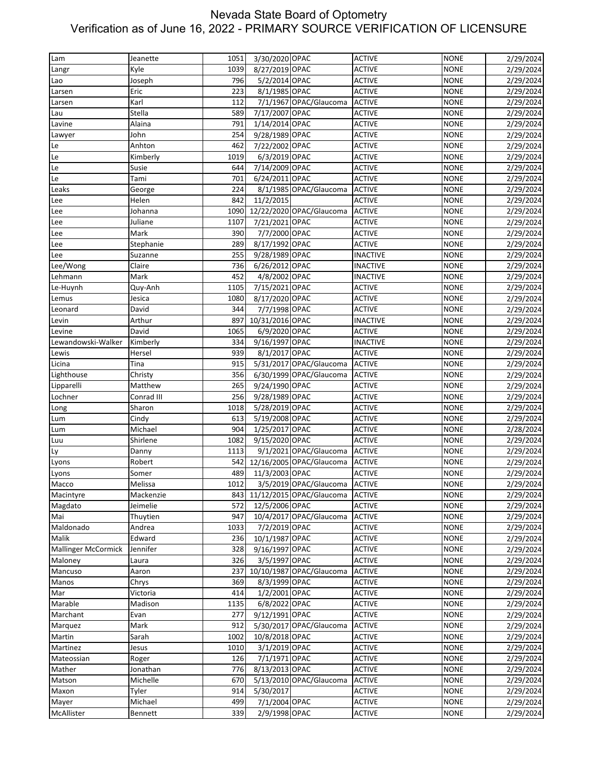| Lam                        | Jeanette   | 1051 | 3/30/2020 OPAC  |                               | <b>ACTIVE</b>   | <b>NONE</b> | 2/29/2024 |
|----------------------------|------------|------|-----------------|-------------------------------|-----------------|-------------|-----------|
| Langr                      | Kyle       | 1039 | 8/27/2019 OPAC  |                               | <b>ACTIVE</b>   | <b>NONE</b> | 2/29/2024 |
| Lao                        | Joseph     | 796  | 5/2/2014 OPAC   |                               | <b>ACTIVE</b>   | <b>NONE</b> | 2/29/2024 |
| Larsen                     | Eric       | 223  | 8/1/1985 OPAC   |                               | <b>ACTIVE</b>   | <b>NONE</b> | 2/29/2024 |
| Larsen                     | Karl       | 112  |                 | 7/1/1967 OPAC/Glaucoma        | <b>ACTIVE</b>   | <b>NONE</b> | 2/29/2024 |
| Lau                        | Stella     | 589  | 7/17/2007 OPAC  |                               | <b>ACTIVE</b>   | <b>NONE</b> | 2/29/2024 |
| Lavine                     | Alaina     | 791  | 1/14/2014 OPAC  |                               | <b>ACTIVE</b>   | <b>NONE</b> | 2/29/2024 |
| Lawyer                     | John       | 254  | 9/28/1989 OPAC  |                               | <b>ACTIVE</b>   | <b>NONE</b> | 2/29/2024 |
| Le                         | Anhton     | 462  | 7/22/2002 OPAC  |                               | <b>ACTIVE</b>   | <b>NONE</b> |           |
|                            |            |      |                 |                               |                 |             | 2/29/2024 |
| Le                         | Kimberly   | 1019 | 6/3/2019 OPAC   |                               | <b>ACTIVE</b>   | <b>NONE</b> | 2/29/2024 |
| Le                         | Susie      | 644  | 7/14/2009 OPAC  |                               | <b>ACTIVE</b>   | <b>NONE</b> | 2/29/2024 |
| Le                         | Tami       | 701  | 6/24/2011 OPAC  |                               | <b>ACTIVE</b>   | <b>NONE</b> | 2/29/2024 |
| Leaks                      | George     | 224  |                 | 8/1/1985 OPAC/Glaucoma        | <b>ACTIVE</b>   | <b>NONE</b> | 2/29/2024 |
| Lee                        | Helen      | 842  | 11/2/2015       |                               | <b>ACTIVE</b>   | <b>NONE</b> | 2/29/2024 |
| Lee                        | Johanna    | 1090 |                 | 12/22/2020 OPAC/Glaucoma      | <b>ACTIVE</b>   | <b>NONE</b> | 2/29/2024 |
| Lee                        | Juliane    | 1107 | 7/21/2021 OPAC  |                               | <b>ACTIVE</b>   | <b>NONE</b> | 2/29/2024 |
| Lee                        | Mark       | 390  | 7/7/2000 OPAC   |                               | <b>ACTIVE</b>   | <b>NONE</b> | 2/29/2024 |
| Lee                        | Stephanie  | 289  | 8/17/1992 OPAC  |                               | <b>ACTIVE</b>   | <b>NONE</b> | 2/29/2024 |
| Lee                        | Suzanne    | 255  | 9/28/1989 OPAC  |                               | <b>INACTIVE</b> | <b>NONE</b> | 2/29/2024 |
| Lee/Wong                   | Claire     | 736  | 6/26/2012 OPAC  |                               | <b>INACTIVE</b> | <b>NONE</b> | 2/29/2024 |
| Lehmann                    | Mark       | 452  | 4/8/2002 OPAC   |                               | <b>INACTIVE</b> | <b>NONE</b> |           |
|                            |            |      |                 |                               |                 |             | 2/29/2024 |
| Le-Huynh                   | Quy-Anh    | 1105 | 7/15/2021 OPAC  |                               | <b>ACTIVE</b>   | <b>NONE</b> | 2/29/2024 |
| Lemus                      | Jesica     | 1080 | 8/17/2020 OPAC  |                               | <b>ACTIVE</b>   | <b>NONE</b> | 2/29/2024 |
| Leonard                    | David      | 344  | 7/7/1998 OPAC   |                               | <b>ACTIVE</b>   | <b>NONE</b> | 2/29/2024 |
| Levin                      | Arthur     | 897  | 10/31/2016 OPAC |                               | <b>INACTIVE</b> | <b>NONE</b> | 2/29/2024 |
| Levine                     | David      | 1065 | 6/9/2020 OPAC   |                               | <b>ACTIVE</b>   | <b>NONE</b> | 2/29/2024 |
| Lewandowski-Walker         | Kimberly   | 334  | 9/16/1997 OPAC  |                               | <b>INACTIVE</b> | <b>NONE</b> | 2/29/2024 |
| Lewis                      | Hersel     | 939  | 8/1/2017 OPAC   |                               | <b>ACTIVE</b>   | <b>NONE</b> | 2/29/2024 |
| Licina                     | Tina       | 915  |                 | 5/31/2017 OPAC/Glaucoma       | <b>ACTIVE</b>   | <b>NONE</b> | 2/29/2024 |
| Lighthouse                 | Christy    | 356  |                 | 6/30/1999 OPAC/Glaucoma       | <b>ACTIVE</b>   | <b>NONE</b> | 2/29/2024 |
| Lipparelli                 | Matthew    | 265  | 9/24/1990 OPAC  |                               | <b>ACTIVE</b>   | <b>NONE</b> | 2/29/2024 |
| Lochner                    | Conrad III | 256  | 9/28/1989 OPAC  |                               |                 |             |           |
|                            |            |      |                 |                               | <b>ACTIVE</b>   | <b>NONE</b> | 2/29/2024 |
| Long                       | Sharon     | 1018 | 5/28/2019 OPAC  |                               | <b>ACTIVE</b>   | <b>NONE</b> | 2/29/2024 |
| Lum                        | Cindy      | 613  | 5/19/2008 OPAC  |                               | <b>ACTIVE</b>   | <b>NONE</b> | 2/29/2024 |
| Lum                        | Michael    | 904  | 1/25/2017 OPAC  |                               | <b>ACTIVE</b>   | <b>NONE</b> | 2/28/2024 |
| Luu                        | Shirlene   | 1082 | 9/15/2020 OPAC  |                               | <b>ACTIVE</b>   | <b>NONE</b> | 2/29/2024 |
| Ly                         | Danny      | 1113 |                 | 9/1/2021 OPAC/Glaucoma        | <b>ACTIVE</b>   | <b>NONE</b> | 2/29/2024 |
| Lyons                      | Robert     | 542  |                 | 12/16/2005 OPAC/Glaucoma      | <b>ACTIVE</b>   | <b>NONE</b> | 2/29/2024 |
| Lyons                      | Somer      | 489  | 11/3/2003 OPAC  |                               | <b>ACTIVE</b>   | <b>NONE</b> | 2/29/2024 |
| Macco                      | Melissa    | 1012 |                 | 3/5/2019 OPAC/Glaucoma ACTIVE |                 | <b>NONE</b> | 2/29/2024 |
| Macintyre                  | Mackenzie  |      |                 | 843 11/12/2015 OPAC/Glaucoma  | <b>ACTIVE</b>   | <b>NONE</b> | 2/29/2024 |
| Magdato                    | Jeimelie   | 572  | 12/5/2006 OPAC  |                               | <b>ACTIVE</b>   | <b>NONE</b> | 2/29/2024 |
| Mai                        | Thuytien   | 947  |                 | 10/4/2017 OPAC/Glaucoma       | <b>ACTIVE</b>   | <b>NONE</b> | 2/29/2024 |
| Maldonado                  | Andrea     | 1033 | 7/2/2019 OPAC   |                               | <b>ACTIVE</b>   | <b>NONE</b> | 2/29/2024 |
|                            |            |      |                 |                               |                 |             |           |
| Malik                      | Edward     | 236  | 10/1/1987 OPAC  |                               | <b>ACTIVE</b>   | <b>NONE</b> | 2/29/2024 |
| <b>Mallinger McCormick</b> | Jennifer   | 328  | 9/16/1997 OPAC  |                               | <b>ACTIVE</b>   | <b>NONE</b> | 2/29/2024 |
| Maloney                    | Laura      | 326  | 3/5/1997 OPAC   |                               | <b>ACTIVE</b>   | <b>NONE</b> | 2/29/2024 |
| Mancuso                    | Aaron      | 237  |                 | 10/10/1987 OPAC/Glaucoma      | <b>ACTIVE</b>   | <b>NONE</b> | 2/29/2024 |
| Manos                      | Chrys      | 369  | 8/3/1999 OPAC   |                               | <b>ACTIVE</b>   | <b>NONE</b> | 2/29/2024 |
| Mar                        | Victoria   | 414  | 1/2/2001 OPAC   |                               | <b>ACTIVE</b>   | <b>NONE</b> | 2/29/2024 |
| Marable                    | Madison    | 1135 | 6/8/2022 OPAC   |                               | <b>ACTIVE</b>   | <b>NONE</b> | 2/29/2024 |
| Marchant                   | Evan       | 277  | 9/12/1991 OPAC  |                               | <b>ACTIVE</b>   | <b>NONE</b> | 2/29/2024 |
| Marquez                    | Mark       | 912  |                 | 5/30/2017 OPAC/Glaucoma       | <b>ACTIVE</b>   | <b>NONE</b> | 2/29/2024 |
| Martin                     | Sarah      | 1002 | 10/8/2018 OPAC  |                               | <b>ACTIVE</b>   | <b>NONE</b> | 2/29/2024 |
| Martinez                   | Jesus      | 1010 | 3/1/2019 OPAC   |                               | <b>ACTIVE</b>   | <b>NONE</b> | 2/29/2024 |
| Mateossian                 | Roger      | 126  | 7/1/1971 OPAC   |                               | <b>ACTIVE</b>   | <b>NONE</b> | 2/29/2024 |
|                            |            |      |                 |                               |                 |             |           |
| Mather                     | Jonathan   | 776  | 8/13/2013 OPAC  |                               | <b>ACTIVE</b>   | <b>NONE</b> | 2/29/2024 |
| Matson                     | Michelle   | 670  |                 | 5/13/2010 OPAC/Glaucoma       | <b>ACTIVE</b>   | <b>NONE</b> | 2/29/2024 |
| Maxon                      | Tyler      | 914  | 5/30/2017       |                               | <b>ACTIVE</b>   | <b>NONE</b> | 2/29/2024 |
| Mayer                      | Michael    | 499  | 7/1/2004 OPAC   |                               | <b>ACTIVE</b>   | <b>NONE</b> | 2/29/2024 |
| McAllister                 | Bennett    | 339  | 2/9/1998 OPAC   |                               | <b>ACTIVE</b>   | <b>NONE</b> | 2/29/2024 |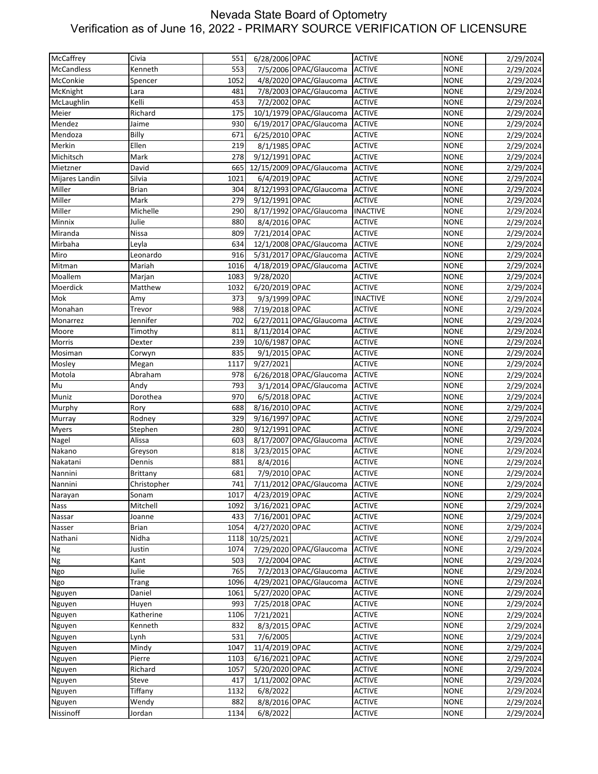| McCaffrey          | Civia           | 551  | 6/28/2006 OPAC |                                | <b>ACTIVE</b>   | <b>NONE</b> | 2/29/2024 |
|--------------------|-----------------|------|----------------|--------------------------------|-----------------|-------------|-----------|
|                    |                 |      |                |                                |                 |             |           |
| <b>McCandless</b>  | Kenneth         | 553  |                | 7/5/2006 OPAC/Glaucoma         | <b>ACTIVE</b>   | <b>NONE</b> | 2/29/2024 |
| McConkie           | Spencer         | 1052 |                | 4/8/2020 OPAC/Glaucoma         | <b>ACTIVE</b>   | <b>NONE</b> | 2/29/2024 |
| McKnight           | Lara            | 481  |                | 7/8/2003 OPAC/Glaucoma         | <b>ACTIVE</b>   | <b>NONE</b> | 2/29/2024 |
| McLaughlin         | Kelli           | 453  | 7/2/2002 OPAC  |                                | <b>ACTIVE</b>   | <b>NONE</b> | 2/29/2024 |
| Meier              | Richard         | 175  |                | 10/1/1979 OPAC/Glaucoma        | <b>ACTIVE</b>   | <b>NONE</b> | 2/29/2024 |
| Mendez             | Jaime           | 930  |                | 6/19/2017 OPAC/Glaucoma        | <b>ACTIVE</b>   | <b>NONE</b> | 2/29/2024 |
| Mendoza            | Billy           | 671  | 6/25/2010 OPAC |                                | <b>ACTIVE</b>   | <b>NONE</b> | 2/29/2024 |
| Merkin             | Ellen           | 219  | 8/1/1985 OPAC  |                                | <b>ACTIVE</b>   | <b>NONE</b> | 2/29/2024 |
| Michitsch          | Mark            | 278  | 9/12/1991 OPAC |                                | <b>ACTIVE</b>   | <b>NONE</b> | 2/29/2024 |
| Mietzner           | David           | 665  |                | 12/15/2009 OPAC/Glaucoma       | <b>ACTIVE</b>   | <b>NONE</b> | 2/29/2024 |
| Mijares Landin     | Silvia          | 1021 | 6/4/2019 OPAC  |                                | <b>ACTIVE</b>   | <b>NONE</b> | 2/29/2024 |
| Miller             | <b>Brian</b>    | 304  |                | 8/12/1993 OPAC/Glaucoma        | <b>ACTIVE</b>   | <b>NONE</b> | 2/29/2024 |
| Miller             | Mark            | 279  | 9/12/1991 OPAC |                                | <b>ACTIVE</b>   | <b>NONE</b> | 2/29/2024 |
| Miller             | Michelle        | 290  |                | 8/17/1992 OPAC/Glaucoma        | <b>INACTIVE</b> | <b>NONE</b> | 2/29/2024 |
| Minnix             | Julie           | 880  | 8/4/2016 OPAC  |                                | <b>ACTIVE</b>   | <b>NONE</b> | 2/29/2024 |
|                    | Nissa           | 809  | 7/21/2014 OPAC |                                |                 |             |           |
| Miranda<br>Mirbaha |                 |      |                |                                | <b>ACTIVE</b>   | <b>NONE</b> | 2/29/2024 |
|                    | Leyla           | 634  |                | 12/1/2008 OPAC/Glaucoma        | <b>ACTIVE</b>   | <b>NONE</b> | 2/29/2024 |
| Miro               | Leonardo        | 916  |                | 5/31/2017 OPAC/Glaucoma        | <b>ACTIVE</b>   | <b>NONE</b> | 2/29/2024 |
| Mitman             | Mariah          | 1016 |                | 4/18/2019 OPAC/Glaucoma        | <b>ACTIVE</b>   | <b>NONE</b> | 2/29/2024 |
| Moallem            | Marjan          | 1083 | 9/28/2020      |                                | <b>ACTIVE</b>   | <b>NONE</b> | 2/29/2024 |
| Moerdick           | Matthew         | 1032 | 6/20/2019 OPAC |                                | <b>ACTIVE</b>   | <b>NONE</b> | 2/29/2024 |
| Mok                | Amy             | 373  | 9/3/1999 OPAC  |                                | <b>INACTIVE</b> | <b>NONE</b> | 2/29/2024 |
| Monahan            | Trevor          | 988  | 7/19/2018 OPAC |                                | <b>ACTIVE</b>   | <b>NONE</b> | 2/29/2024 |
| Monarrez           | Jennifer        | 702  |                | 6/27/2011 OPAC/Glaucoma        | <b>ACTIVE</b>   | <b>NONE</b> | 2/29/2024 |
| Moore              | Timothy         | 811  | 8/11/2014 OPAC |                                | <b>ACTIVE</b>   | <b>NONE</b> | 2/29/2024 |
| Morris             | Dexter          | 239  | 10/6/1987 OPAC |                                | <b>ACTIVE</b>   | <b>NONE</b> | 2/29/2024 |
| Mosiman            | Corwyn          | 835  | 9/1/2015 OPAC  |                                | <b>ACTIVE</b>   | <b>NONE</b> | 2/29/2024 |
| Mosley             | Megan           | 1117 | 9/27/2021      |                                | <b>ACTIVE</b>   | <b>NONE</b> | 2/29/2024 |
| Motola             | Abraham         | 978  |                | 6/26/2018 OPAC/Glaucoma        | <b>ACTIVE</b>   | <b>NONE</b> | 2/29/2024 |
| Mu                 | Andy            | 793  |                | 3/1/2014 OPAC/Glaucoma         | <b>ACTIVE</b>   | <b>NONE</b> | 2/29/2024 |
| Muniz              | Dorothea        | 970  | 6/5/2018 OPAC  |                                | <b>ACTIVE</b>   | <b>NONE</b> | 2/29/2024 |
| Murphy             | Rory            | 688  | 8/16/2010 OPAC |                                | <b>ACTIVE</b>   | <b>NONE</b> | 2/29/2024 |
| Murray             | Rodney          | 329  | 9/16/1997 OPAC |                                | <b>ACTIVE</b>   | <b>NONE</b> |           |
|                    |                 |      |                |                                | <b>ACTIVE</b>   |             | 2/29/2024 |
| <b>Myers</b>       | Stephen         | 280  | 9/12/1991 OPAC |                                |                 | <b>NONE</b> | 2/29/2024 |
| Nagel              | Alissa          | 603  |                | 8/17/2007 OPAC/Glaucoma        | <b>ACTIVE</b>   | <b>NONE</b> | 2/29/2024 |
| Nakano             | Greyson         | 818  | 3/23/2015 OPAC |                                | <b>ACTIVE</b>   | <b>NONE</b> | 2/29/2024 |
| Nakatani           | Dennis          | 881  | 8/4/2016       |                                | <b>ACTIVE</b>   | <b>NONE</b> | 2/29/2024 |
| Nannini            | <b>Brittany</b> | 681  | 7/9/2010 OPAC  |                                | <b>ACTIVE</b>   | <b>NONE</b> | 2/29/2024 |
| Nannini            | Christopher     | 741  |                | 7/11/2012 OPAC/Glaucoma ACTIVE |                 | <b>NONE</b> | 2/29/2024 |
| Narayan            | Sonam           | 1017 | 4/23/2019 OPAC |                                | <b>ACTIVE</b>   | <b>NONE</b> | 2/29/2024 |
| Nass               | Mitchell        | 1092 | 3/16/2021 OPAC |                                | <b>ACTIVE</b>   | <b>NONE</b> | 2/29/2024 |
| Nassar             | Joanne          | 433  | 7/16/2001 OPAC |                                | <b>ACTIVE</b>   | <b>NONE</b> | 2/29/2024 |
| Nasser             | <b>Brian</b>    | 1054 | 4/27/2020 OPAC |                                | <b>ACTIVE</b>   | <b>NONE</b> | 2/29/2024 |
| Nathani            | Nidha           | 1118 | 10/25/2021     |                                | <b>ACTIVE</b>   | <b>NONE</b> | 2/29/2024 |
| Ng                 | Justin          | 1074 |                | 7/29/2020 OPAC/Glaucoma        | <b>ACTIVE</b>   | <b>NONE</b> | 2/29/2024 |
| <b>Ng</b>          | Kant            | 503  | 7/2/2004 OPAC  |                                | <b>ACTIVE</b>   | <b>NONE</b> | 2/29/2024 |
| Ngo                | Julie           | 765  |                | 7/2/2013 OPAC/Glaucoma         | <b>ACTIVE</b>   | <b>NONE</b> | 2/29/2024 |
| Ngo                | Trang           | 1096 |                | 4/29/2021 OPAC/Glaucoma        | <b>ACTIVE</b>   | <b>NONE</b> | 2/29/2024 |
| Nguyen             | Daniel          | 1061 | 5/27/2020 OPAC |                                | <b>ACTIVE</b>   | <b>NONE</b> | 2/29/2024 |
| Nguyen             | Huyen           | 993  | 7/25/2018 OPAC |                                | <b>ACTIVE</b>   | <b>NONE</b> | 2/29/2024 |
| Nguyen             | Katherine       | 1106 | 7/21/2021      |                                | <b>ACTIVE</b>   | <b>NONE</b> | 2/29/2024 |
| Nguyen             | Kenneth         | 832  | 8/3/2015 OPAC  |                                | <b>ACTIVE</b>   | <b>NONE</b> | 2/29/2024 |
|                    | Lynh            | 531  | 7/6/2005       |                                | <b>ACTIVE</b>   | <b>NONE</b> |           |
| Nguyen             |                 |      |                |                                |                 |             | 2/29/2024 |
| Nguyen             | Mindy           | 1047 | 11/4/2019 OPAC |                                | <b>ACTIVE</b>   | <b>NONE</b> | 2/29/2024 |
| Nguyen             | Pierre          | 1103 | 6/16/2021 OPAC |                                | <b>ACTIVE</b>   | <b>NONE</b> | 2/29/2024 |
| Nguyen             | Richard         | 1057 | 5/20/2020 OPAC |                                | <b>ACTIVE</b>   | <b>NONE</b> | 2/29/2024 |
| Nguyen             | Steve           | 417  | 1/11/2002 OPAC |                                | <b>ACTIVE</b>   | <b>NONE</b> | 2/29/2024 |
| Nguyen             | Tiffany         | 1132 | 6/8/2022       |                                | <b>ACTIVE</b>   | <b>NONE</b> | 2/29/2024 |
| Nguyen             | Wendy           | 882  | 8/8/2016 OPAC  |                                | <b>ACTIVE</b>   | <b>NONE</b> | 2/29/2024 |
| Nissinoff          | Jordan          | 1134 | 6/8/2022       |                                | <b>ACTIVE</b>   | <b>NONE</b> | 2/29/2024 |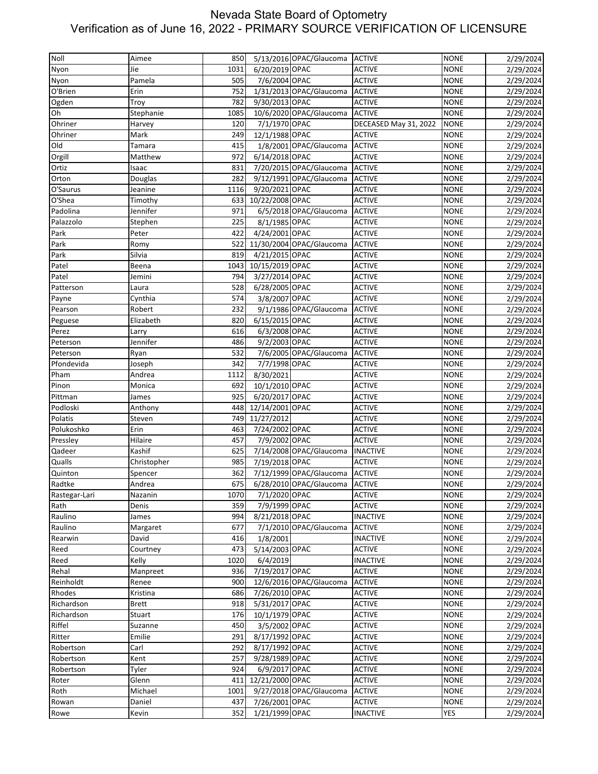| Noll          | Aimee        | 850  |                 | 5/13/2016 OPAC/Glaucoma        | <b>ACTIVE</b>         | <b>NONE</b> | 2/29/2024 |
|---------------|--------------|------|-----------------|--------------------------------|-----------------------|-------------|-----------|
| Nyon          | Jie          | 1031 | 6/20/2019 OPAC  |                                | <b>ACTIVE</b>         | <b>NONE</b> | 2/29/2024 |
| Nyon          | Pamela       | 505  | 7/6/2004 OPAC   |                                | <b>ACTIVE</b>         | <b>NONE</b> | 2/29/2024 |
| O'Brien       | Erin         | 752  |                 | 1/31/2013 OPAC/Glaucoma        | <b>ACTIVE</b>         | <b>NONE</b> | 2/29/2024 |
| Ogden         | Troy         | 782  | 9/30/2013 OPAC  |                                | <b>ACTIVE</b>         | <b>NONE</b> | 2/29/2024 |
| Oh            |              | 1085 |                 | 10/6/2020 OPAC/Glaucoma        | <b>ACTIVE</b>         | <b>NONE</b> | 2/29/2024 |
|               | Stephanie    |      |                 |                                |                       |             |           |
| Ohriner       | Harvey       | 120  | 7/1/1970 OPAC   |                                | DECEASED May 31, 2022 | <b>NONE</b> | 2/29/2024 |
| Ohriner       | Mark         | 249  | 12/1/1988 OPAC  |                                | <b>ACTIVE</b>         | <b>NONE</b> | 2/29/2024 |
| Old           | Tamara       | 415  |                 | 1/8/2001 OPAC/Glaucoma         | <b>ACTIVE</b>         | <b>NONE</b> | 2/29/2024 |
| Orgill        | Matthew      | 972  | 6/14/2018 OPAC  |                                | <b>ACTIVE</b>         | <b>NONE</b> | 2/29/2024 |
| Ortiz         | Isaac        | 831  |                 | 7/20/2015 OPAC/Glaucoma        | <b>ACTIVE</b>         | <b>NONE</b> | 2/29/2024 |
| Orton         | Douglas      | 282  |                 | 9/12/1991 OPAC/Glaucoma        | <b>ACTIVE</b>         | <b>NONE</b> | 2/29/2024 |
| O'Saurus      | Jeanine      | 1116 | 9/20/2021 OPAC  |                                | <b>ACTIVE</b>         | <b>NONE</b> | 2/29/2024 |
| O'Shea        | Timothy      | 633  | 10/22/2008 OPAC |                                | <b>ACTIVE</b>         | <b>NONE</b> | 2/29/2024 |
| Padolina      | Jennifer     | 971  |                 | 6/5/2018 OPAC/Glaucoma         | <b>ACTIVE</b>         | <b>NONE</b> | 2/29/2024 |
| Palazzolo     | Stephen      | 225  | 8/1/1985 OPAC   |                                | <b>ACTIVE</b>         | <b>NONE</b> | 2/29/2024 |
| Park          | Peter        | 422  | 4/24/2001 OPAC  |                                | <b>ACTIVE</b>         | <b>NONE</b> | 2/29/2024 |
| Park          | Romy         | 522  |                 | 11/30/2004 OPAC/Glaucoma       | <b>ACTIVE</b>         | <b>NONE</b> | 2/29/2024 |
| Park          | Silvia       | 819  | 4/21/2015 OPAC  |                                | <b>ACTIVE</b>         | <b>NONE</b> | 2/29/2024 |
| Patel         | Beena        | 1043 | 10/15/2019 OPAC |                                | <b>ACTIVE</b>         | <b>NONE</b> | 2/29/2024 |
| Patel         | Jemini       | 794  | 3/27/2014 OPAC  |                                | <b>ACTIVE</b>         | <b>NONE</b> | 2/29/2024 |
| Patterson     | Laura        | 528  | 6/28/2005 OPAC  |                                | <b>ACTIVE</b>         | <b>NONE</b> | 2/29/2024 |
| Payne         | Cynthia      | 574  | 3/8/2007 OPAC   |                                | <b>ACTIVE</b>         | <b>NONE</b> | 2/29/2024 |
| Pearson       | Robert       | 232  |                 | 9/1/1986 OPAC/Glaucoma         | <b>ACTIVE</b>         | <b>NONE</b> | 2/29/2024 |
| Peguese       | Elizabeth    | 820  | 6/15/2015 OPAC  |                                | <b>ACTIVE</b>         | <b>NONE</b> | 2/29/2024 |
| Perez         | Larry        | 616  | 6/3/2008 OPAC   |                                | <b>ACTIVE</b>         | <b>NONE</b> | 2/29/2024 |
| Peterson      | Jennifer     | 486  | 9/2/2003 OPAC   |                                | <b>ACTIVE</b>         | <b>NONE</b> | 2/29/2024 |
| Peterson      | Ryan         | 532  |                 | 7/6/2005 OPAC/Glaucoma         | <b>ACTIVE</b>         | <b>NONE</b> | 2/29/2024 |
| Pfondevida    | Joseph       | 342  | 7/7/1998 OPAC   |                                | <b>ACTIVE</b>         | <b>NONE</b> | 2/29/2024 |
| Pham          | Andrea       | 1112 | 8/30/2021       |                                | <b>ACTIVE</b>         | <b>NONE</b> | 2/29/2024 |
| Pinon         | Monica       | 692  | 10/1/2010 OPAC  |                                | <b>ACTIVE</b>         | <b>NONE</b> | 2/29/2024 |
|               |              |      | 6/20/2017 OPAC  |                                |                       |             |           |
| Pittman       | James        | 925  |                 |                                | <b>ACTIVE</b>         | <b>NONE</b> | 2/29/2024 |
| Podloski      | Anthony      | 448  | 12/14/2001 OPAC |                                | <b>ACTIVE</b>         | <b>NONE</b> | 2/29/2024 |
| Polatis       | Steven       | 749  | 11/27/2012      |                                | <b>ACTIVE</b>         | <b>NONE</b> | 2/29/2024 |
| Polukoshko    | Erin         | 463  | 7/24/2002 OPAC  |                                | <b>ACTIVE</b>         | <b>NONE</b> | 2/29/2024 |
| Pressley      | Hilaire      | 457  | 7/9/2002 OPAC   |                                | <b>ACTIVE</b>         | <b>NONE</b> | 2/29/2024 |
| Qadeer        | Kashif       | 625  |                 | 7/14/2008 OPAC/Glaucoma        | <b>INACTIVE</b>       | <b>NONE</b> | 2/29/2024 |
| Qualls        | Christopher  | 985  | 7/19/2018 OPAC  |                                | <b>ACTIVE</b>         | <b>NONE</b> | 2/29/2024 |
| Quinton       | Spencer      | 362  |                 | 7/12/1999 OPAC/Glaucoma        | <b>ACTIVE</b>         | <b>NONE</b> | 2/29/2024 |
| Radtke        | Andrea       | 675  |                 | 6/28/2010 OPAC/Glaucoma ACTIVE |                       | <b>NONE</b> | 2/29/2024 |
| Rastegar-Lari | Nazanin      | 1070 | 7/1/2020 OPAC   |                                | <b>ACTIVE</b>         | <b>NONE</b> | 2/29/2024 |
| Rath          | Denis        | 359  | 7/9/1999 OPAC   |                                | <b>ACTIVE</b>         | <b>NONE</b> | 2/29/2024 |
| Raulino       | James        | 994  | 8/21/2018 OPAC  |                                | <b>INACTIVE</b>       | <b>NONE</b> | 2/29/2024 |
| Raulino       | Margaret     | 677  |                 | 7/1/2010 OPAC/Glaucoma         | <b>ACTIVE</b>         | <b>NONE</b> | 2/29/2024 |
| Rearwin       | David        | 416  | 1/8/2001        |                                | <b>INACTIVE</b>       | <b>NONE</b> | 2/29/2024 |
| Reed          | Courtney     | 473  | 5/14/2003 OPAC  |                                | <b>ACTIVE</b>         | <b>NONE</b> | 2/29/2024 |
| Reed          | Kelly        | 1020 | 6/4/2019        |                                | <b>INACTIVE</b>       | <b>NONE</b> | 2/29/2024 |
| Rehal         | Manpreet     | 936  | 7/19/2017 OPAC  |                                | <b>ACTIVE</b>         | <b>NONE</b> | 2/29/2024 |
| Reinholdt     | Renee        | 900  |                 | 12/6/2016 OPAC/Glaucoma        | <b>ACTIVE</b>         | <b>NONE</b> | 2/29/2024 |
| Rhodes        | Kristina     | 686  | 7/26/2010 OPAC  |                                | <b>ACTIVE</b>         | <b>NONE</b> | 2/29/2024 |
| Richardson    | <b>Brett</b> | 918  | 5/31/2017 OPAC  |                                | <b>ACTIVE</b>         | <b>NONE</b> | 2/29/2024 |
| Richardson    | Stuart       | 176  | 10/1/1979 OPAC  |                                | <b>ACTIVE</b>         | <b>NONE</b> | 2/29/2024 |
| Riffel        | Suzanne      | 450  | 3/5/2002 OPAC   |                                | <b>ACTIVE</b>         | <b>NONE</b> | 2/29/2024 |
| Ritter        | Emilie       | 291  | 8/17/1992 OPAC  |                                | <b>ACTIVE</b>         | <b>NONE</b> | 2/29/2024 |
| Robertson     | Carl         | 292  | 8/17/1992 OPAC  |                                | <b>ACTIVE</b>         | <b>NONE</b> | 2/29/2024 |
| Robertson     | Kent         | 257  | 9/28/1989 OPAC  |                                | <b>ACTIVE</b>         | <b>NONE</b> | 2/29/2024 |
| Robertson     | Tyler        | 924  | 6/9/2017 OPAC   |                                | <b>ACTIVE</b>         | <b>NONE</b> |           |
|               |              |      |                 |                                |                       |             | 2/29/2024 |
| Roter         | Glenn        | 411  | 12/21/2000 OPAC |                                | <b>ACTIVE</b>         | <b>NONE</b> | 2/29/2024 |
| Roth          | Michael      | 1001 |                 | 9/27/2018 OPAC/Glaucoma        | <b>ACTIVE</b>         | <b>NONE</b> | 2/29/2024 |
| Rowan         | Daniel       | 437  | 7/26/2001 OPAC  |                                | <b>ACTIVE</b>         | <b>NONE</b> | 2/29/2024 |
| Rowe          | Kevin        | 352  | 1/21/1999 OPAC  |                                | <b>INACTIVE</b>       | <b>YES</b>  | 2/29/2024 |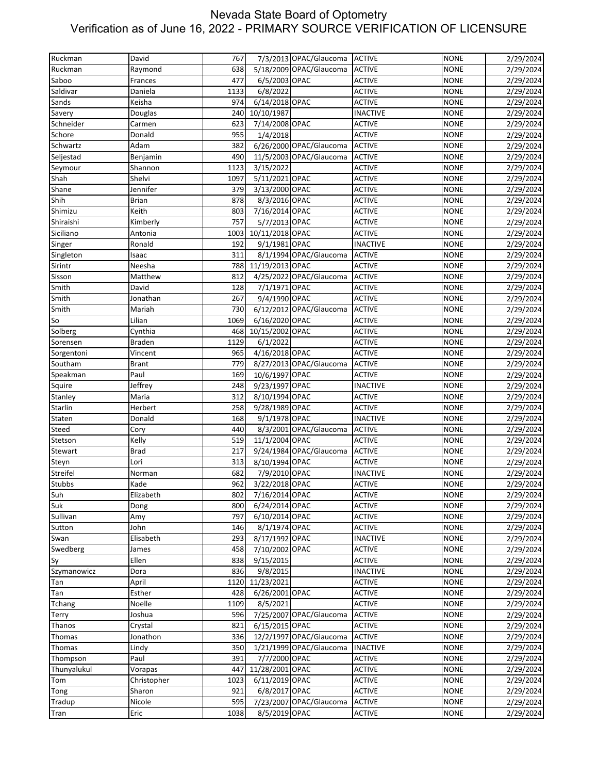| 7/3/2013 OPAC/Glaucoma ACTIVE<br>5/18/2009 OPAC/Glaucoma<br>Ruckman<br>638<br><b>ACTIVE</b><br><b>NONE</b><br>2/29/2024<br>Raymond<br>Saboo<br>477<br>6/5/2003 OPAC<br><b>ACTIVE</b><br><b>NONE</b><br>2/29/2024<br>Frances<br>Saldivar<br>6/8/2022<br>Daniela<br><b>ACTIVE</b><br><b>NONE</b><br>2/29/2024<br>1133<br>Sands<br>Keisha<br>974<br>6/14/2018 OPAC<br><b>ACTIVE</b><br><b>NONE</b><br>2/29/2024<br>10/10/1987<br><b>NONE</b><br>2/29/2024<br>Savery<br>240<br><b>INACTIVE</b><br>Douglas<br>Schneider<br>623<br>7/14/2008 OPAC<br><b>ACTIVE</b><br>2/29/2024<br>Carmen<br><b>NONE</b><br>1/4/2018<br>Schore<br>Donald<br>955<br><b>ACTIVE</b><br><b>NONE</b><br>2/29/2024<br>6/26/2000 OPAC/Glaucoma<br>Schwartz<br>Adam<br>382<br><b>ACTIVE</b><br><b>NONE</b><br>2/29/2024<br>11/5/2003 OPAC/Glaucoma<br>Seljestad<br>490<br><b>ACTIVE</b><br><b>NONE</b><br>2/29/2024<br>Benjamin<br>3/15/2022<br><b>ACTIVE</b><br>Seymour<br>Shannon<br>1123<br><b>NONE</b><br>2/29/2024<br>Shelvi<br>5/11/2021 OPAC<br>1097<br><b>ACTIVE</b><br><b>NONE</b><br>2/29/2024<br>Shane<br>Jennifer<br><b>NONE</b><br>379<br>3/13/2000 OPAC<br><b>ACTIVE</b><br>2/29/2024<br>Shih<br>878<br><b>Brian</b><br>8/3/2016 OPAC<br><b>ACTIVE</b><br><b>NONE</b><br>2/29/2024<br>Shimizu<br>Keith<br>7/16/2014 OPAC<br>803<br><b>ACTIVE</b><br><b>NONE</b><br>2/29/2024<br>Shiraishi<br>757<br>5/7/2013 OPAC<br>Kimberly<br><b>ACTIVE</b><br><b>NONE</b><br>2/29/2024<br>Siciliano<br>10/11/2018 OPAC<br>1003<br><b>ACTIVE</b><br><b>NONE</b><br>2/29/2024<br>Antonia<br>9/1/1981 OPAC<br><b>INACTIVE</b><br>Ronald<br>192<br><b>NONE</b><br>Singer<br>2/29/2024<br>8/1/1994 OPAC/Glaucoma<br>Singleton<br>Isaac<br>311<br><b>ACTIVE</b><br><b>NONE</b><br>2/29/2024<br>11/19/2013 OPAC<br><b>ACTIVE</b><br><b>NONE</b><br>2/29/2024<br>Sirintr<br>Neesha<br>788<br>4/25/2022 OPAC/Glaucoma<br><b>ACTIVE</b><br>2/29/2024<br>Sisson<br>Matthew<br>812<br><b>NONE</b><br>Smith<br>David<br>128<br><b>NONE</b><br>7/1/1971 OPAC<br><b>ACTIVE</b><br>2/29/2024<br>Smith<br>9/4/1990 OPAC<br>Jonathan<br>267<br><b>ACTIVE</b><br><b>NONE</b><br>2/29/2024<br>6/12/2012 OPAC/Glaucoma<br>Smith<br>Mariah<br>730<br><b>ACTIVE</b><br><b>NONE</b><br>2/29/2024<br>6/16/2020 OPAC<br>Lilian<br>1069<br><b>ACTIVE</b><br><b>NONE</b><br>2/29/2024<br>Solberg<br>Cynthia<br>468<br>10/15/2002 OPAC<br><b>ACTIVE</b><br><b>NONE</b><br>2/29/2024<br>1129<br>6/1/2022<br><b>ACTIVE</b><br><b>NONE</b><br>2/29/2024<br>Sorensen<br><b>Braden</b><br>4/16/2018 OPAC<br>2/29/2024<br>Sorgentoni<br>Vincent<br>965<br><b>ACTIVE</b><br><b>NONE</b><br>Southam<br>779<br>8/27/2013 OPAC/Glaucoma<br><b>ACTIVE</b><br><b>NONE</b><br>2/29/2024<br><b>Brant</b><br>Speakman<br>Paul<br>169<br>10/6/1997 OPAC<br><b>ACTIVE</b><br><b>NONE</b><br>2/29/2024<br>9/23/1997 OPAC<br>Squire<br>Jeffrey<br>248<br><b>NONE</b><br>2/29/2024<br><b>INACTIVE</b><br>Maria<br>8/10/1994 OPAC<br>Stanley<br>312<br><b>ACTIVE</b><br><b>NONE</b><br>2/29/2024<br>9/28/1989 OPAC<br>Starlin<br>Herbert<br>258<br><b>ACTIVE</b><br><b>NONE</b><br>2/29/2024<br>168<br>9/1/1978 OPAC<br><b>INACTIVE</b><br><b>NONE</b><br>Donald<br>2/29/2024<br>Staten<br>8/3/2001 OPAC/Glaucoma<br>Steed<br>440<br><b>ACTIVE</b><br><b>NONE</b><br>2/29/2024<br>Cory<br>11/1/2004 OPAC<br>Kelly<br><b>ACTIVE</b><br><b>NONE</b><br>2/29/2024<br>Stetson<br>519<br>9/24/1984 OPAC/Glaucoma<br><b>ACTIVE</b><br>Stewart<br><b>Brad</b><br>217<br><b>NONE</b><br>2/29/2024<br>Lori<br>313<br>8/10/1994 OPAC<br><b>ACTIVE</b><br><b>NONE</b><br>2/29/2024<br>Steyn<br>Streifel<br>682<br>7/9/2010 OPAC<br><b>INACTIVE</b><br><b>NONE</b><br>Norman<br>2/29/2024<br>Stubbs<br>962<br>3/22/2018 OPAC<br>2/29/2024<br>Kade<br><b>ACTIVE</b><br><b>NONE</b><br>7/16/2014 OPAC<br><b>NONE</b><br>Elizabeth<br>802<br><b>ACTIVE</b><br>6/24/2014 OPAC<br><b>ACTIVE</b><br><b>NONE</b><br>2/29/2024<br>Dong<br>800<br><b>ACTIVE</b><br><b>NONE</b><br>Amy<br>797<br>6/10/2014 OPAC<br>2/29/2024<br>John<br>8/1/1974 OPAC<br><b>ACTIVE</b><br><b>NONE</b><br>146<br>8/17/1992 OPAC<br>Elisabeth<br>293<br><b>INACTIVE</b><br><b>NONE</b><br>2/29/2024<br>Swan<br>458<br>7/10/2002 OPAC<br><b>ACTIVE</b><br><b>NONE</b><br>2/29/2024<br>James<br>Ellen<br><b>ACTIVE</b><br><b>NONE</b><br>838<br>9/15/2015<br>Sy<br>2/29/2024<br>Szymanowicz<br>Dora<br>836<br>9/8/2015<br><b>INACTIVE</b><br><b>NONE</b><br>2/29/2024<br>11/23/2021<br><b>NONE</b><br>April<br>1120<br><b>ACTIVE</b><br>2/29/2024<br>Tan<br>6/26/2001 OPAC<br><b>ACTIVE</b><br>Esther<br>428<br><b>NONE</b><br>2/29/2024<br>Tan<br>Tchang<br>Noelle<br>1109<br><b>ACTIVE</b><br><b>NONE</b><br>8/5/2021<br>2/29/2024<br>7/25/2007 OPAC/Glaucoma<br>Joshua<br><b>ACTIVE</b><br><b>NONE</b><br>2/29/2024<br>Terry<br>596<br>6/15/2015 OPAC<br>Thanos<br>Crystal<br>821<br><b>ACTIVE</b><br><b>NONE</b><br>2/29/2024<br>12/2/1997 OPAC/Glaucoma<br><b>ACTIVE</b><br><b>NONE</b><br>Thomas<br>Jonathon<br>336<br>2/29/2024<br>1/21/1999 OPAC/Glaucoma<br><b>INACTIVE</b><br>Thomas<br>Lindy<br>350<br><b>NONE</b><br>2/29/2024<br>Paul<br>7/7/2000 OPAC<br><b>NONE</b><br>2/29/2024<br>391<br><b>ACTIVE</b><br>Thompson<br><b>ACTIVE</b><br>Vorapas<br>447<br>11/28/2001 OPAC<br><b>NONE</b><br>2/29/2024<br>Christopher<br>1023<br>6/11/2019 OPAC<br><b>ACTIVE</b><br><b>NONE</b><br>2/29/2024<br>Tom<br>Sharon<br>921<br>6/8/2017 OPAC<br><b>ACTIVE</b><br><b>NONE</b><br>Tong<br>Nicole<br>595<br>7/23/2007 OPAC/Glaucoma<br><b>ACTIVE</b><br><b>NONE</b><br>Eric<br>1038<br>8/5/2019 OPAC<br><b>ACTIVE</b><br><b>NONE</b><br>2/29/2024 | Ruckman     | David | 767 |  | <b>NONE</b> | 2/29/2024 |
|--------------------------------------------------------------------------------------------------------------------------------------------------------------------------------------------------------------------------------------------------------------------------------------------------------------------------------------------------------------------------------------------------------------------------------------------------------------------------------------------------------------------------------------------------------------------------------------------------------------------------------------------------------------------------------------------------------------------------------------------------------------------------------------------------------------------------------------------------------------------------------------------------------------------------------------------------------------------------------------------------------------------------------------------------------------------------------------------------------------------------------------------------------------------------------------------------------------------------------------------------------------------------------------------------------------------------------------------------------------------------------------------------------------------------------------------------------------------------------------------------------------------------------------------------------------------------------------------------------------------------------------------------------------------------------------------------------------------------------------------------------------------------------------------------------------------------------------------------------------------------------------------------------------------------------------------------------------------------------------------------------------------------------------------------------------------------------------------------------------------------------------------------------------------------------------------------------------------------------------------------------------------------------------------------------------------------------------------------------------------------------------------------------------------------------------------------------------------------------------------------------------------------------------------------------------------------------------------------------------------------------------------------------------------------------------------------------------------------------------------------------------------------------------------------------------------------------------------------------------------------------------------------------------------------------------------------------------------------------------------------------------------------------------------------------------------------------------------------------------------------------------------------------------------------------------------------------------------------------------------------------------------------------------------------------------------------------------------------------------------------------------------------------------------------------------------------------------------------------------------------------------------------------------------------------------------------------------------------------------------------------------------------------------------------------------------------------------------------------------------------------------------------------------------------------------------------------------------------------------------------------------------------------------------------------------------------------------------------------------------------------------------------------------------------------------------------------------------------------------------------------------------------------------------------------------------------------------------------------------------------------------------------------------------------------------------------------------------------------------------------------------------------------------------------------------------------------------------------------------------------------------------------------------------------------------------------------------------------------------------------------------------------------------------------------------------------------------------------------------------------------------------------------------------------------------------------------------------------------------------------------------------------------------------------------------------------------------------------------------------------------------------------------------------------------------------------------------------------------------------------------------------------------------------------------------------------------------------------------------------------------------------------------------------------------------------------------------------------------------------------------------------------------------------------------------------------------------------------------------------------------------------------------------------------------------------------------------------------------------------------------|-------------|-------|-----|--|-------------|-----------|
|                                                                                                                                                                                                                                                                                                                                                                                                                                                                                                                                                                                                                                                                                                                                                                                                                                                                                                                                                                                                                                                                                                                                                                                                                                                                                                                                                                                                                                                                                                                                                                                                                                                                                                                                                                                                                                                                                                                                                                                                                                                                                                                                                                                                                                                                                                                                                                                                                                                                                                                                                                                                                                                                                                                                                                                                                                                                                                                                                                                                                                                                                                                                                                                                                                                                                                                                                                                                                                                                                                                                                                                                                                                                                                                                                                                                                                                                                                                                                                                                                                                                                                                                                                                                                                                                                                                                                                                                                                                                                                                                                                                                                                                                                                                                                                                                                                                                                                                                                                                                                                                                                                                                                                                                                                                                                                                                                                                                                                                                                                                                                                                                                                |             |       |     |  |             |           |
|                                                                                                                                                                                                                                                                                                                                                                                                                                                                                                                                                                                                                                                                                                                                                                                                                                                                                                                                                                                                                                                                                                                                                                                                                                                                                                                                                                                                                                                                                                                                                                                                                                                                                                                                                                                                                                                                                                                                                                                                                                                                                                                                                                                                                                                                                                                                                                                                                                                                                                                                                                                                                                                                                                                                                                                                                                                                                                                                                                                                                                                                                                                                                                                                                                                                                                                                                                                                                                                                                                                                                                                                                                                                                                                                                                                                                                                                                                                                                                                                                                                                                                                                                                                                                                                                                                                                                                                                                                                                                                                                                                                                                                                                                                                                                                                                                                                                                                                                                                                                                                                                                                                                                                                                                                                                                                                                                                                                                                                                                                                                                                                                                                |             |       |     |  |             |           |
|                                                                                                                                                                                                                                                                                                                                                                                                                                                                                                                                                                                                                                                                                                                                                                                                                                                                                                                                                                                                                                                                                                                                                                                                                                                                                                                                                                                                                                                                                                                                                                                                                                                                                                                                                                                                                                                                                                                                                                                                                                                                                                                                                                                                                                                                                                                                                                                                                                                                                                                                                                                                                                                                                                                                                                                                                                                                                                                                                                                                                                                                                                                                                                                                                                                                                                                                                                                                                                                                                                                                                                                                                                                                                                                                                                                                                                                                                                                                                                                                                                                                                                                                                                                                                                                                                                                                                                                                                                                                                                                                                                                                                                                                                                                                                                                                                                                                                                                                                                                                                                                                                                                                                                                                                                                                                                                                                                                                                                                                                                                                                                                                                                |             |       |     |  |             |           |
|                                                                                                                                                                                                                                                                                                                                                                                                                                                                                                                                                                                                                                                                                                                                                                                                                                                                                                                                                                                                                                                                                                                                                                                                                                                                                                                                                                                                                                                                                                                                                                                                                                                                                                                                                                                                                                                                                                                                                                                                                                                                                                                                                                                                                                                                                                                                                                                                                                                                                                                                                                                                                                                                                                                                                                                                                                                                                                                                                                                                                                                                                                                                                                                                                                                                                                                                                                                                                                                                                                                                                                                                                                                                                                                                                                                                                                                                                                                                                                                                                                                                                                                                                                                                                                                                                                                                                                                                                                                                                                                                                                                                                                                                                                                                                                                                                                                                                                                                                                                                                                                                                                                                                                                                                                                                                                                                                                                                                                                                                                                                                                                                                                |             |       |     |  |             |           |
|                                                                                                                                                                                                                                                                                                                                                                                                                                                                                                                                                                                                                                                                                                                                                                                                                                                                                                                                                                                                                                                                                                                                                                                                                                                                                                                                                                                                                                                                                                                                                                                                                                                                                                                                                                                                                                                                                                                                                                                                                                                                                                                                                                                                                                                                                                                                                                                                                                                                                                                                                                                                                                                                                                                                                                                                                                                                                                                                                                                                                                                                                                                                                                                                                                                                                                                                                                                                                                                                                                                                                                                                                                                                                                                                                                                                                                                                                                                                                                                                                                                                                                                                                                                                                                                                                                                                                                                                                                                                                                                                                                                                                                                                                                                                                                                                                                                                                                                                                                                                                                                                                                                                                                                                                                                                                                                                                                                                                                                                                                                                                                                                                                |             |       |     |  |             |           |
|                                                                                                                                                                                                                                                                                                                                                                                                                                                                                                                                                                                                                                                                                                                                                                                                                                                                                                                                                                                                                                                                                                                                                                                                                                                                                                                                                                                                                                                                                                                                                                                                                                                                                                                                                                                                                                                                                                                                                                                                                                                                                                                                                                                                                                                                                                                                                                                                                                                                                                                                                                                                                                                                                                                                                                                                                                                                                                                                                                                                                                                                                                                                                                                                                                                                                                                                                                                                                                                                                                                                                                                                                                                                                                                                                                                                                                                                                                                                                                                                                                                                                                                                                                                                                                                                                                                                                                                                                                                                                                                                                                                                                                                                                                                                                                                                                                                                                                                                                                                                                                                                                                                                                                                                                                                                                                                                                                                                                                                                                                                                                                                                                                |             |       |     |  |             |           |
|                                                                                                                                                                                                                                                                                                                                                                                                                                                                                                                                                                                                                                                                                                                                                                                                                                                                                                                                                                                                                                                                                                                                                                                                                                                                                                                                                                                                                                                                                                                                                                                                                                                                                                                                                                                                                                                                                                                                                                                                                                                                                                                                                                                                                                                                                                                                                                                                                                                                                                                                                                                                                                                                                                                                                                                                                                                                                                                                                                                                                                                                                                                                                                                                                                                                                                                                                                                                                                                                                                                                                                                                                                                                                                                                                                                                                                                                                                                                                                                                                                                                                                                                                                                                                                                                                                                                                                                                                                                                                                                                                                                                                                                                                                                                                                                                                                                                                                                                                                                                                                                                                                                                                                                                                                                                                                                                                                                                                                                                                                                                                                                                                                |             |       |     |  |             |           |
|                                                                                                                                                                                                                                                                                                                                                                                                                                                                                                                                                                                                                                                                                                                                                                                                                                                                                                                                                                                                                                                                                                                                                                                                                                                                                                                                                                                                                                                                                                                                                                                                                                                                                                                                                                                                                                                                                                                                                                                                                                                                                                                                                                                                                                                                                                                                                                                                                                                                                                                                                                                                                                                                                                                                                                                                                                                                                                                                                                                                                                                                                                                                                                                                                                                                                                                                                                                                                                                                                                                                                                                                                                                                                                                                                                                                                                                                                                                                                                                                                                                                                                                                                                                                                                                                                                                                                                                                                                                                                                                                                                                                                                                                                                                                                                                                                                                                                                                                                                                                                                                                                                                                                                                                                                                                                                                                                                                                                                                                                                                                                                                                                                |             |       |     |  |             |           |
|                                                                                                                                                                                                                                                                                                                                                                                                                                                                                                                                                                                                                                                                                                                                                                                                                                                                                                                                                                                                                                                                                                                                                                                                                                                                                                                                                                                                                                                                                                                                                                                                                                                                                                                                                                                                                                                                                                                                                                                                                                                                                                                                                                                                                                                                                                                                                                                                                                                                                                                                                                                                                                                                                                                                                                                                                                                                                                                                                                                                                                                                                                                                                                                                                                                                                                                                                                                                                                                                                                                                                                                                                                                                                                                                                                                                                                                                                                                                                                                                                                                                                                                                                                                                                                                                                                                                                                                                                                                                                                                                                                                                                                                                                                                                                                                                                                                                                                                                                                                                                                                                                                                                                                                                                                                                                                                                                                                                                                                                                                                                                                                                                                |             |       |     |  |             |           |
|                                                                                                                                                                                                                                                                                                                                                                                                                                                                                                                                                                                                                                                                                                                                                                                                                                                                                                                                                                                                                                                                                                                                                                                                                                                                                                                                                                                                                                                                                                                                                                                                                                                                                                                                                                                                                                                                                                                                                                                                                                                                                                                                                                                                                                                                                                                                                                                                                                                                                                                                                                                                                                                                                                                                                                                                                                                                                                                                                                                                                                                                                                                                                                                                                                                                                                                                                                                                                                                                                                                                                                                                                                                                                                                                                                                                                                                                                                                                                                                                                                                                                                                                                                                                                                                                                                                                                                                                                                                                                                                                                                                                                                                                                                                                                                                                                                                                                                                                                                                                                                                                                                                                                                                                                                                                                                                                                                                                                                                                                                                                                                                                                                |             |       |     |  |             |           |
|                                                                                                                                                                                                                                                                                                                                                                                                                                                                                                                                                                                                                                                                                                                                                                                                                                                                                                                                                                                                                                                                                                                                                                                                                                                                                                                                                                                                                                                                                                                                                                                                                                                                                                                                                                                                                                                                                                                                                                                                                                                                                                                                                                                                                                                                                                                                                                                                                                                                                                                                                                                                                                                                                                                                                                                                                                                                                                                                                                                                                                                                                                                                                                                                                                                                                                                                                                                                                                                                                                                                                                                                                                                                                                                                                                                                                                                                                                                                                                                                                                                                                                                                                                                                                                                                                                                                                                                                                                                                                                                                                                                                                                                                                                                                                                                                                                                                                                                                                                                                                                                                                                                                                                                                                                                                                                                                                                                                                                                                                                                                                                                                                                |             |       |     |  |             |           |
|                                                                                                                                                                                                                                                                                                                                                                                                                                                                                                                                                                                                                                                                                                                                                                                                                                                                                                                                                                                                                                                                                                                                                                                                                                                                                                                                                                                                                                                                                                                                                                                                                                                                                                                                                                                                                                                                                                                                                                                                                                                                                                                                                                                                                                                                                                                                                                                                                                                                                                                                                                                                                                                                                                                                                                                                                                                                                                                                                                                                                                                                                                                                                                                                                                                                                                                                                                                                                                                                                                                                                                                                                                                                                                                                                                                                                                                                                                                                                                                                                                                                                                                                                                                                                                                                                                                                                                                                                                                                                                                                                                                                                                                                                                                                                                                                                                                                                                                                                                                                                                                                                                                                                                                                                                                                                                                                                                                                                                                                                                                                                                                                                                | Shah        |       |     |  |             |           |
|                                                                                                                                                                                                                                                                                                                                                                                                                                                                                                                                                                                                                                                                                                                                                                                                                                                                                                                                                                                                                                                                                                                                                                                                                                                                                                                                                                                                                                                                                                                                                                                                                                                                                                                                                                                                                                                                                                                                                                                                                                                                                                                                                                                                                                                                                                                                                                                                                                                                                                                                                                                                                                                                                                                                                                                                                                                                                                                                                                                                                                                                                                                                                                                                                                                                                                                                                                                                                                                                                                                                                                                                                                                                                                                                                                                                                                                                                                                                                                                                                                                                                                                                                                                                                                                                                                                                                                                                                                                                                                                                                                                                                                                                                                                                                                                                                                                                                                                                                                                                                                                                                                                                                                                                                                                                                                                                                                                                                                                                                                                                                                                                                                |             |       |     |  |             |           |
|                                                                                                                                                                                                                                                                                                                                                                                                                                                                                                                                                                                                                                                                                                                                                                                                                                                                                                                                                                                                                                                                                                                                                                                                                                                                                                                                                                                                                                                                                                                                                                                                                                                                                                                                                                                                                                                                                                                                                                                                                                                                                                                                                                                                                                                                                                                                                                                                                                                                                                                                                                                                                                                                                                                                                                                                                                                                                                                                                                                                                                                                                                                                                                                                                                                                                                                                                                                                                                                                                                                                                                                                                                                                                                                                                                                                                                                                                                                                                                                                                                                                                                                                                                                                                                                                                                                                                                                                                                                                                                                                                                                                                                                                                                                                                                                                                                                                                                                                                                                                                                                                                                                                                                                                                                                                                                                                                                                                                                                                                                                                                                                                                                |             |       |     |  |             |           |
|                                                                                                                                                                                                                                                                                                                                                                                                                                                                                                                                                                                                                                                                                                                                                                                                                                                                                                                                                                                                                                                                                                                                                                                                                                                                                                                                                                                                                                                                                                                                                                                                                                                                                                                                                                                                                                                                                                                                                                                                                                                                                                                                                                                                                                                                                                                                                                                                                                                                                                                                                                                                                                                                                                                                                                                                                                                                                                                                                                                                                                                                                                                                                                                                                                                                                                                                                                                                                                                                                                                                                                                                                                                                                                                                                                                                                                                                                                                                                                                                                                                                                                                                                                                                                                                                                                                                                                                                                                                                                                                                                                                                                                                                                                                                                                                                                                                                                                                                                                                                                                                                                                                                                                                                                                                                                                                                                                                                                                                                                                                                                                                                                                |             |       |     |  |             |           |
|                                                                                                                                                                                                                                                                                                                                                                                                                                                                                                                                                                                                                                                                                                                                                                                                                                                                                                                                                                                                                                                                                                                                                                                                                                                                                                                                                                                                                                                                                                                                                                                                                                                                                                                                                                                                                                                                                                                                                                                                                                                                                                                                                                                                                                                                                                                                                                                                                                                                                                                                                                                                                                                                                                                                                                                                                                                                                                                                                                                                                                                                                                                                                                                                                                                                                                                                                                                                                                                                                                                                                                                                                                                                                                                                                                                                                                                                                                                                                                                                                                                                                                                                                                                                                                                                                                                                                                                                                                                                                                                                                                                                                                                                                                                                                                                                                                                                                                                                                                                                                                                                                                                                                                                                                                                                                                                                                                                                                                                                                                                                                                                                                                |             |       |     |  |             |           |
|                                                                                                                                                                                                                                                                                                                                                                                                                                                                                                                                                                                                                                                                                                                                                                                                                                                                                                                                                                                                                                                                                                                                                                                                                                                                                                                                                                                                                                                                                                                                                                                                                                                                                                                                                                                                                                                                                                                                                                                                                                                                                                                                                                                                                                                                                                                                                                                                                                                                                                                                                                                                                                                                                                                                                                                                                                                                                                                                                                                                                                                                                                                                                                                                                                                                                                                                                                                                                                                                                                                                                                                                                                                                                                                                                                                                                                                                                                                                                                                                                                                                                                                                                                                                                                                                                                                                                                                                                                                                                                                                                                                                                                                                                                                                                                                                                                                                                                                                                                                                                                                                                                                                                                                                                                                                                                                                                                                                                                                                                                                                                                                                                                |             |       |     |  |             |           |
|                                                                                                                                                                                                                                                                                                                                                                                                                                                                                                                                                                                                                                                                                                                                                                                                                                                                                                                                                                                                                                                                                                                                                                                                                                                                                                                                                                                                                                                                                                                                                                                                                                                                                                                                                                                                                                                                                                                                                                                                                                                                                                                                                                                                                                                                                                                                                                                                                                                                                                                                                                                                                                                                                                                                                                                                                                                                                                                                                                                                                                                                                                                                                                                                                                                                                                                                                                                                                                                                                                                                                                                                                                                                                                                                                                                                                                                                                                                                                                                                                                                                                                                                                                                                                                                                                                                                                                                                                                                                                                                                                                                                                                                                                                                                                                                                                                                                                                                                                                                                                                                                                                                                                                                                                                                                                                                                                                                                                                                                                                                                                                                                                                |             |       |     |  |             |           |
|                                                                                                                                                                                                                                                                                                                                                                                                                                                                                                                                                                                                                                                                                                                                                                                                                                                                                                                                                                                                                                                                                                                                                                                                                                                                                                                                                                                                                                                                                                                                                                                                                                                                                                                                                                                                                                                                                                                                                                                                                                                                                                                                                                                                                                                                                                                                                                                                                                                                                                                                                                                                                                                                                                                                                                                                                                                                                                                                                                                                                                                                                                                                                                                                                                                                                                                                                                                                                                                                                                                                                                                                                                                                                                                                                                                                                                                                                                                                                                                                                                                                                                                                                                                                                                                                                                                                                                                                                                                                                                                                                                                                                                                                                                                                                                                                                                                                                                                                                                                                                                                                                                                                                                                                                                                                                                                                                                                                                                                                                                                                                                                                                                |             |       |     |  |             |           |
|                                                                                                                                                                                                                                                                                                                                                                                                                                                                                                                                                                                                                                                                                                                                                                                                                                                                                                                                                                                                                                                                                                                                                                                                                                                                                                                                                                                                                                                                                                                                                                                                                                                                                                                                                                                                                                                                                                                                                                                                                                                                                                                                                                                                                                                                                                                                                                                                                                                                                                                                                                                                                                                                                                                                                                                                                                                                                                                                                                                                                                                                                                                                                                                                                                                                                                                                                                                                                                                                                                                                                                                                                                                                                                                                                                                                                                                                                                                                                                                                                                                                                                                                                                                                                                                                                                                                                                                                                                                                                                                                                                                                                                                                                                                                                                                                                                                                                                                                                                                                                                                                                                                                                                                                                                                                                                                                                                                                                                                                                                                                                                                                                                |             |       |     |  |             |           |
|                                                                                                                                                                                                                                                                                                                                                                                                                                                                                                                                                                                                                                                                                                                                                                                                                                                                                                                                                                                                                                                                                                                                                                                                                                                                                                                                                                                                                                                                                                                                                                                                                                                                                                                                                                                                                                                                                                                                                                                                                                                                                                                                                                                                                                                                                                                                                                                                                                                                                                                                                                                                                                                                                                                                                                                                                                                                                                                                                                                                                                                                                                                                                                                                                                                                                                                                                                                                                                                                                                                                                                                                                                                                                                                                                                                                                                                                                                                                                                                                                                                                                                                                                                                                                                                                                                                                                                                                                                                                                                                                                                                                                                                                                                                                                                                                                                                                                                                                                                                                                                                                                                                                                                                                                                                                                                                                                                                                                                                                                                                                                                                                                                |             |       |     |  |             |           |
|                                                                                                                                                                                                                                                                                                                                                                                                                                                                                                                                                                                                                                                                                                                                                                                                                                                                                                                                                                                                                                                                                                                                                                                                                                                                                                                                                                                                                                                                                                                                                                                                                                                                                                                                                                                                                                                                                                                                                                                                                                                                                                                                                                                                                                                                                                                                                                                                                                                                                                                                                                                                                                                                                                                                                                                                                                                                                                                                                                                                                                                                                                                                                                                                                                                                                                                                                                                                                                                                                                                                                                                                                                                                                                                                                                                                                                                                                                                                                                                                                                                                                                                                                                                                                                                                                                                                                                                                                                                                                                                                                                                                                                                                                                                                                                                                                                                                                                                                                                                                                                                                                                                                                                                                                                                                                                                                                                                                                                                                                                                                                                                                                                |             |       |     |  |             |           |
|                                                                                                                                                                                                                                                                                                                                                                                                                                                                                                                                                                                                                                                                                                                                                                                                                                                                                                                                                                                                                                                                                                                                                                                                                                                                                                                                                                                                                                                                                                                                                                                                                                                                                                                                                                                                                                                                                                                                                                                                                                                                                                                                                                                                                                                                                                                                                                                                                                                                                                                                                                                                                                                                                                                                                                                                                                                                                                                                                                                                                                                                                                                                                                                                                                                                                                                                                                                                                                                                                                                                                                                                                                                                                                                                                                                                                                                                                                                                                                                                                                                                                                                                                                                                                                                                                                                                                                                                                                                                                                                                                                                                                                                                                                                                                                                                                                                                                                                                                                                                                                                                                                                                                                                                                                                                                                                                                                                                                                                                                                                                                                                                                                |             |       |     |  |             |           |
|                                                                                                                                                                                                                                                                                                                                                                                                                                                                                                                                                                                                                                                                                                                                                                                                                                                                                                                                                                                                                                                                                                                                                                                                                                                                                                                                                                                                                                                                                                                                                                                                                                                                                                                                                                                                                                                                                                                                                                                                                                                                                                                                                                                                                                                                                                                                                                                                                                                                                                                                                                                                                                                                                                                                                                                                                                                                                                                                                                                                                                                                                                                                                                                                                                                                                                                                                                                                                                                                                                                                                                                                                                                                                                                                                                                                                                                                                                                                                                                                                                                                                                                                                                                                                                                                                                                                                                                                                                                                                                                                                                                                                                                                                                                                                                                                                                                                                                                                                                                                                                                                                                                                                                                                                                                                                                                                                                                                                                                                                                                                                                                                                                |             |       |     |  |             |           |
|                                                                                                                                                                                                                                                                                                                                                                                                                                                                                                                                                                                                                                                                                                                                                                                                                                                                                                                                                                                                                                                                                                                                                                                                                                                                                                                                                                                                                                                                                                                                                                                                                                                                                                                                                                                                                                                                                                                                                                                                                                                                                                                                                                                                                                                                                                                                                                                                                                                                                                                                                                                                                                                                                                                                                                                                                                                                                                                                                                                                                                                                                                                                                                                                                                                                                                                                                                                                                                                                                                                                                                                                                                                                                                                                                                                                                                                                                                                                                                                                                                                                                                                                                                                                                                                                                                                                                                                                                                                                                                                                                                                                                                                                                                                                                                                                                                                                                                                                                                                                                                                                                                                                                                                                                                                                                                                                                                                                                                                                                                                                                                                                                                |             |       |     |  |             |           |
|                                                                                                                                                                                                                                                                                                                                                                                                                                                                                                                                                                                                                                                                                                                                                                                                                                                                                                                                                                                                                                                                                                                                                                                                                                                                                                                                                                                                                                                                                                                                                                                                                                                                                                                                                                                                                                                                                                                                                                                                                                                                                                                                                                                                                                                                                                                                                                                                                                                                                                                                                                                                                                                                                                                                                                                                                                                                                                                                                                                                                                                                                                                                                                                                                                                                                                                                                                                                                                                                                                                                                                                                                                                                                                                                                                                                                                                                                                                                                                                                                                                                                                                                                                                                                                                                                                                                                                                                                                                                                                                                                                                                                                                                                                                                                                                                                                                                                                                                                                                                                                                                                                                                                                                                                                                                                                                                                                                                                                                                                                                                                                                                                                | So          |       |     |  |             |           |
|                                                                                                                                                                                                                                                                                                                                                                                                                                                                                                                                                                                                                                                                                                                                                                                                                                                                                                                                                                                                                                                                                                                                                                                                                                                                                                                                                                                                                                                                                                                                                                                                                                                                                                                                                                                                                                                                                                                                                                                                                                                                                                                                                                                                                                                                                                                                                                                                                                                                                                                                                                                                                                                                                                                                                                                                                                                                                                                                                                                                                                                                                                                                                                                                                                                                                                                                                                                                                                                                                                                                                                                                                                                                                                                                                                                                                                                                                                                                                                                                                                                                                                                                                                                                                                                                                                                                                                                                                                                                                                                                                                                                                                                                                                                                                                                                                                                                                                                                                                                                                                                                                                                                                                                                                                                                                                                                                                                                                                                                                                                                                                                                                                |             |       |     |  |             |           |
|                                                                                                                                                                                                                                                                                                                                                                                                                                                                                                                                                                                                                                                                                                                                                                                                                                                                                                                                                                                                                                                                                                                                                                                                                                                                                                                                                                                                                                                                                                                                                                                                                                                                                                                                                                                                                                                                                                                                                                                                                                                                                                                                                                                                                                                                                                                                                                                                                                                                                                                                                                                                                                                                                                                                                                                                                                                                                                                                                                                                                                                                                                                                                                                                                                                                                                                                                                                                                                                                                                                                                                                                                                                                                                                                                                                                                                                                                                                                                                                                                                                                                                                                                                                                                                                                                                                                                                                                                                                                                                                                                                                                                                                                                                                                                                                                                                                                                                                                                                                                                                                                                                                                                                                                                                                                                                                                                                                                                                                                                                                                                                                                                                |             |       |     |  |             |           |
|                                                                                                                                                                                                                                                                                                                                                                                                                                                                                                                                                                                                                                                                                                                                                                                                                                                                                                                                                                                                                                                                                                                                                                                                                                                                                                                                                                                                                                                                                                                                                                                                                                                                                                                                                                                                                                                                                                                                                                                                                                                                                                                                                                                                                                                                                                                                                                                                                                                                                                                                                                                                                                                                                                                                                                                                                                                                                                                                                                                                                                                                                                                                                                                                                                                                                                                                                                                                                                                                                                                                                                                                                                                                                                                                                                                                                                                                                                                                                                                                                                                                                                                                                                                                                                                                                                                                                                                                                                                                                                                                                                                                                                                                                                                                                                                                                                                                                                                                                                                                                                                                                                                                                                                                                                                                                                                                                                                                                                                                                                                                                                                                                                |             |       |     |  |             |           |
|                                                                                                                                                                                                                                                                                                                                                                                                                                                                                                                                                                                                                                                                                                                                                                                                                                                                                                                                                                                                                                                                                                                                                                                                                                                                                                                                                                                                                                                                                                                                                                                                                                                                                                                                                                                                                                                                                                                                                                                                                                                                                                                                                                                                                                                                                                                                                                                                                                                                                                                                                                                                                                                                                                                                                                                                                                                                                                                                                                                                                                                                                                                                                                                                                                                                                                                                                                                                                                                                                                                                                                                                                                                                                                                                                                                                                                                                                                                                                                                                                                                                                                                                                                                                                                                                                                                                                                                                                                                                                                                                                                                                                                                                                                                                                                                                                                                                                                                                                                                                                                                                                                                                                                                                                                                                                                                                                                                                                                                                                                                                                                                                                                |             |       |     |  |             |           |
|                                                                                                                                                                                                                                                                                                                                                                                                                                                                                                                                                                                                                                                                                                                                                                                                                                                                                                                                                                                                                                                                                                                                                                                                                                                                                                                                                                                                                                                                                                                                                                                                                                                                                                                                                                                                                                                                                                                                                                                                                                                                                                                                                                                                                                                                                                                                                                                                                                                                                                                                                                                                                                                                                                                                                                                                                                                                                                                                                                                                                                                                                                                                                                                                                                                                                                                                                                                                                                                                                                                                                                                                                                                                                                                                                                                                                                                                                                                                                                                                                                                                                                                                                                                                                                                                                                                                                                                                                                                                                                                                                                                                                                                                                                                                                                                                                                                                                                                                                                                                                                                                                                                                                                                                                                                                                                                                                                                                                                                                                                                                                                                                                                |             |       |     |  |             |           |
|                                                                                                                                                                                                                                                                                                                                                                                                                                                                                                                                                                                                                                                                                                                                                                                                                                                                                                                                                                                                                                                                                                                                                                                                                                                                                                                                                                                                                                                                                                                                                                                                                                                                                                                                                                                                                                                                                                                                                                                                                                                                                                                                                                                                                                                                                                                                                                                                                                                                                                                                                                                                                                                                                                                                                                                                                                                                                                                                                                                                                                                                                                                                                                                                                                                                                                                                                                                                                                                                                                                                                                                                                                                                                                                                                                                                                                                                                                                                                                                                                                                                                                                                                                                                                                                                                                                                                                                                                                                                                                                                                                                                                                                                                                                                                                                                                                                                                                                                                                                                                                                                                                                                                                                                                                                                                                                                                                                                                                                                                                                                                                                                                                |             |       |     |  |             |           |
|                                                                                                                                                                                                                                                                                                                                                                                                                                                                                                                                                                                                                                                                                                                                                                                                                                                                                                                                                                                                                                                                                                                                                                                                                                                                                                                                                                                                                                                                                                                                                                                                                                                                                                                                                                                                                                                                                                                                                                                                                                                                                                                                                                                                                                                                                                                                                                                                                                                                                                                                                                                                                                                                                                                                                                                                                                                                                                                                                                                                                                                                                                                                                                                                                                                                                                                                                                                                                                                                                                                                                                                                                                                                                                                                                                                                                                                                                                                                                                                                                                                                                                                                                                                                                                                                                                                                                                                                                                                                                                                                                                                                                                                                                                                                                                                                                                                                                                                                                                                                                                                                                                                                                                                                                                                                                                                                                                                                                                                                                                                                                                                                                                |             |       |     |  |             |           |
|                                                                                                                                                                                                                                                                                                                                                                                                                                                                                                                                                                                                                                                                                                                                                                                                                                                                                                                                                                                                                                                                                                                                                                                                                                                                                                                                                                                                                                                                                                                                                                                                                                                                                                                                                                                                                                                                                                                                                                                                                                                                                                                                                                                                                                                                                                                                                                                                                                                                                                                                                                                                                                                                                                                                                                                                                                                                                                                                                                                                                                                                                                                                                                                                                                                                                                                                                                                                                                                                                                                                                                                                                                                                                                                                                                                                                                                                                                                                                                                                                                                                                                                                                                                                                                                                                                                                                                                                                                                                                                                                                                                                                                                                                                                                                                                                                                                                                                                                                                                                                                                                                                                                                                                                                                                                                                                                                                                                                                                                                                                                                                                                                                |             |       |     |  |             |           |
|                                                                                                                                                                                                                                                                                                                                                                                                                                                                                                                                                                                                                                                                                                                                                                                                                                                                                                                                                                                                                                                                                                                                                                                                                                                                                                                                                                                                                                                                                                                                                                                                                                                                                                                                                                                                                                                                                                                                                                                                                                                                                                                                                                                                                                                                                                                                                                                                                                                                                                                                                                                                                                                                                                                                                                                                                                                                                                                                                                                                                                                                                                                                                                                                                                                                                                                                                                                                                                                                                                                                                                                                                                                                                                                                                                                                                                                                                                                                                                                                                                                                                                                                                                                                                                                                                                                                                                                                                                                                                                                                                                                                                                                                                                                                                                                                                                                                                                                                                                                                                                                                                                                                                                                                                                                                                                                                                                                                                                                                                                                                                                                                                                |             |       |     |  |             |           |
|                                                                                                                                                                                                                                                                                                                                                                                                                                                                                                                                                                                                                                                                                                                                                                                                                                                                                                                                                                                                                                                                                                                                                                                                                                                                                                                                                                                                                                                                                                                                                                                                                                                                                                                                                                                                                                                                                                                                                                                                                                                                                                                                                                                                                                                                                                                                                                                                                                                                                                                                                                                                                                                                                                                                                                                                                                                                                                                                                                                                                                                                                                                                                                                                                                                                                                                                                                                                                                                                                                                                                                                                                                                                                                                                                                                                                                                                                                                                                                                                                                                                                                                                                                                                                                                                                                                                                                                                                                                                                                                                                                                                                                                                                                                                                                                                                                                                                                                                                                                                                                                                                                                                                                                                                                                                                                                                                                                                                                                                                                                                                                                                                                |             |       |     |  |             |           |
|                                                                                                                                                                                                                                                                                                                                                                                                                                                                                                                                                                                                                                                                                                                                                                                                                                                                                                                                                                                                                                                                                                                                                                                                                                                                                                                                                                                                                                                                                                                                                                                                                                                                                                                                                                                                                                                                                                                                                                                                                                                                                                                                                                                                                                                                                                                                                                                                                                                                                                                                                                                                                                                                                                                                                                                                                                                                                                                                                                                                                                                                                                                                                                                                                                                                                                                                                                                                                                                                                                                                                                                                                                                                                                                                                                                                                                                                                                                                                                                                                                                                                                                                                                                                                                                                                                                                                                                                                                                                                                                                                                                                                                                                                                                                                                                                                                                                                                                                                                                                                                                                                                                                                                                                                                                                                                                                                                                                                                                                                                                                                                                                                                |             |       |     |  |             |           |
|                                                                                                                                                                                                                                                                                                                                                                                                                                                                                                                                                                                                                                                                                                                                                                                                                                                                                                                                                                                                                                                                                                                                                                                                                                                                                                                                                                                                                                                                                                                                                                                                                                                                                                                                                                                                                                                                                                                                                                                                                                                                                                                                                                                                                                                                                                                                                                                                                                                                                                                                                                                                                                                                                                                                                                                                                                                                                                                                                                                                                                                                                                                                                                                                                                                                                                                                                                                                                                                                                                                                                                                                                                                                                                                                                                                                                                                                                                                                                                                                                                                                                                                                                                                                                                                                                                                                                                                                                                                                                                                                                                                                                                                                                                                                                                                                                                                                                                                                                                                                                                                                                                                                                                                                                                                                                                                                                                                                                                                                                                                                                                                                                                |             |       |     |  |             |           |
|                                                                                                                                                                                                                                                                                                                                                                                                                                                                                                                                                                                                                                                                                                                                                                                                                                                                                                                                                                                                                                                                                                                                                                                                                                                                                                                                                                                                                                                                                                                                                                                                                                                                                                                                                                                                                                                                                                                                                                                                                                                                                                                                                                                                                                                                                                                                                                                                                                                                                                                                                                                                                                                                                                                                                                                                                                                                                                                                                                                                                                                                                                                                                                                                                                                                                                                                                                                                                                                                                                                                                                                                                                                                                                                                                                                                                                                                                                                                                                                                                                                                                                                                                                                                                                                                                                                                                                                                                                                                                                                                                                                                                                                                                                                                                                                                                                                                                                                                                                                                                                                                                                                                                                                                                                                                                                                                                                                                                                                                                                                                                                                                                                |             |       |     |  |             |           |
|                                                                                                                                                                                                                                                                                                                                                                                                                                                                                                                                                                                                                                                                                                                                                                                                                                                                                                                                                                                                                                                                                                                                                                                                                                                                                                                                                                                                                                                                                                                                                                                                                                                                                                                                                                                                                                                                                                                                                                                                                                                                                                                                                                                                                                                                                                                                                                                                                                                                                                                                                                                                                                                                                                                                                                                                                                                                                                                                                                                                                                                                                                                                                                                                                                                                                                                                                                                                                                                                                                                                                                                                                                                                                                                                                                                                                                                                                                                                                                                                                                                                                                                                                                                                                                                                                                                                                                                                                                                                                                                                                                                                                                                                                                                                                                                                                                                                                                                                                                                                                                                                                                                                                                                                                                                                                                                                                                                                                                                                                                                                                                                                                                |             |       |     |  |             |           |
|                                                                                                                                                                                                                                                                                                                                                                                                                                                                                                                                                                                                                                                                                                                                                                                                                                                                                                                                                                                                                                                                                                                                                                                                                                                                                                                                                                                                                                                                                                                                                                                                                                                                                                                                                                                                                                                                                                                                                                                                                                                                                                                                                                                                                                                                                                                                                                                                                                                                                                                                                                                                                                                                                                                                                                                                                                                                                                                                                                                                                                                                                                                                                                                                                                                                                                                                                                                                                                                                                                                                                                                                                                                                                                                                                                                                                                                                                                                                                                                                                                                                                                                                                                                                                                                                                                                                                                                                                                                                                                                                                                                                                                                                                                                                                                                                                                                                                                                                                                                                                                                                                                                                                                                                                                                                                                                                                                                                                                                                                                                                                                                                                                |             |       |     |  |             |           |
|                                                                                                                                                                                                                                                                                                                                                                                                                                                                                                                                                                                                                                                                                                                                                                                                                                                                                                                                                                                                                                                                                                                                                                                                                                                                                                                                                                                                                                                                                                                                                                                                                                                                                                                                                                                                                                                                                                                                                                                                                                                                                                                                                                                                                                                                                                                                                                                                                                                                                                                                                                                                                                                                                                                                                                                                                                                                                                                                                                                                                                                                                                                                                                                                                                                                                                                                                                                                                                                                                                                                                                                                                                                                                                                                                                                                                                                                                                                                                                                                                                                                                                                                                                                                                                                                                                                                                                                                                                                                                                                                                                                                                                                                                                                                                                                                                                                                                                                                                                                                                                                                                                                                                                                                                                                                                                                                                                                                                                                                                                                                                                                                                                |             |       |     |  |             |           |
|                                                                                                                                                                                                                                                                                                                                                                                                                                                                                                                                                                                                                                                                                                                                                                                                                                                                                                                                                                                                                                                                                                                                                                                                                                                                                                                                                                                                                                                                                                                                                                                                                                                                                                                                                                                                                                                                                                                                                                                                                                                                                                                                                                                                                                                                                                                                                                                                                                                                                                                                                                                                                                                                                                                                                                                                                                                                                                                                                                                                                                                                                                                                                                                                                                                                                                                                                                                                                                                                                                                                                                                                                                                                                                                                                                                                                                                                                                                                                                                                                                                                                                                                                                                                                                                                                                                                                                                                                                                                                                                                                                                                                                                                                                                                                                                                                                                                                                                                                                                                                                                                                                                                                                                                                                                                                                                                                                                                                                                                                                                                                                                                                                | Suh         |       |     |  |             | 2/29/2024 |
|                                                                                                                                                                                                                                                                                                                                                                                                                                                                                                                                                                                                                                                                                                                                                                                                                                                                                                                                                                                                                                                                                                                                                                                                                                                                                                                                                                                                                                                                                                                                                                                                                                                                                                                                                                                                                                                                                                                                                                                                                                                                                                                                                                                                                                                                                                                                                                                                                                                                                                                                                                                                                                                                                                                                                                                                                                                                                                                                                                                                                                                                                                                                                                                                                                                                                                                                                                                                                                                                                                                                                                                                                                                                                                                                                                                                                                                                                                                                                                                                                                                                                                                                                                                                                                                                                                                                                                                                                                                                                                                                                                                                                                                                                                                                                                                                                                                                                                                                                                                                                                                                                                                                                                                                                                                                                                                                                                                                                                                                                                                                                                                                                                | Suk         |       |     |  |             |           |
|                                                                                                                                                                                                                                                                                                                                                                                                                                                                                                                                                                                                                                                                                                                                                                                                                                                                                                                                                                                                                                                                                                                                                                                                                                                                                                                                                                                                                                                                                                                                                                                                                                                                                                                                                                                                                                                                                                                                                                                                                                                                                                                                                                                                                                                                                                                                                                                                                                                                                                                                                                                                                                                                                                                                                                                                                                                                                                                                                                                                                                                                                                                                                                                                                                                                                                                                                                                                                                                                                                                                                                                                                                                                                                                                                                                                                                                                                                                                                                                                                                                                                                                                                                                                                                                                                                                                                                                                                                                                                                                                                                                                                                                                                                                                                                                                                                                                                                                                                                                                                                                                                                                                                                                                                                                                                                                                                                                                                                                                                                                                                                                                                                | Sullivan    |       |     |  |             |           |
|                                                                                                                                                                                                                                                                                                                                                                                                                                                                                                                                                                                                                                                                                                                                                                                                                                                                                                                                                                                                                                                                                                                                                                                                                                                                                                                                                                                                                                                                                                                                                                                                                                                                                                                                                                                                                                                                                                                                                                                                                                                                                                                                                                                                                                                                                                                                                                                                                                                                                                                                                                                                                                                                                                                                                                                                                                                                                                                                                                                                                                                                                                                                                                                                                                                                                                                                                                                                                                                                                                                                                                                                                                                                                                                                                                                                                                                                                                                                                                                                                                                                                                                                                                                                                                                                                                                                                                                                                                                                                                                                                                                                                                                                                                                                                                                                                                                                                                                                                                                                                                                                                                                                                                                                                                                                                                                                                                                                                                                                                                                                                                                                                                | Sutton      |       |     |  |             | 2/29/2024 |
|                                                                                                                                                                                                                                                                                                                                                                                                                                                                                                                                                                                                                                                                                                                                                                                                                                                                                                                                                                                                                                                                                                                                                                                                                                                                                                                                                                                                                                                                                                                                                                                                                                                                                                                                                                                                                                                                                                                                                                                                                                                                                                                                                                                                                                                                                                                                                                                                                                                                                                                                                                                                                                                                                                                                                                                                                                                                                                                                                                                                                                                                                                                                                                                                                                                                                                                                                                                                                                                                                                                                                                                                                                                                                                                                                                                                                                                                                                                                                                                                                                                                                                                                                                                                                                                                                                                                                                                                                                                                                                                                                                                                                                                                                                                                                                                                                                                                                                                                                                                                                                                                                                                                                                                                                                                                                                                                                                                                                                                                                                                                                                                                                                |             |       |     |  |             |           |
|                                                                                                                                                                                                                                                                                                                                                                                                                                                                                                                                                                                                                                                                                                                                                                                                                                                                                                                                                                                                                                                                                                                                                                                                                                                                                                                                                                                                                                                                                                                                                                                                                                                                                                                                                                                                                                                                                                                                                                                                                                                                                                                                                                                                                                                                                                                                                                                                                                                                                                                                                                                                                                                                                                                                                                                                                                                                                                                                                                                                                                                                                                                                                                                                                                                                                                                                                                                                                                                                                                                                                                                                                                                                                                                                                                                                                                                                                                                                                                                                                                                                                                                                                                                                                                                                                                                                                                                                                                                                                                                                                                                                                                                                                                                                                                                                                                                                                                                                                                                                                                                                                                                                                                                                                                                                                                                                                                                                                                                                                                                                                                                                                                | Swedberg    |       |     |  |             |           |
|                                                                                                                                                                                                                                                                                                                                                                                                                                                                                                                                                                                                                                                                                                                                                                                                                                                                                                                                                                                                                                                                                                                                                                                                                                                                                                                                                                                                                                                                                                                                                                                                                                                                                                                                                                                                                                                                                                                                                                                                                                                                                                                                                                                                                                                                                                                                                                                                                                                                                                                                                                                                                                                                                                                                                                                                                                                                                                                                                                                                                                                                                                                                                                                                                                                                                                                                                                                                                                                                                                                                                                                                                                                                                                                                                                                                                                                                                                                                                                                                                                                                                                                                                                                                                                                                                                                                                                                                                                                                                                                                                                                                                                                                                                                                                                                                                                                                                                                                                                                                                                                                                                                                                                                                                                                                                                                                                                                                                                                                                                                                                                                                                                |             |       |     |  |             |           |
|                                                                                                                                                                                                                                                                                                                                                                                                                                                                                                                                                                                                                                                                                                                                                                                                                                                                                                                                                                                                                                                                                                                                                                                                                                                                                                                                                                                                                                                                                                                                                                                                                                                                                                                                                                                                                                                                                                                                                                                                                                                                                                                                                                                                                                                                                                                                                                                                                                                                                                                                                                                                                                                                                                                                                                                                                                                                                                                                                                                                                                                                                                                                                                                                                                                                                                                                                                                                                                                                                                                                                                                                                                                                                                                                                                                                                                                                                                                                                                                                                                                                                                                                                                                                                                                                                                                                                                                                                                                                                                                                                                                                                                                                                                                                                                                                                                                                                                                                                                                                                                                                                                                                                                                                                                                                                                                                                                                                                                                                                                                                                                                                                                |             |       |     |  |             |           |
|                                                                                                                                                                                                                                                                                                                                                                                                                                                                                                                                                                                                                                                                                                                                                                                                                                                                                                                                                                                                                                                                                                                                                                                                                                                                                                                                                                                                                                                                                                                                                                                                                                                                                                                                                                                                                                                                                                                                                                                                                                                                                                                                                                                                                                                                                                                                                                                                                                                                                                                                                                                                                                                                                                                                                                                                                                                                                                                                                                                                                                                                                                                                                                                                                                                                                                                                                                                                                                                                                                                                                                                                                                                                                                                                                                                                                                                                                                                                                                                                                                                                                                                                                                                                                                                                                                                                                                                                                                                                                                                                                                                                                                                                                                                                                                                                                                                                                                                                                                                                                                                                                                                                                                                                                                                                                                                                                                                                                                                                                                                                                                                                                                |             |       |     |  |             |           |
|                                                                                                                                                                                                                                                                                                                                                                                                                                                                                                                                                                                                                                                                                                                                                                                                                                                                                                                                                                                                                                                                                                                                                                                                                                                                                                                                                                                                                                                                                                                                                                                                                                                                                                                                                                                                                                                                                                                                                                                                                                                                                                                                                                                                                                                                                                                                                                                                                                                                                                                                                                                                                                                                                                                                                                                                                                                                                                                                                                                                                                                                                                                                                                                                                                                                                                                                                                                                                                                                                                                                                                                                                                                                                                                                                                                                                                                                                                                                                                                                                                                                                                                                                                                                                                                                                                                                                                                                                                                                                                                                                                                                                                                                                                                                                                                                                                                                                                                                                                                                                                                                                                                                                                                                                                                                                                                                                                                                                                                                                                                                                                                                                                |             |       |     |  |             |           |
|                                                                                                                                                                                                                                                                                                                                                                                                                                                                                                                                                                                                                                                                                                                                                                                                                                                                                                                                                                                                                                                                                                                                                                                                                                                                                                                                                                                                                                                                                                                                                                                                                                                                                                                                                                                                                                                                                                                                                                                                                                                                                                                                                                                                                                                                                                                                                                                                                                                                                                                                                                                                                                                                                                                                                                                                                                                                                                                                                                                                                                                                                                                                                                                                                                                                                                                                                                                                                                                                                                                                                                                                                                                                                                                                                                                                                                                                                                                                                                                                                                                                                                                                                                                                                                                                                                                                                                                                                                                                                                                                                                                                                                                                                                                                                                                                                                                                                                                                                                                                                                                                                                                                                                                                                                                                                                                                                                                                                                                                                                                                                                                                                                |             |       |     |  |             |           |
|                                                                                                                                                                                                                                                                                                                                                                                                                                                                                                                                                                                                                                                                                                                                                                                                                                                                                                                                                                                                                                                                                                                                                                                                                                                                                                                                                                                                                                                                                                                                                                                                                                                                                                                                                                                                                                                                                                                                                                                                                                                                                                                                                                                                                                                                                                                                                                                                                                                                                                                                                                                                                                                                                                                                                                                                                                                                                                                                                                                                                                                                                                                                                                                                                                                                                                                                                                                                                                                                                                                                                                                                                                                                                                                                                                                                                                                                                                                                                                                                                                                                                                                                                                                                                                                                                                                                                                                                                                                                                                                                                                                                                                                                                                                                                                                                                                                                                                                                                                                                                                                                                                                                                                                                                                                                                                                                                                                                                                                                                                                                                                                                                                |             |       |     |  |             |           |
|                                                                                                                                                                                                                                                                                                                                                                                                                                                                                                                                                                                                                                                                                                                                                                                                                                                                                                                                                                                                                                                                                                                                                                                                                                                                                                                                                                                                                                                                                                                                                                                                                                                                                                                                                                                                                                                                                                                                                                                                                                                                                                                                                                                                                                                                                                                                                                                                                                                                                                                                                                                                                                                                                                                                                                                                                                                                                                                                                                                                                                                                                                                                                                                                                                                                                                                                                                                                                                                                                                                                                                                                                                                                                                                                                                                                                                                                                                                                                                                                                                                                                                                                                                                                                                                                                                                                                                                                                                                                                                                                                                                                                                                                                                                                                                                                                                                                                                                                                                                                                                                                                                                                                                                                                                                                                                                                                                                                                                                                                                                                                                                                                                |             |       |     |  |             |           |
|                                                                                                                                                                                                                                                                                                                                                                                                                                                                                                                                                                                                                                                                                                                                                                                                                                                                                                                                                                                                                                                                                                                                                                                                                                                                                                                                                                                                                                                                                                                                                                                                                                                                                                                                                                                                                                                                                                                                                                                                                                                                                                                                                                                                                                                                                                                                                                                                                                                                                                                                                                                                                                                                                                                                                                                                                                                                                                                                                                                                                                                                                                                                                                                                                                                                                                                                                                                                                                                                                                                                                                                                                                                                                                                                                                                                                                                                                                                                                                                                                                                                                                                                                                                                                                                                                                                                                                                                                                                                                                                                                                                                                                                                                                                                                                                                                                                                                                                                                                                                                                                                                                                                                                                                                                                                                                                                                                                                                                                                                                                                                                                                                                |             |       |     |  |             |           |
|                                                                                                                                                                                                                                                                                                                                                                                                                                                                                                                                                                                                                                                                                                                                                                                                                                                                                                                                                                                                                                                                                                                                                                                                                                                                                                                                                                                                                                                                                                                                                                                                                                                                                                                                                                                                                                                                                                                                                                                                                                                                                                                                                                                                                                                                                                                                                                                                                                                                                                                                                                                                                                                                                                                                                                                                                                                                                                                                                                                                                                                                                                                                                                                                                                                                                                                                                                                                                                                                                                                                                                                                                                                                                                                                                                                                                                                                                                                                                                                                                                                                                                                                                                                                                                                                                                                                                                                                                                                                                                                                                                                                                                                                                                                                                                                                                                                                                                                                                                                                                                                                                                                                                                                                                                                                                                                                                                                                                                                                                                                                                                                                                                |             |       |     |  |             |           |
|                                                                                                                                                                                                                                                                                                                                                                                                                                                                                                                                                                                                                                                                                                                                                                                                                                                                                                                                                                                                                                                                                                                                                                                                                                                                                                                                                                                                                                                                                                                                                                                                                                                                                                                                                                                                                                                                                                                                                                                                                                                                                                                                                                                                                                                                                                                                                                                                                                                                                                                                                                                                                                                                                                                                                                                                                                                                                                                                                                                                                                                                                                                                                                                                                                                                                                                                                                                                                                                                                                                                                                                                                                                                                                                                                                                                                                                                                                                                                                                                                                                                                                                                                                                                                                                                                                                                                                                                                                                                                                                                                                                                                                                                                                                                                                                                                                                                                                                                                                                                                                                                                                                                                                                                                                                                                                                                                                                                                                                                                                                                                                                                                                |             |       |     |  |             |           |
|                                                                                                                                                                                                                                                                                                                                                                                                                                                                                                                                                                                                                                                                                                                                                                                                                                                                                                                                                                                                                                                                                                                                                                                                                                                                                                                                                                                                                                                                                                                                                                                                                                                                                                                                                                                                                                                                                                                                                                                                                                                                                                                                                                                                                                                                                                                                                                                                                                                                                                                                                                                                                                                                                                                                                                                                                                                                                                                                                                                                                                                                                                                                                                                                                                                                                                                                                                                                                                                                                                                                                                                                                                                                                                                                                                                                                                                                                                                                                                                                                                                                                                                                                                                                                                                                                                                                                                                                                                                                                                                                                                                                                                                                                                                                                                                                                                                                                                                                                                                                                                                                                                                                                                                                                                                                                                                                                                                                                                                                                                                                                                                                                                |             |       |     |  |             |           |
|                                                                                                                                                                                                                                                                                                                                                                                                                                                                                                                                                                                                                                                                                                                                                                                                                                                                                                                                                                                                                                                                                                                                                                                                                                                                                                                                                                                                                                                                                                                                                                                                                                                                                                                                                                                                                                                                                                                                                                                                                                                                                                                                                                                                                                                                                                                                                                                                                                                                                                                                                                                                                                                                                                                                                                                                                                                                                                                                                                                                                                                                                                                                                                                                                                                                                                                                                                                                                                                                                                                                                                                                                                                                                                                                                                                                                                                                                                                                                                                                                                                                                                                                                                                                                                                                                                                                                                                                                                                                                                                                                                                                                                                                                                                                                                                                                                                                                                                                                                                                                                                                                                                                                                                                                                                                                                                                                                                                                                                                                                                                                                                                                                | Thunyalukul |       |     |  |             |           |
|                                                                                                                                                                                                                                                                                                                                                                                                                                                                                                                                                                                                                                                                                                                                                                                                                                                                                                                                                                                                                                                                                                                                                                                                                                                                                                                                                                                                                                                                                                                                                                                                                                                                                                                                                                                                                                                                                                                                                                                                                                                                                                                                                                                                                                                                                                                                                                                                                                                                                                                                                                                                                                                                                                                                                                                                                                                                                                                                                                                                                                                                                                                                                                                                                                                                                                                                                                                                                                                                                                                                                                                                                                                                                                                                                                                                                                                                                                                                                                                                                                                                                                                                                                                                                                                                                                                                                                                                                                                                                                                                                                                                                                                                                                                                                                                                                                                                                                                                                                                                                                                                                                                                                                                                                                                                                                                                                                                                                                                                                                                                                                                                                                |             |       |     |  |             |           |
|                                                                                                                                                                                                                                                                                                                                                                                                                                                                                                                                                                                                                                                                                                                                                                                                                                                                                                                                                                                                                                                                                                                                                                                                                                                                                                                                                                                                                                                                                                                                                                                                                                                                                                                                                                                                                                                                                                                                                                                                                                                                                                                                                                                                                                                                                                                                                                                                                                                                                                                                                                                                                                                                                                                                                                                                                                                                                                                                                                                                                                                                                                                                                                                                                                                                                                                                                                                                                                                                                                                                                                                                                                                                                                                                                                                                                                                                                                                                                                                                                                                                                                                                                                                                                                                                                                                                                                                                                                                                                                                                                                                                                                                                                                                                                                                                                                                                                                                                                                                                                                                                                                                                                                                                                                                                                                                                                                                                                                                                                                                                                                                                                                |             |       |     |  |             | 2/29/2024 |
|                                                                                                                                                                                                                                                                                                                                                                                                                                                                                                                                                                                                                                                                                                                                                                                                                                                                                                                                                                                                                                                                                                                                                                                                                                                                                                                                                                                                                                                                                                                                                                                                                                                                                                                                                                                                                                                                                                                                                                                                                                                                                                                                                                                                                                                                                                                                                                                                                                                                                                                                                                                                                                                                                                                                                                                                                                                                                                                                                                                                                                                                                                                                                                                                                                                                                                                                                                                                                                                                                                                                                                                                                                                                                                                                                                                                                                                                                                                                                                                                                                                                                                                                                                                                                                                                                                                                                                                                                                                                                                                                                                                                                                                                                                                                                                                                                                                                                                                                                                                                                                                                                                                                                                                                                                                                                                                                                                                                                                                                                                                                                                                                                                | Tradup      |       |     |  |             | 2/29/2024 |
|                                                                                                                                                                                                                                                                                                                                                                                                                                                                                                                                                                                                                                                                                                                                                                                                                                                                                                                                                                                                                                                                                                                                                                                                                                                                                                                                                                                                                                                                                                                                                                                                                                                                                                                                                                                                                                                                                                                                                                                                                                                                                                                                                                                                                                                                                                                                                                                                                                                                                                                                                                                                                                                                                                                                                                                                                                                                                                                                                                                                                                                                                                                                                                                                                                                                                                                                                                                                                                                                                                                                                                                                                                                                                                                                                                                                                                                                                                                                                                                                                                                                                                                                                                                                                                                                                                                                                                                                                                                                                                                                                                                                                                                                                                                                                                                                                                                                                                                                                                                                                                                                                                                                                                                                                                                                                                                                                                                                                                                                                                                                                                                                                                | Tran        |       |     |  |             |           |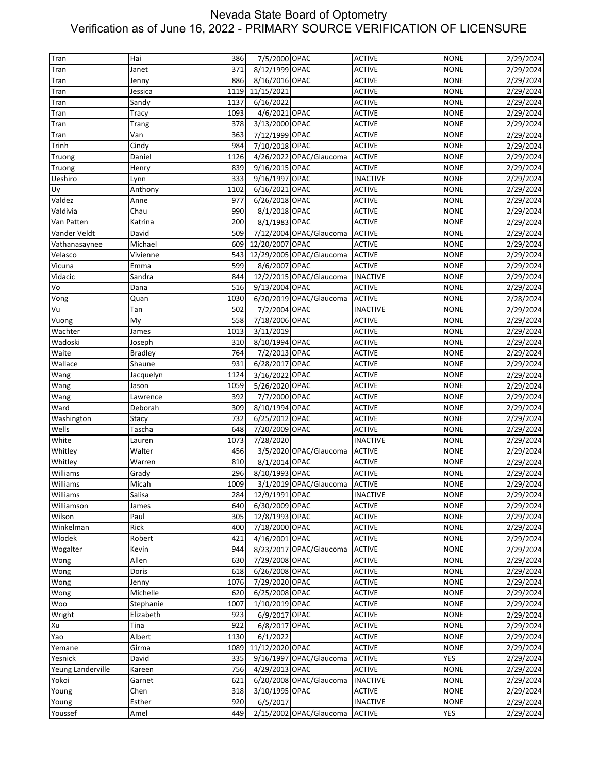| Tran              | Hai            | 386  | 7/5/2000 OPAC   |                          | <b>ACTIVE</b>   | <b>NONE</b> | 2/29/2024 |
|-------------------|----------------|------|-----------------|--------------------------|-----------------|-------------|-----------|
|                   |                |      |                 |                          |                 |             |           |
| Tran              | Janet          | 371  | 8/12/1999 OPAC  |                          | <b>ACTIVE</b>   | <b>NONE</b> | 2/29/2024 |
| Tran              | Jenny          | 886  | 8/16/2016 OPAC  |                          | <b>ACTIVE</b>   | <b>NONE</b> | 2/29/2024 |
| Tran              | Jessica        | 1119 | 11/15/2021      |                          | <b>ACTIVE</b>   | <b>NONE</b> | 2/29/2024 |
| Tran              | Sandy          | 1137 | 6/16/2022       |                          | <b>ACTIVE</b>   | <b>NONE</b> | 2/29/2024 |
| Tran              | Tracy          | 1093 | 4/6/2021 OPAC   |                          | <b>ACTIVE</b>   | <b>NONE</b> | 2/29/2024 |
| Tran              | Trang          | 378  | 3/13/2000 OPAC  |                          | <b>ACTIVE</b>   | <b>NONE</b> | 2/29/2024 |
| Tran              | Van            | 363  | 7/12/1999 OPAC  |                          | <b>ACTIVE</b>   | <b>NONE</b> | 2/29/2024 |
| Trinh             | Cindy          | 984  | 7/10/2018 OPAC  |                          | <b>ACTIVE</b>   | <b>NONE</b> | 2/29/2024 |
| Truong            | Daniel         | 1126 |                 | 4/26/2022 OPAC/Glaucoma  | <b>ACTIVE</b>   | <b>NONE</b> | 2/29/2024 |
| Truong            | Henry          | 839  | 9/16/2015 OPAC  |                          | <b>ACTIVE</b>   | <b>NONE</b> | 2/29/2024 |
| Ueshiro           | Lynn           | 333  | 9/16/1997 OPAC  |                          | <b>INACTIVE</b> | <b>NONE</b> | 2/29/2024 |
| Uy                | Anthony        | 1102 | 6/16/2021 OPAC  |                          | <b>ACTIVE</b>   | <b>NONE</b> | 2/29/2024 |
| Valdez            | Anne           | 977  | 6/26/2018 OPAC  |                          | <b>ACTIVE</b>   | <b>NONE</b> | 2/29/2024 |
| Valdivia          |                | 990  |                 |                          |                 |             |           |
|                   | Chau           |      | 8/1/2018 OPAC   |                          | <b>ACTIVE</b>   | <b>NONE</b> | 2/29/2024 |
| Van Patten        | Katrina        | 200  | 8/1/1983 OPAC   |                          | <b>ACTIVE</b>   | <b>NONE</b> | 2/29/2024 |
| Vander Veldt      | David          | 509  |                 | 7/12/2004 OPAC/Glaucoma  | <b>ACTIVE</b>   | <b>NONE</b> | 2/29/2024 |
| Vathanasaynee     | Michael        | 609  | 12/20/2007 OPAC |                          | <b>ACTIVE</b>   | <b>NONE</b> | 2/29/2024 |
| Velasco           | Vivienne       | 543  |                 | 12/29/2005 OPAC/Glaucoma | <b>ACTIVE</b>   | <b>NONE</b> | 2/29/2024 |
| Vicuna            | Emma           | 599  | 8/6/2007 OPAC   |                          | <b>ACTIVE</b>   | <b>NONE</b> | 2/29/2024 |
| Vidacic           | Sandra         | 844  |                 | 12/2/2015 OPAC/Glaucoma  | <b>INACTIVE</b> | <b>NONE</b> | 2/29/2024 |
| Vo                | Dana           | 516  | 9/13/2004 OPAC  |                          | <b>ACTIVE</b>   | <b>NONE</b> | 2/29/2024 |
| Vong              | Quan           | 1030 |                 | 6/20/2019 OPAC/Glaucoma  | <b>ACTIVE</b>   | <b>NONE</b> | 2/28/2024 |
| Vu                | Tan            | 502  | 7/2/2004 OPAC   |                          | <b>INACTIVE</b> | <b>NONE</b> | 2/29/2024 |
| Vuong             | My             | 558  | 7/18/2006 OPAC  |                          | <b>ACTIVE</b>   | <b>NONE</b> | 2/29/2024 |
| Wachter           | James          | 1013 | 3/11/2019       |                          | <b>ACTIVE</b>   | <b>NONE</b> | 2/29/2024 |
| Wadoski           | Joseph         | 310  | 8/10/1994 OPAC  |                          | <b>ACTIVE</b>   | <b>NONE</b> | 2/29/2024 |
|                   |                |      |                 |                          |                 |             |           |
| Waite             | <b>Bradley</b> | 764  | 7/2/2013 OPAC   |                          | <b>ACTIVE</b>   | <b>NONE</b> | 2/29/2024 |
| Wallace           | Shaune         | 931  | 6/28/2017 OPAC  |                          | <b>ACTIVE</b>   | <b>NONE</b> | 2/29/2024 |
| Wang              | Jacquelyn      | 1124 | 3/16/2022 OPAC  |                          | <b>ACTIVE</b>   | <b>NONE</b> | 2/29/2024 |
| Wang              | Jason          | 1059 | 5/26/2020 OPAC  |                          | <b>ACTIVE</b>   | <b>NONE</b> | 2/29/2024 |
| Wang              | Lawrence       | 392  | 7/7/2000 OPAC   |                          | <b>ACTIVE</b>   | <b>NONE</b> | 2/29/2024 |
| Ward              | Deborah        | 309  | 8/10/1994 OPAC  |                          | <b>ACTIVE</b>   | <b>NONE</b> | 2/29/2024 |
| Washington        | Stacy          | 732  | 6/25/2012 OPAC  |                          | <b>ACTIVE</b>   | <b>NONE</b> | 2/29/2024 |
| Wells             | Tascha         | 648  | 7/20/2009 OPAC  |                          | <b>ACTIVE</b>   | <b>NONE</b> | 2/29/2024 |
| White             | Lauren         | 1073 | 7/28/2020       |                          | <b>INACTIVE</b> | <b>NONE</b> | 2/29/2024 |
| Whitley           | Walter         | 456  |                 | 3/5/2020 OPAC/Glaucoma   | <b>ACTIVE</b>   | <b>NONE</b> | 2/29/2024 |
| Whitley           | Warren         | 810  | 8/1/2014 OPAC   |                          | <b>ACTIVE</b>   | <b>NONE</b> | 2/29/2024 |
| Williams          | Grady          | 296  | 8/10/1993 OPAC  |                          | <b>ACTIVE</b>   | <b>NONE</b> | 2/29/2024 |
| Williams          | Micah          | 1009 |                 | 3/1/2019 OPAC/Glaucoma   | <b>ACTIVE</b>   | <b>NONE</b> | 2/29/2024 |
| Williams          | Salisa         | 284  | 12/9/1991 OPAC  |                          | <b>INACTIVE</b> | <b>NONE</b> | 2/29/2024 |
| Williamson        | James          | 640  | 6/30/2009 OPAC  |                          | <b>ACTIVE</b>   | <b>NONE</b> | 2/29/2024 |
| Wilson            | Paul           | 305  | 12/8/1993 OPAC  |                          | <b>ACTIVE</b>   | <b>NONE</b> |           |
| Winkelman         |                |      |                 |                          |                 |             | 2/29/2024 |
|                   | Rick           | 400  | 7/18/2000 OPAC  |                          | <b>ACTIVE</b>   | <b>NONE</b> | 2/29/2024 |
| Wlodek            | Robert         | 421  | 4/16/2001 OPAC  |                          | <b>ACTIVE</b>   | <b>NONE</b> | 2/29/2024 |
| Wogalter          | Kevin          | 944  |                 | 8/23/2017 OPAC/Glaucoma  | <b>ACTIVE</b>   | <b>NONE</b> | 2/29/2024 |
| Wong              | Allen          | 630  | 7/29/2008 OPAC  |                          | <b>ACTIVE</b>   | <b>NONE</b> | 2/29/2024 |
| Wong              | Doris          | 618  | 6/26/2008 OPAC  |                          | <b>ACTIVE</b>   | <b>NONE</b> | 2/29/2024 |
| Wong              | Jenny          | 1076 | 7/29/2020 OPAC  |                          | <b>ACTIVE</b>   | <b>NONE</b> | 2/29/2024 |
| Wong              | Michelle       | 620  | 6/25/2008 OPAC  |                          | <b>ACTIVE</b>   | <b>NONE</b> | 2/29/2024 |
| Woo               | Stephanie      | 1007 | 1/10/2019 OPAC  |                          | <b>ACTIVE</b>   | <b>NONE</b> | 2/29/2024 |
| Wright            | Elizabeth      | 923  | 6/9/2017 OPAC   |                          | <b>ACTIVE</b>   | <b>NONE</b> | 2/29/2024 |
| Xu                | Tina           | 922  | 6/8/2017 OPAC   |                          | <b>ACTIVE</b>   | <b>NONE</b> | 2/29/2024 |
| Yao               | Albert         | 1130 | 6/1/2022        |                          | <b>ACTIVE</b>   | <b>NONE</b> | 2/29/2024 |
| Yemane            | Girma          | 1089 | 11/12/2020 OPAC |                          | <b>ACTIVE</b>   | <b>NONE</b> | 2/29/2024 |
| Yesnick           | David          | 335  |                 | 9/16/1997 OPAC/Glaucoma  | <b>ACTIVE</b>   | <b>YES</b>  | 2/29/2024 |
| Yeung Landerville | Kareen         | 756  | 4/29/2013 OPAC  |                          | <b>ACTIVE</b>   | <b>NONE</b> | 2/29/2024 |
|                   |                |      |                 |                          |                 |             |           |
| Yokoi             | Garnet         | 621  |                 | 6/20/2008 OPAC/Glaucoma  | <b>INACTIVE</b> | <b>NONE</b> | 2/29/2024 |
| Young             | Chen           | 318  | 3/10/1995 OPAC  |                          | <b>ACTIVE</b>   | <b>NONE</b> | 2/29/2024 |
| Young             | Esther         | 920  | 6/5/2017        |                          | <b>INACTIVE</b> | <b>NONE</b> | 2/29/2024 |
| Youssef           | Amel           | 449  |                 | 2/15/2002 OPAC/Glaucoma  | <b>ACTIVE</b>   | <b>YES</b>  | 2/29/2024 |